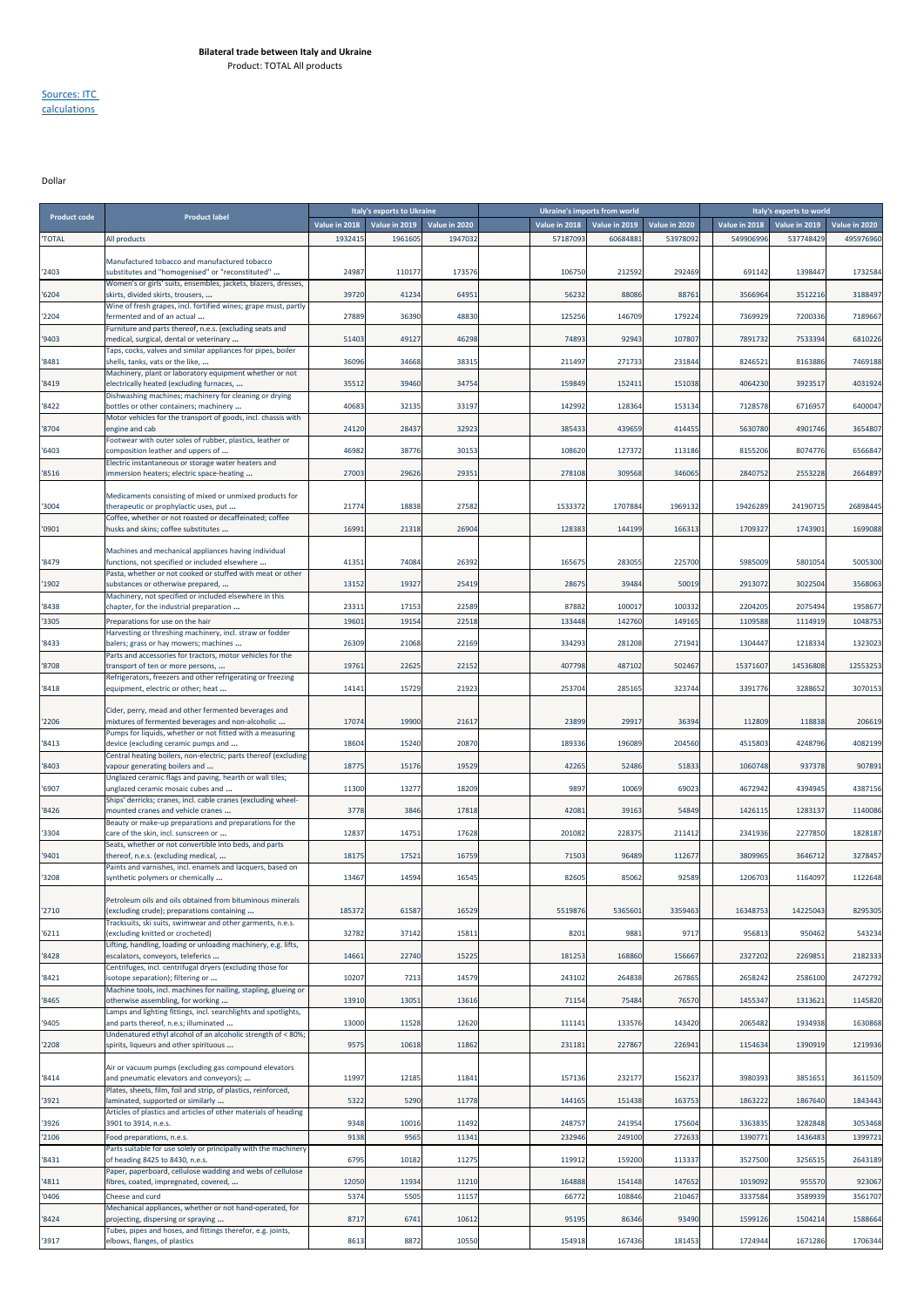Sources: ITC calculations

Dollar

| <b>Product code</b> | <b>Product label</b>                                                                                         |                          | Italy's exports to Ukraine |                          |                           | <b>Ukraine's imports from world</b> |                          |                            | Italy's exports to world                 |           |
|---------------------|--------------------------------------------------------------------------------------------------------------|--------------------------|----------------------------|--------------------------|---------------------------|-------------------------------------|--------------------------|----------------------------|------------------------------------------|-----------|
| <b>TOTAL</b>        | All products                                                                                                 | Value in 2018<br>1932415 | Value in 2019<br>1961605   | Value in 2020<br>1947032 | Value in 2018<br>57187093 | Value in 2019<br>60684883           | Value in 2020<br>5397809 | Value in 2018<br>549906996 | Value in 2019 Value in 2020<br>537748429 | 495976960 |
|                     |                                                                                                              |                          |                            |                          |                           |                                     |                          |                            |                                          |           |
| '2403               | Manufactured tobacco and manufactured tobacco<br>substitutes and "homogenised" or "reconstituted"            | 24987                    | 110177                     | 173576                   | 106750                    | 212592                              | 292469                   | 691142                     | 1398447                                  | 1732584   |
| 16204               | Women's or girls' suits, ensembles, jackets, blazers, dresses,<br>skirts, divided skirts, trousers,          | 39720                    | 41234                      | 64951                    | 56232                     | 88086                               | 88761                    | 3566964                    | 3512216                                  | 3188497   |
|                     | Wine of fresh grapes, incl. fortified wines; grape must, partly                                              |                          |                            |                          |                           |                                     |                          |                            |                                          |           |
| '2204               | fermented and of an actual<br>Furniture and parts thereof, n.e.s. (excluding seats and                       | 27889                    | 36390                      | 48830                    | 125256                    | 146709                              | 17922                    | 7369929                    | 7200336                                  | 7189667   |
| '9403               | medical, surgical, dental or veterinary<br>Taps, cocks, valves and similar appliances for pipes, boiler      | 51403                    | 49127                      | 46298                    | 74893                     | 92943                               | 10780                    | 7891732                    | 7533394                                  | 6810226   |
| '8481               | shells, tanks, vats or the like,                                                                             | 36096                    | 34668                      | 38315                    | 211497                    | 271733                              | 23184                    | 8246521                    | 8163886                                  | 7469188   |
| '8419               | Machinery, plant or laboratory equipment whether or not<br>electrically heated (excluding furnaces,          | 35512                    | 39460                      | 34754                    | 159849                    | 152411                              | 151038                   | 4064230                    | 3923517                                  | 4031924   |
| '8422               | Dishwashing machines; machinery for cleaning or drying<br>bottles or other containers; machinery             | 40683                    | 32135                      | 33197                    | 142992                    | 128364                              | 153134                   | 7128578                    | 6716957                                  | 6400047   |
| '8704               | Motor vehicles for the transport of goods, incl. chassis with<br>engine and cab                              | 24120                    | 28437                      | 32923                    | 385433                    | 439659                              | 41445                    | 5630780                    | 4901746                                  | 3654807   |
|                     | Footwear with outer soles of rubber, plastics, leather or                                                    |                          |                            |                          |                           |                                     |                          |                            |                                          |           |
| '6403               | composition leather and uppers of<br>Electric instantaneous or storage water heaters and                     | 46982                    | 38776                      | 30153                    | 108620                    | 127372                              | 11318                    | 8155206                    | 8074776                                  | 6566847   |
| '8516               | immersion heaters; electric space-heating                                                                    | 27003                    | 29626                      | 29351                    | 278108                    | 309568                              | 346065                   | 2840752                    | 2553228                                  | 2664897   |
| '3004               | Medicaments consisting of mixed or unmixed products for<br>therapeutic or prophylactic uses, put             | 21774                    | 18838                      | 27582                    | 1533372                   | 1707884                             | 196913                   | 19426289                   | 24190715                                 | 26898445  |
| '0901               | Coffee, whether or not roasted or decaffeinated; coffee<br>husks and skins; coffee substitutes               | 16991                    | 21318                      | 26904                    | 128383                    | 144199                              | 166313                   | 1709327                    | 1743901                                  | 1699088   |
|                     | Machines and mechanical appliances having individual                                                         |                          |                            |                          |                           |                                     |                          |                            |                                          |           |
| 8479                | functions, not specified or included elsewhere<br>Pasta, whether or not cooked or stuffed with meat or other | 41351                    | 74084                      | 26392                    | 165675                    | 283055                              | 225700                   | 5985009                    | 5801054                                  | 5005300   |
| '1902               | substances or otherwise prepared,                                                                            | 13152                    | 19327                      | 25419                    | 28675                     | 39484                               | 50019                    | 2913072                    | 3022504                                  | 3568063   |
| '8438               | Machinery, not specified or included elsewhere in this<br>chapter, for the industrial preparation            | 23311                    | 17153                      | 22589                    | 87882                     | 100017                              | 10033                    | 2204205                    | 2075494                                  | 1958677   |
| '3305               | Preparations for use on the hair                                                                             | 1960:                    | 19154                      | 22518                    | 133448                    | 142760                              | 14916                    | 1109588                    | 1114919                                  | 1048753   |
| 8433                | Harvesting or threshing machinery, incl. straw or fodder<br>balers; grass or hay mowers; machines            | 26309                    | 21068                      | 22169                    | 334293                    | 281208                              | 271941                   | 1304447                    | 1218334                                  | 1323023   |
| '8708               | Parts and accessories for tractors, motor vehicles for the<br>transport of ten or more persons,              | 19761                    | 22625                      | 22152                    | 407798                    | 487102                              | 502467                   | 15371607                   | 14536808                                 | 12553253  |
| '8418               | Refrigerators, freezers and other refrigerating or freezing<br>equipment, electric or other; heat            | 14141                    | 15729                      | 21923                    | 253704                    | 285165                              | 323744                   | 3391776                    | 3288652                                  | 3070153   |
|                     |                                                                                                              |                          |                            |                          |                           |                                     |                          |                            |                                          |           |
| '2206               | Cider, perry, mead and other fermented beverages and<br>mixtures of fermented beverages and non-alcoholic    | 17074                    | 19900                      | 21617                    | 23899                     | 29917                               | 36394                    | 112809                     | 118838                                   | 206619    |
| '8413               | Pumps for liquids, whether or not fitted with a measuring<br>device (excluding ceramic pumps and             | 18604                    | 15240                      | 20870                    | 189336                    | 196089                              | 204560                   | 4515803                    | 4248796                                  | 4082199   |
| '8403               | Central heating boilers, non-electric; parts thereof (excluding<br>vapour generating boilers and             | 18775                    | 15176                      | 19529                    | 42265                     | 52486                               | 51833                    | 1060748                    | 937378                                   | 907891    |
|                     | Unglazed ceramic flags and paving, hearth or wall tiles;                                                     |                          |                            |                          |                           |                                     |                          |                            |                                          |           |
| '6907               | unglazed ceramic mosaic cubes and<br>Ships' derricks; cranes, incl. cable cranes (excluding wheel-           | 11300                    | 13277                      | 18209                    | 9897                      | 10069                               | 69023                    | 4672942                    | 4394945                                  | 4387156   |
| '8426               | mounted cranes and vehicle cranes<br>Beauty or make-up preparations and preparations for the                 | 3778                     | 3846                       | 17818                    | 42081                     | 39163                               | 54849                    | 1426115                    | 1283137                                  | 1140086   |
| '3304               | care of the skin, incl. sunscreen or<br>Seats, whether or not convertible into beds, and parts               | 12837                    | 14751                      | 17628                    | 201082                    | 228375                              | 211412                   | 2341936                    | 2277850                                  | 1828187   |
| '9401               | thereof, n.e.s. (excluding medical,                                                                          | 18175                    | 17521                      | 16759                    | 71503                     | 96489                               | 11267                    | 3809965                    | 3646712                                  | 3278457   |
| '3208               | Paints and varnishes, incl. enamels and lacquers, based on<br>synthetic polymers or chemically               | 13467                    | 14594                      | 16545                    | 82605                     | 85062                               | 92589                    | 1206703                    | 1164097                                  | 1122648   |
|                     | Petroleum oils and oils obtained from bituminous minerals                                                    |                          |                            |                          |                           |                                     |                          |                            |                                          |           |
| '2710               | (excluding crude); preparations containing<br>Tracksuits, ski suits, swimwear and other garments, n.e.s.     | 185372                   | 61587                      | 16529                    | 5519876                   | 5365601                             | 3359463                  | 16348753                   | 14225043                                 | 8295305   |
| '6211               | (excluding knitted or crocheted)                                                                             | 32782                    | 37142                      | 15811                    | 8201                      | 9881                                | 9717                     | 956813                     | 950462                                   | 543234    |
| 8428                | Lifting, handling, loading or unloading machinery, e.g. lifts,<br>escalators, conveyors, teleferics          | 14661                    | 22740                      | 15225                    | 181253                    | 168860                              | 15666                    | 2327202                    | 2269851                                  | 2182333   |
| 8421                | Centrifuges, incl. centrifugal dryers (excluding those for<br>isotope separation); filtering or              | 10207                    | 7213                       | 14579                    | 243102                    | 264838                              | 267865                   | 2658242                    | 2586100                                  | 2472792   |
| '8465               | Machine tools, incl. machines for nailing, stapling, glueing or<br>otherwise assembling, for working         | 13910                    | 13051                      | 13616                    | 71154                     | 75484                               | 76570                    | 1455347                    | 1313621                                  | 1145820   |
| '9405               | Lamps and lighting fittings, incl. searchlights and spotlights,<br>and parts thereof, n.e.s; illuminated     | 13000                    | 11528                      | 12620                    | 111141                    | 133576                              | 143420                   | 2065482                    | 1934938                                  | 1630868   |
| '2208               | Undenatured ethyl alcohol of an alcoholic strength of < 80%;<br>spirits, liqueurs and other spirituous       | 9575                     | 10618                      | 11862                    | 231181                    | 227867                              | 226941                   | 1154634                    | 1390919                                  | 1219936   |
|                     | Air or vacuum pumps (excluding gas compound elevators                                                        |                          |                            |                          |                           |                                     |                          |                            |                                          |           |
| '8414               | and pneumatic elevators and conveyors);                                                                      | 11997                    | 12185                      | 11841                    | 157136                    | 232177                              | 15623                    | 3980393                    | 3851651                                  | 3611509   |
| '3921               | Plates, sheets, film, foil and strip, of plastics, reinforced,<br>laminated, supported or similarly          | 5322                     | 5290                       | 11778                    | 144165                    | 151438                              | 16375                    | 1863222                    | 1867640                                  | 1843443   |
| '3926               | Articles of plastics and articles of other materials of heading<br>3901 to 3914, n.e.s.                      | 9348                     | 10016                      | 11492                    | 248757                    | 241954                              | 175604                   | 3363835                    | 3282848                                  | 3053468   |
| '2106               | Food preparations, n.e.s.                                                                                    | 9138                     | 9565                       | 11341                    | 232946                    | 249100                              | 27263                    | 1390771                    | 1436483                                  | 1399721   |
| '8431               | Parts suitable for use solely or principally with the machinery<br>of heading 8425 to 8430, n.e.s.           | 6795                     | 10182                      | 11275                    | 119912                    | 159200                              | 11333                    | 3527500                    | 3256515                                  | 2643189   |
| '4811               | Paper, paperboard, cellulose wadding and webs of cellulose<br>fibres, coated, impregnated, covered,          | 12050                    | 11934                      | 11210                    | 164888                    | 154148                              | 14765                    | 1019092                    | 955570                                   | 923067    |
| '0406               | Cheese and curd                                                                                              | 5374                     | 5505                       | 11157                    | 66772                     | 108846                              | 21046                    | 333758                     | 3589939                                  | 3561707   |
| '8424               | Mechanical appliances, whether or not hand-operated, for<br>projecting, dispersing or spraying               | 8717                     | 6741                       | 10612                    | 95195                     | 86346                               | 93490                    | 1599126                    | 1504214                                  | 1588664   |
| '3917               | Tubes, pipes and hoses, and fittings therefor, e.g. joints,<br>elbows, flanges, of plastics                  | 8613                     | 8872                       | 10550                    | 154918                    | 167436                              | 181453                   | 1724944                    | 1671286                                  | 1706344   |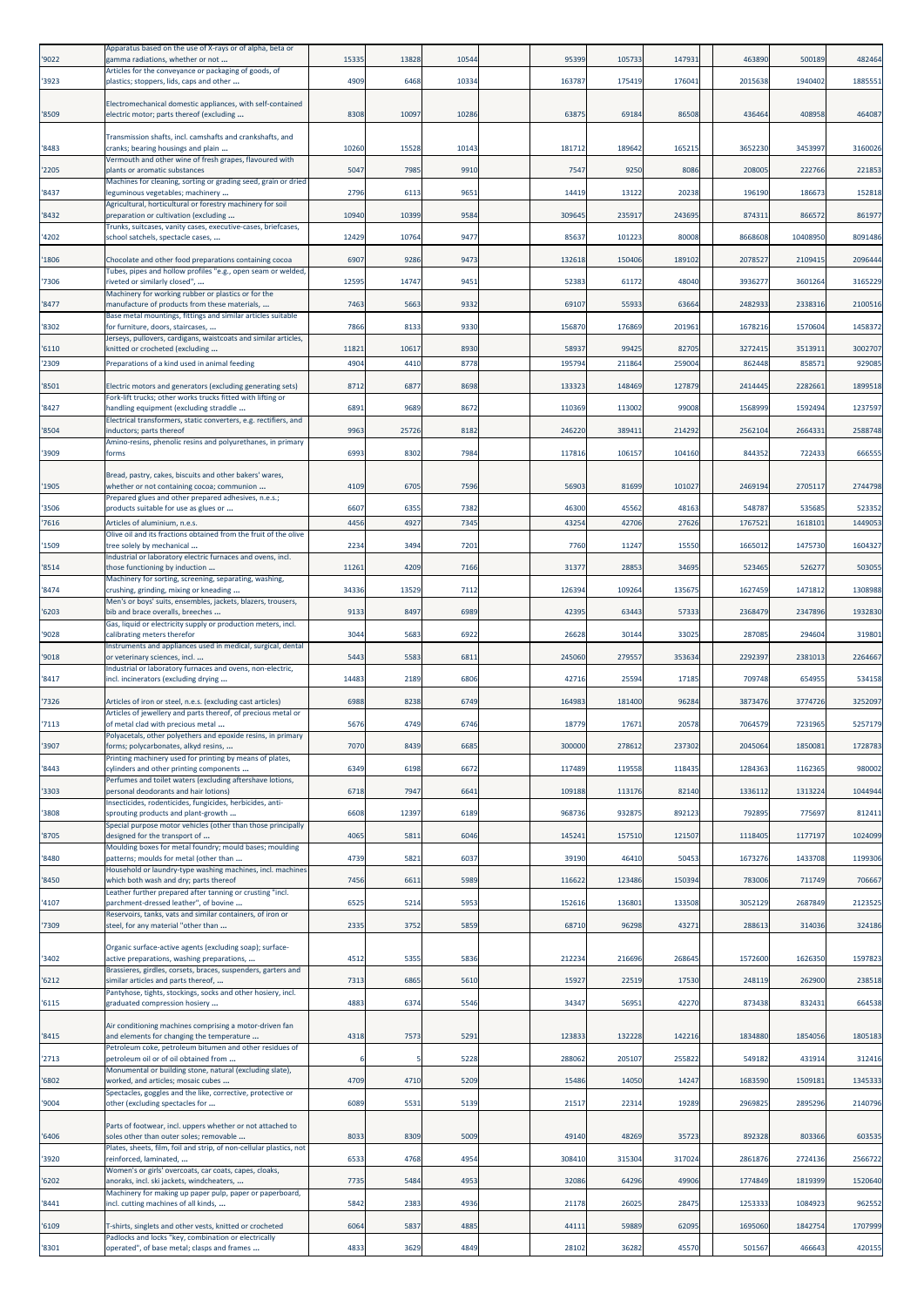| '9022         | Apparatus based on the use of X-rays or of alpha, beta or<br>gamma radiations, whether or not                                                                   | 15335        | 13828        | 10544        | 95399          | 105733         | 147931         | 463890            | 500189            | 482464            |
|---------------|-----------------------------------------------------------------------------------------------------------------------------------------------------------------|--------------|--------------|--------------|----------------|----------------|----------------|-------------------|-------------------|-------------------|
| '3923         | Articles for the conveyance or packaging of goods, of<br>plastics; stoppers, lids, caps and other                                                               | 4909         | 6468         | 10334        | 163787         | 175419         | 176041         | 2015638           | 1940402           | 1885551           |
|               | Electromechanical domestic appliances, with self-contained                                                                                                      |              |              |              |                |                |                |                   |                   |                   |
| '8509         | electric motor; parts thereof (excluding                                                                                                                        | 8308         | 10097        | 10286        | 63875          | 69184          | 86508          | 436464            | 408958            | 464087            |
|               | Transmission shafts, incl. camshafts and crankshafts, and                                                                                                       |              |              |              |                |                |                |                   |                   |                   |
| '8483         | cranks; bearing housings and plain<br>Vermouth and other wine of fresh grapes, flavoured with                                                                   | 10260        | 15528        | 10143        | 18171          | 189642         | 16521          | 3652230           | 3453997           | 3160026           |
| '2205         | plants or aromatic substances<br>Machines for cleaning, sorting or grading seed, grain or dried                                                                 | 5047         | 7985         | 9910         | 7547           | 9250           | 8086           | 208005            | 222766            | 221853            |
| '8437         | leguminous vegetables; machinery<br>Agricultural, horticultural or forestry machinery for soil                                                                  | 2796         | 6113         | 9651         | 14419          | 13122          | 20238          | 196190            | 18667             | 152818            |
| 8432          | preparation or cultivation (excluding<br>Trunks, suitcases, vanity cases, executive-cases, briefcases,                                                          | 10940        | 10399        | 9584         | 309645         | 235917         | 243695         | 874311            | 866572            | 861977            |
| 4202          | school satchels, spectacle cases,                                                                                                                               | 12429        | 10764        | 9477         | 85637          | 101223         | 80008          | 8668608           | 10408950          | 8091486           |
| '1806         | Chocolate and other food preparations containing cocoa                                                                                                          | 6907         | 9286         | 9473         | 132618         | 150406         | 189102         | 2078527           | 2109419           | 2096444           |
| '7306         | Tubes, pipes and hollow profiles "e.g., open seam or welded,<br>riveted or similarly closed",                                                                   | 12595        | 14747        | 9451         | 52383          | 61172          | 48040          | 3936277           | 3601264           | 3165229           |
| '8477         | Machinery for working rubber or plastics or for the<br>manufacture of products from these materials,                                                            | 7463         | 5663         | 9332         | 69107          | 55933          | 63664          | 2482933           | 2338316           | 2100516           |
| '8302         | Base metal mountings, fittings and similar articles suitable<br>for furniture, doors, staircases,                                                               | 7866         | 8133         | 9330         | 156870         | 176869         | 201961         | 1678216           | 1570604           | 1458372           |
| 6110          | Jerseys, pullovers, cardigans, waistcoats and similar articles,<br>knitted or crocheted (excluding                                                              | 11821        | 10617        | 8930         | 58937          | 99425          | 82705          | 3272415           | 3513911           | 3002707           |
| 2309          | Preparations of a kind used in animal feeding                                                                                                                   | 4904         | 4410         | 8778         | 19579          | 211864         | 25900          | 862448            | 85857             | 92908             |
| '8501         | Electric motors and generators (excluding generating sets)                                                                                                      | 8712         | 6877         | 8698         | 133323         | 148469         | 127879         | 2414445           | 2282661           | 1899518           |
| '8427         | Fork-lift trucks; other works trucks fitted with lifting or<br>handling equipment (excluding straddle                                                           | 6891         | 9689         | 8672         | 110369         | 113002         | 99008          | 1568999           | 1592494           | 1237597           |
| '8504         | Electrical transformers, static converters, e.g. rectifiers, and<br>inductors; parts thereof                                                                    | 9963         | 25726        | 8182         | 246220         | 38941          | 214292         | 2562104           | 2664331           | 2588748           |
|               | Amino-resins, phenolic resins and polyurethanes, in primary                                                                                                     | 6993         |              | 7984         |                |                | 104160         |                   |                   |                   |
| '3909         | forms                                                                                                                                                           |              | 8302         |              | 117816         | 10615          |                | 84435             | 722433            | 66655             |
| '1905         | Bread, pastry, cakes, biscuits and other bakers' wares,<br>whether or not containing cocoa; communion                                                           | 4109         | 6705         | 7596         | 56903          | 81699          | 101027         | 2469194           | 2705117           | 2744798           |
| '3506         | Prepared glues and other prepared adhesives, n.e.s.;<br>products suitable for use as glues or                                                                   | 6607         | 6355         | 7382         | 46300          | 45562          | 48163          | 548787            | 53568             | 523352            |
| 7616          | Articles of aluminium, n.e.s.<br>Olive oil and its fractions obtained from the fruit of the olive                                                               | 4456         | 4927         | 7345         | 4325           | 42706          | 27626          | 1767521           | 1618101           | 1449053           |
| 1509          | tree solely by mechanical                                                                                                                                       | 2234         | 3494         | 7201         | 7760           | 11247          | 15550          | 1665012           | 1475730           | 1604327           |
| '8514         | Industrial or laboratory electric furnaces and ovens, incl.<br>those functioning by induction                                                                   | 11261        | 4209         | 7166         | 31377          | 28853          | 34695          | 523465            | 526277            | 503055            |
| '8474         | Machinery for sorting, screening, separating, washing,<br>crushing, grinding, mixing or kneading                                                                | 34336        | 13529        | 7112         | 12639          | 109264         | 135675         | 1627459           | 1471812           | 1308988           |
| '6203         | Men's or boys' suits, ensembles, jackets, blazers, trousers,<br>bib and brace overalls, breeches                                                                | 9133         | 8497         | 6989         | 42395          | 63443          | 57333          | 2368479           | 2347896           | 1932830           |
| '9028         | Gas, liquid or electricity supply or production meters, incl.<br>calibrating meters therefor                                                                    | 3044         | 568          | 6922         | 26628          | 30144          | 33025          | 287085            | 294604            | 319801            |
|               | Instruments and appliances used in medical, surgical, dental                                                                                                    |              |              |              |                |                |                |                   |                   |                   |
| '9018         | or veterinary sciences, incl.<br>Industrial or laboratory furnaces and ovens, non-electric,                                                                     | 5443         | 5583         | 6811         | 245060         | 279557         | 35363          | 2292397           | 2381013           | 2264667           |
| '8417         | incl. incinerators (excluding drying                                                                                                                            | 14483        | 2189         | 6806         | 42716          | 25594          | 17185          | 70974             | 654955            | 534158            |
| '7326         | Articles of iron or steel, n.e.s. (excluding cast articles)<br>Articles of jewellery and parts thereof, of precious metal or                                    | 6988         | 8238         | 6749         | 16498          | 181400         | 96284          | 3873476           | 3774726           | 3252097           |
| '7113         | of metal clad with precious metal<br>Polyacetals, other polyethers and epoxide resins, in primary                                                               | 5676         | 4749         | 6746         | 18779          | 17671          | 20578          | 7064579           | 7231965           | 5257179           |
| '3907         | forms; polycarbonates, alkyd resins,<br>Printing machinery used for printing by means of plates,                                                                | 7070         | 8439         | 6685         | 300000         | 278612         | 237302         | 2045064           | 1850081           | 1728783           |
| 8443          | cylinders and other printing components                                                                                                                         | 6349         | 6198         | 6672         | 117489         | 119558         | 118435         | 1284363           | 1162365           | 980002            |
| '3303         | Perfumes and toilet waters (excluding aftershave lotions,<br>personal deodorants and hair lotions)                                                              | 6718         | 7947         | 6641         | 109188         | 113176         | 82140          | 1336112           | 1313224           | 1044944           |
| '3808         | Insecticides, rodenticides, fungicides, herbicides, anti-<br>sprouting products and plant-growth                                                                | 6608         | 12397        | 6189         | 968736         | 932875         | 89212          | 792895            | 775697            | 812411            |
| '8705         | Special purpose motor vehicles (other than those principally<br>designed for the transport of                                                                   | 4065         | 5811         | 6046         | 145241         | 157510         | 121507         | 1118405           | 1177197           | 1024099           |
| '8480         | Moulding boxes for metal foundry; mould bases; moulding<br>patterns; moulds for metal (other than                                                               | 4739         | 5821         | 6037         | 39190          | 46410          | 50453          | 1673276           | 1433708           | 1199306           |
| 8450          | Household or laundry-type washing machines, incl. machines                                                                                                      | 7456         | 6611         | 5989         | 116622         | 123486         | 150394         | 783006            | 711749            | 706667            |
|               | which both wash and dry; parts thereof<br>Leather further prepared after tanning or crusting "incl.                                                             |              |              |              |                |                |                |                   |                   |                   |
| '4107         | parchment-dressed leather", of bovine<br>Reservoirs, tanks, vats and similar containers, of iron or                                                             | 6525         | 5214         | 5953         | 152616         | 136801         | 133508         | 3052129           | 2687849           | 2123525           |
| '7309         | steel, for any material "other than                                                                                                                             | 2335         | 3752         | 5859         | 68710          | 96298          | 43271          | 288613            | 314036            | 324186            |
| '3402         | Organic surface-active agents (excluding soap); surface-<br>active preparations, washing preparations,                                                          | 451          | 5355         | 5836         | 212234         | 216696         | 268645         | 1572600           | 1626350           | 1597823           |
| 16212         | Brassieres, girdles, corsets, braces, suspenders, garters and<br>similar articles and parts thereof,                                                            | 7313         | 6865         | 5610         | 15927          | 22519          | 17530          | 248119            | 262900            | 238518            |
|               | Pantyhose, tights, stockings, socks and other hosiery, incl.                                                                                                    |              |              |              |                |                |                |                   |                   |                   |
| '6115         | graduated compression hosiery                                                                                                                                   | 4883         | 6374         | 5546         | 34347          | 56951          | 42270          | 873438            | 832431            | 664538            |
| '8415         | Air conditioning machines comprising a motor-driven fan<br>and elements for changing the temperature                                                            | 4318         | 7573         | 5291         | 123833         | 132228         | 142216         | 1834880           | 1854056           | 1805183           |
| '2713         | Petroleum coke, petroleum bitumen and other residues of<br>petroleum oil or of oil obtained from                                                                |              |              | 5228         | 288062         | 205107         | 255822         | 549182            | 431914            | 312416            |
| 6802          | Monumental or building stone, natural (excluding slate),<br>worked, and articles; mosaic cubes                                                                  | 4709         | 4710         | 5209         | 15486          | 14050          | 14247          | 1683590           | 1509181           | 1345333           |
|               | Spectacles, goggles and the like, corrective, protective or                                                                                                     |              |              |              |                |                |                |                   |                   |                   |
| '9004         | other (excluding spectacles for                                                                                                                                 | 6089         | 5531         | 5139         | 21517          | 22314          | 19289          | 2969825           | 2895296           | 2140796           |
| 6406          | Parts of footwear, incl. uppers whether or not attached to<br>soles other than outer soles; removable                                                           | 803          | 8309         | 5009         | 49140          | 48269          | 35723          | 892328            | 803366            | 603535            |
| '3920         | Plates, sheets, film, foil and strip, of non-cellular plastics, not<br>reinforced, laminated,                                                                   | 6533         | 4768         | 4954         | 308410         | 315304         | 317024         | 2861876           | 2724136           | 2566722           |
| '6202         | Women's or girls' overcoats, car coats, capes, cloaks,<br>anoraks, incl. ski jackets, windcheaters,                                                             | 7735         | 5484         | 4953         | 32086          | 64296          | 49906          | 1774849           | 1819399           | 1520640           |
| '8441         | Machinery for making up paper pulp, paper or paperboard,                                                                                                        | 5842         | 2383         | 4936         | 21178          | 26025          | 28475          | 1253333           | 1084923           | 962552            |
|               |                                                                                                                                                                 |              |              |              |                |                |                |                   |                   |                   |
|               | incl. cutting machines of all kinds,                                                                                                                            |              |              |              |                |                |                |                   |                   |                   |
| 6109<br>'8301 | T-shirts, singlets and other vests, knitted or crocheted<br>Padlocks and locks "key, combination or electrically<br>operated", of base metal; clasps and frames | 6064<br>4833 | 5837<br>3629 | 4885<br>4849 | 44111<br>28102 | 59889<br>36282 | 62095<br>45570 | 1695060<br>501567 | 1842754<br>466643 | 1707999<br>420155 |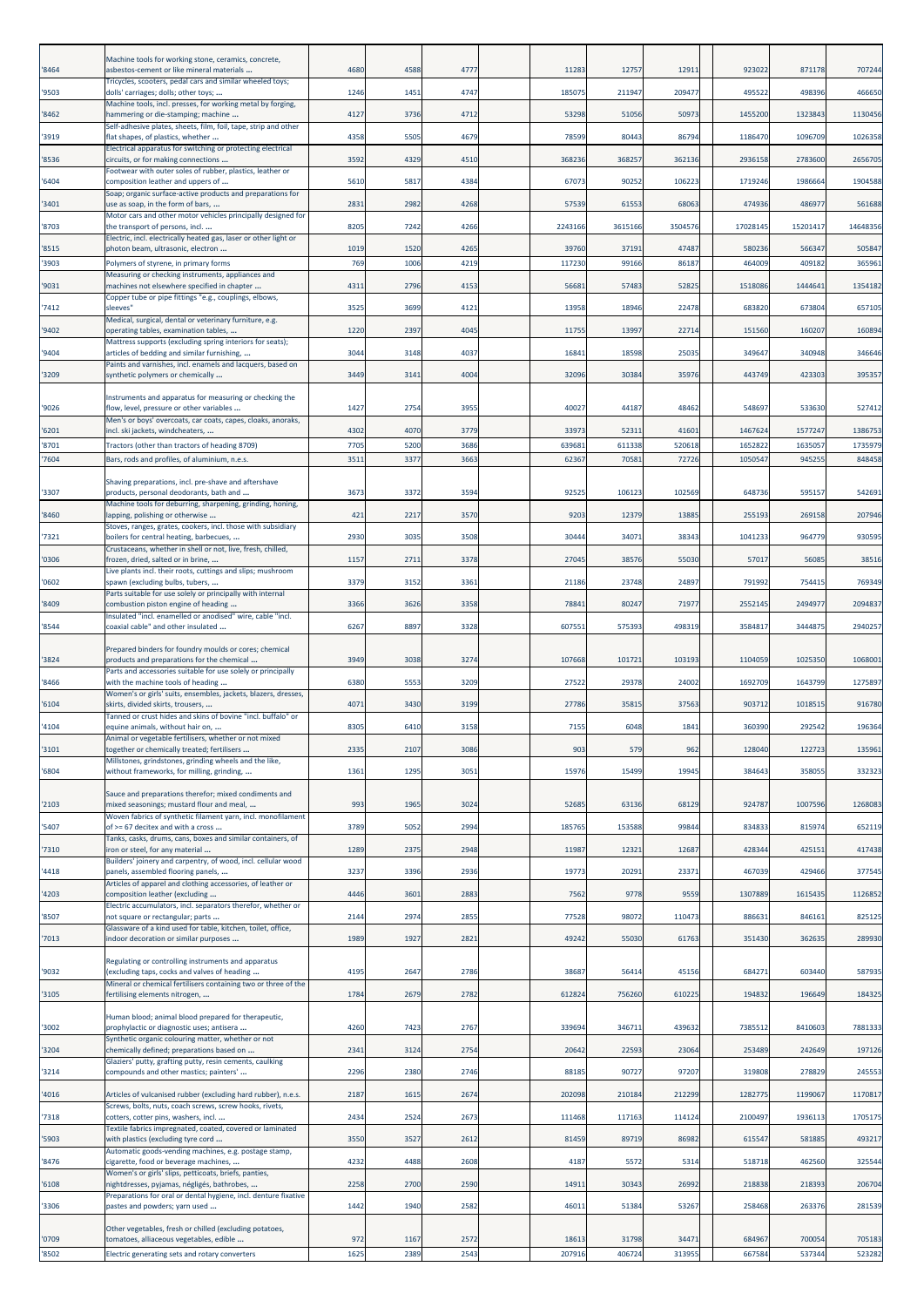|                | Machine tools for working stone, ceramics, concrete,                                                           |              |              |              |                 |                 |                 |                    |                   |                    |
|----------------|----------------------------------------------------------------------------------------------------------------|--------------|--------------|--------------|-----------------|-----------------|-----------------|--------------------|-------------------|--------------------|
| '8464          | asbestos-cement or like mineral materials<br>Tricycles, scooters, pedal cars and similar wheeled toys;         | 4680         | 4588         | 4777         | 11283           | 12757           | 1291:           | 923022             | 871178            | 707244             |
| '9503          | dolls' carriages; dolls; other toys;<br>Machine tools, incl. presses, for working metal by forging,            | 1246         | 1451         | 4747         | 185075          | 211947          | 209477          | 495522             | 498396            | 466650             |
| '8462          | hammering or die-stamping; machine<br>Self-adhesive plates, sheets, film, foil, tape, strip and other          | 4127         | 3736         | 4712         | 53298           | 51056           | 50973           | 1455200            | 1323843           | 1130456            |
| '3919          | flat shapes, of plastics, whether<br>Electrical apparatus for switching or protecting electrical               | 4358         | 5505         | 4679         | 78599           | 80443           | 86794           | 1186470            | 1096709           | 1026358            |
| '8536          | circuits, or for making connections                                                                            | 3592         | 4329         | 4510         | 368236          | 368257          | 362136          | 2936158            | 2783600           | 2656705            |
| '6404          | Footwear with outer soles of rubber, plastics, leather or<br>composition leather and uppers of                 | 5610         | 5817         | 4384         | 67073           | 90252           | 106223          | 1719246            | 1986664           | 1904588            |
| '3401          | Soap; organic surface-active products and preparations for<br>use as soap, in the form of bars,                | 2831         | 2982         | 4268         | 57539           | 61553           | 68063           | 474936             | 486977            | 561688             |
| '8703          | Motor cars and other motor vehicles principally designed for<br>the transport of persons, incl                 | 8205         | 7242         | 4266         | 2243166         | 3615166         | 3504576         | 17028145           | 15201417          | 14648356           |
| '8515          | Electric, incl. electrically heated gas, laser or other light or<br>photon beam, ultrasonic, electron          | 1019         | 1520         | 4265         | 39760           | 37191           | 47487           | 580236             | 56634             | 505847             |
| '3903          | Polymers of styrene, in primary forms                                                                          | 769          | 1006         | 4219         | 11723           | 99166           | 86187           | 464009             | 40918             | 365961             |
| '9031          | Measuring or checking instruments, appliances and<br>machines not elsewhere specified in chapter               | 431          | 2796         | 4153         | 56681           | 57483           | 52825           | 1518086            | 1444641           | 1354182            |
| '7412          | Copper tube or pipe fittings "e.g., couplings, elbows,<br>sleeves"                                             | 3525         | 3699         | 4121         | 13958           | 18946           | 22478           | 683820             | 673804            | 657105             |
| '9402          | Medical, surgical, dental or veterinary furniture, e.g.<br>operating tables, examination tables,               | 1220         | 2397         | 4045         | 11755           | 13997           | 22714           | 151560             | 160207            | 160894             |
| '9404          | Mattress supports (excluding spring interiors for seats);<br>articles of bedding and similar furnishing,       | 3044         | 3148         | 4037         | 16841           | 18598           | 25035           | 349647             | 340948            | 346646             |
| '3209          | Paints and varnishes, incl. enamels and lacquers, based on<br>synthetic polymers or chemically                 | 3449         | 3141         | 4004         | 32096           | 30384           | 35976           | 443749             | 423303            | 395357             |
|                | Instruments and apparatus for measuring or checking the                                                        |              |              |              |                 |                 |                 |                    |                   |                    |
| '9026          | flow, level, pressure or other variables<br>Men's or boys' overcoats, car coats, capes, cloaks, anoraks,       | 1427         | 2754         | 3955         | 40027           | 44187           | 48462           | 548697             | 533630            | 527412             |
| '6201<br>'8701 | incl. ski jackets, windcheaters,                                                                               | 4302<br>7705 | 4070<br>5200 | 3779<br>3686 | 33973<br>639681 | 52311<br>611338 | 41601<br>520618 | 1467624<br>1652822 | 1577247<br>163505 | 1386753<br>1735979 |
| '7604          | Tractors (other than tractors of heading 8709)<br>Bars, rods and profiles, of aluminium, n.e.s.                | 3511         | 3377         | 3663         | 6236            | 7058            | 72726           | 1050547            | 94525             | 848458             |
|                | Shaving preparations, incl. pre-shave and aftershave                                                           |              |              |              |                 |                 |                 |                    |                   |                    |
| '3307          | products, personal deodorants, bath and<br>Machine tools for deburring, sharpening, grinding, honing,          | 367          | 3372         | 3594         | 92525           | 106123          | 102569          | 648736             | 59515             | 542691             |
| '8460          | lapping, polishing or otherwise<br>Stoves, ranges, grates, cookers, incl. those with subsidiary                | 421          | 2217         | 357C         | 9203            | 12379           | 13885           | 255193             | 269158            | 207946             |
| '7321          | boilers for central heating, barbecues,<br>Crustaceans, whether in shell or not, live, fresh, chilled,         | 2930         | 3035         | 3508         | 30444           | 34071           | 38343           | 1041233            | 964779            | 930595             |
| '0306          | frozen, dried, salted or in brine,<br>Live plants incl. their roots, cuttings and slips; mushroom              | 1157         | 2711         | 3378         | 27045           | 38576           | 55030           | 57017              | 56085             | 38516              |
| '0602          | spawn (excluding bulbs, tubers,<br>Parts suitable for use solely or principally with internal                  | 3379         | 3152         | 3361         | 21186           | 23748           | 24897           | 791992             | 75441             | 769349             |
| '8409          | combustion piston engine of heading                                                                            | 3366         | 3626         | 3358         | 7884            | 80247           | 71977           | 2552145            | 249497            | 2094837            |
| '8544          | Insulated "incl. enamelled or anodised" wire, cable "incl.<br>coaxial cable" and other insulated               | 6267         | 8897         | 3328         | 607551          | 575393          | 498319          | 3584817            | 3444875           | 2940257            |
|                | Prepared binders for foundry moulds or cores; chemical                                                         |              |              |              |                 |                 |                 |                    |                   |                    |
| '3824          | products and preparations for the chemical<br>Parts and accessories suitable for use solely or principally     | 3949         | 3038         | 3274         | 107668          | 101721          | 103193          | 1104059            | 1025350           | 1068001            |
| '8466          | with the machine tools of heading<br>Women's or girls' suits, ensembles, jackets, blazers, dresses,            | 6380         | 5553         | 3209         | 27522           | 29378           | 24002           | 1692709            | 1643799           | 1275897            |
| '6104          | skirts, divided skirts, trousers,<br>Tanned or crust hides and skins of bovine "incl. buffalo" or              | 4071         | 3430         | 3199         | 27786           | 35815           | 37563           | 903712             | 1018519           | 916780             |
| '4104          | equine animals, without hair on,<br>nimal or vegetable fertilisers, whether or not mixed                       | 8305         | 6410         | 3158         | 7155            | 6048            | 1841            | 360390             | 292542            | 196364             |
| '3101          | together or chemically treated; fertilisers<br>Millstones, grindstones, grinding wheels and the like,          | 2335         | 2107         | 3086         | 903             | 579             | 962             | 128040             | 122723            | 135961             |
| '6804          | without frameworks, for milling, grinding,                                                                     | 1361         | 1295         | 3051         | 15976           | 15499           | 19945           | 384643             | 358055            | 332323             |
| '2103          | Sauce and preparations therefor; mixed condiments and<br>mixed seasonings; mustard flour and meal,             | 993          | 1965         | 3024         | 5268            | 63136           | 68129           | 924787             | 1007596           | 1268083            |
| '5407          | Woven fabrics of synthetic filament yarn, incl. monofilament<br>of >= 67 decitex and with a cross              | 3789         | 5052         | 2994         | 185765          | 153588          | 99844           | 834833             | 815974            | 652119             |
| '7310          | Tanks, casks, drums, cans, boxes and similar containers, of<br>iron or steel, for any material                 | 1289         | 2375         | 2948         | 11987           | 12321           | 12687           | 428344             | 425151            | 417438             |
| '4418          | Builders' joinery and carpentry, of wood, incl. cellular wood<br>panels, assembled flooring panels,            | 3237         | 3396         | 2936         | 19773           | 20291           | 23371           | 467039             | 429466            | 377545             |
| '4203          | Articles of apparel and clothing accessories, of leather or<br>composition leather (excluding                  | 4446         | 3601         | 2883         | 7562            | 9778            | 9559            | 1307889            | 1615435           | 1126852            |
| '8507          | Electric accumulators, incl. separators therefor, whether or<br>not square or rectangular; parts               | 2144         | 2974         | 2855         | 77528           | 98072           | 110473          | 88663              | 846161            | 825125             |
| '7013          | Glassware of a kind used for table, kitchen, toilet, office,<br>indoor decoration or similar purposes          | 1989         | 1927         | 2821         | 49242           | 55030           | 61763           | 351430             | 362635            | 289930             |
|                | Regulating or controlling instruments and apparatus                                                            |              |              |              |                 |                 |                 |                    |                   |                    |
| '9032          | (excluding taps, cocks and valves of heading<br>Mineral or chemical fertilisers containing two or three of the | 4195         | 2647         | 2786         | 38687           | 56414           | 45156           | 684271             | 603440            | 587935             |
| '3105          | fertilising elements nitrogen,                                                                                 | 1784         | 2679         | 2782         | 612824          | 756260          | 610225          | 194832             | 196649            | 184325             |
| '3002          | Human blood; animal blood prepared for therapeutic,<br>prophylactic or diagnostic uses; antisera               | 4260         | 7423         | 2767         | 339694          | 346711          | 439632          | 7385512            | 8410603           | 7881333            |
| '3204          | Synthetic organic colouring matter, whether or not<br>chemically defined; preparations based on                | 2341         | 3124         | 2754         | 20642           | 22593           | 23064           | 253489             | 242649            | 197126             |
| '3214          | Glaziers' putty, grafting putty, resin cements, caulking<br>compounds and other mastics; painters'             | 2296         | 2380         | 2746         | 88185           | 90727           | 97207           | 319808             | 278829            | 245553             |
| '4016          | Articles of vulcanised rubber (excluding hard rubber), n.e.s.                                                  | 2187         | 1615         | 2674         | 202098          | 210184          | 212299          | 1282779            | 1199067           | 1170817            |
| '7318          | Screws, bolts, nuts, coach screws, screw hooks, rivets,<br>cotters, cotter pins, washers, incl.                | 2434         | 2524         | 2673         | 111468          | 117163          | 114124          | 2100497            | 1936113           | 1705175            |
| '5903          | Textile fabrics impregnated, coated, covered or laminated<br>with plastics (excluding tyre cord                | 3550         | 3527         | 2612         | 81459           | 89719           | 86982           | 615547             | 581885            | 493217             |
| '8476          | Automatic goods-vending machines, e.g. postage stamp,<br>cigarette, food or beverage machines,                 | 4232         | 4488         | 2608         | 4187            | 5572            | 5314            | 518718             | 462560            | 325544             |
| '6108          | Women's or girls' slips, petticoats, briefs, panties,<br>nightdresses, pyjamas, négligés, bathrobes,           | 2258         | 2700         | 2590         | 14911           | 30343           | 26992           | 218838             | 218393            | 206704             |
| '3306          | Preparations for oral or dental hygiene, incl. denture fixative<br>pastes and powders; yarn used               | 1442         | 1940         | 2582         | 46011           | 51384           | 53267           | 258468             | 263376            | 281539             |
|                | Other vegetables, fresh or chilled (excluding potatoes,                                                        |              |              |              |                 |                 |                 |                    |                   |                    |
| '0709          | tomatoes, alliaceous vegetables, edible                                                                        | 972          | 1167         | 2572         | 18613           | 31798           | 34471           | 684967             | 700054            | 705183             |
| '8502          | Electric generating sets and rotary converters                                                                 | 1625         | 2389         | 2543         | 207916          | 406724          | 313955          | 667584             | 537344            | 523282             |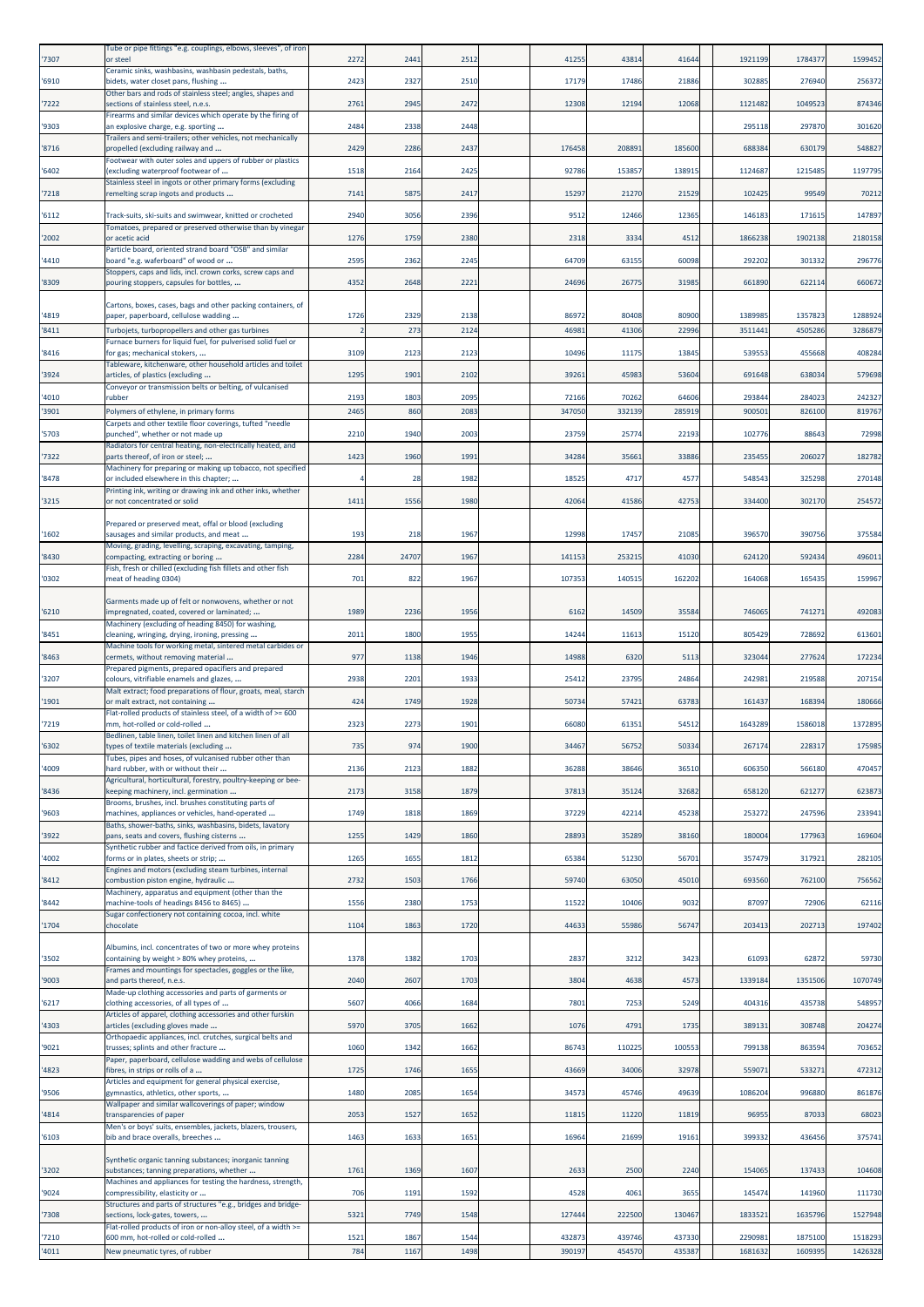| '7307 | Tube or pipe fittings "e.g. couplings, elbows, sleeves", of iron<br>or steel                                       | 2272 | 2441  | 2512 | 41255  | 43814  | 41644  | 1921199 | 1784377 | 1599452 |
|-------|--------------------------------------------------------------------------------------------------------------------|------|-------|------|--------|--------|--------|---------|---------|---------|
| '6910 | Ceramic sinks, washbasins, washbasin pedestals, baths,<br>bidets, water closet pans, flushing                      | 2423 | 2327  | 2510 | 17179  | 17486  | 21886  | 302885  | 276940  | 256372  |
| '7222 | Other bars and rods of stainless steel; angles, shapes and<br>sections of stainless steel, n.e.s.                  | 276  | 2945  | 2472 | 12308  | 12194  | 12068  | 1121482 | 1049523 | 874346  |
| '9303 | Firearms and similar devices which operate by the firing of<br>an explosive charge, e.g. sporting                  | 2484 | 2338  | 2448 |        |        |        | 295118  | 297870  | 301620  |
| '8716 | Trailers and semi-trailers; other vehicles, not mechanically<br>propelled (excluding railway and                   | 2429 | 2286  | 2437 | 176458 | 208891 | 18560  | 688384  | 630179  | 548827  |
| '6402 | Footwear with outer soles and uppers of rubber or plastics<br>(excluding waterproof footwear of                    | 1518 | 2164  | 2425 | 92786  | 153857 | 138915 | 1124687 | 1215485 | 1197795 |
| '7218 | Stainless steel in ingots or other primary forms (excluding<br>remelting scrap ingots and products                 | 7141 | 5875  | 2417 | 15297  | 21270  | 21529  | 102425  | 99549   | 70212   |
| '6112 | Track-suits, ski-suits and swimwear, knitted or crocheted                                                          | 2940 | 3056  | 2396 | 9512   | 12466  | 12365  | 146183  | 171615  | 147897  |
| '2002 | Tomatoes, prepared or preserved otherwise than by vinegar<br>or acetic acid                                        | 1276 | 1759  | 2380 | 2318   | 3334   | 4512   | 186623  | 1902138 | 2180158 |
| '4410 | Particle board, oriented strand board "OSB" and similar<br>board "e.g. waferboard" of wood or                      | 2595 | 2362  | 2245 | 64709  | 63155  | 60098  | 292202  | 301332  | 296776  |
| '8309 | Stoppers, caps and lids, incl. crown corks, screw caps and<br>pouring stoppers, capsules for bottles,              | 4352 | 2648  | 2221 | 24696  | 26775  | 31985  | 661890  | 622114  | 660672  |
|       | Cartons, boxes, cases, bags and other packing containers, of                                                       |      |       |      |        |        |        |         |         |         |
| '4819 | paper, paperboard, cellulose wadding                                                                               | 1726 | 2329  | 2138 | 86972  | 80408  | 80900  | 1389985 | 1357823 | 1288924 |
| '8411 | Turbojets, turbopropellers and other gas turbines<br>Furnace burners for liquid fuel, for pulverised solid fuel or |      | 273   | 2124 | 4698   | 41306  | 2299   | 351144  | 450528  | 3286879 |
| '8416 | for gas; mechanical stokers,<br>Tableware, kitchenware, other household articles and toilet                        | 3109 | 2123  | 2123 | 10496  | 11175  | 13845  | 539553  | 455668  | 408284  |
| '3924 | articles, of plastics (excluding<br>Conveyor or transmission belts or belting, of vulcanised                       | 1295 | 1901  | 2102 | 39261  | 45983  | 53604  | 691648  | 638034  | 579698  |
| '4010 | rubber                                                                                                             | 2193 | 1803  | 2095 | 72166  | 70262  | 64606  | 293844  | 284023  | 242327  |
| '3901 | Polymers of ethylene, in primary forms<br>Carpets and other textile floor coverings, tufted "needle                | 2465 | 860   | 208  | 34705  | 33213  | 285919 | 90050   | 826100  | 819767  |
| '5703 | punched", whether or not made up<br>Radiators for central heating, non-electrically heated, and                    | 2210 | 1940  | 2003 | 23759  | 25774  | 22193  | 102776  | 8864    | 72998   |
| '7322 | parts thereof, of iron or steel;<br>Machinery for preparing or making up tobacco, not specified                    | 1423 | 1960  | 1991 | 34284  | 35661  | 33886  | 23545   | 206027  | 182782  |
| '8478 | or included elsewhere in this chapter;<br>Printing ink, writing or drawing ink and other inks, whether             |      | 28    | 1982 | 18525  | 4717   | 4577   | 548543  | 325298  | 270148  |
| '3215 | or not concentrated or solid                                                                                       | 1411 | 1556  | 1980 | 42064  | 41586  | 42753  | 334400  | 302170  | 254572  |
| '1602 | Prepared or preserved meat, offal or blood (excluding<br>sausages and similar products, and meat                   | 193  | 218   | 1967 | 12998  | 17457  | 21085  | 396570  | 390756  | 375584  |
| '8430 | Moving, grading, levelling, scraping, excavating, tamping,                                                         | 2284 | 24707 | 1967 | 141153 | 25321  | 41030  | 624120  | 592434  | 496011  |
|       | compacting, extracting or boring<br>Fish, fresh or chilled (excluding fish fillets and other fish                  |      |       |      |        |        |        |         |         |         |
| '0302 | meat of heading 0304)                                                                                              | 701  | 822   | 1967 | 107353 | 14051  | 16220  | 164068  | 165435  | 159967  |
| '6210 | Garments made up of felt or nonwovens, whether or not<br>impregnated, coated, covered or laminated;                | 1989 | 2236  | 1956 | 6162   | 14509  | 35584  | 746065  | 741271  | 492083  |
| '8451 | Machinery (excluding of heading 8450) for washing,<br>cleaning, wringing, drying, ironing, pressing                | 201  | 1800  | 1955 | 14244  | 11613  | 15120  | 805429  | 728692  | 613601  |
| '8463 | Machine tools for working metal, sintered metal carbides or<br>cermets, without removing material                  | 977  | 1138  | 1946 | 14988  | 6320   | 5113   | 32304   | 277624  | 172234  |
| '3207 | Prepared pigments, prepared opacifiers and prepared<br>colours, vitrifiable enamels and glazes,                    | 2938 | 2201  | 1933 | 25412  | 23795  | 24864  | 242981  | 219588  | 207154  |
| '1901 | Malt extract; food preparations of flour, groats, meal, starch<br>or malt extract, not containing                  | 424  | 1749  | 1928 | 50734  | 57421  | 63783  | 161437  | 168394  | 180666  |
| '7219 | Flat-rolled products of stainless steel, of a width of >= 600<br>mm, hot-rolled or cold-rolled                     | 2323 | 2273  | 1901 | 66080  | 61351  | 54512  | 1643289 | 1586018 | 1372895 |
| '6302 | Bedlinen, table linen, toilet linen and kitchen linen of all<br>types of textile materials (excluding              | 735  | 974   | 1900 | 34467  | 56752  | 50334  | 267174  | 228317  | 175985  |
| '4009 | Tubes, pipes and hoses, of vulcanised rubber other than<br>hard rubber, with or without their                      | 2136 | 2123  | 1882 | 36288  | 38646  | 36510  | 606350  | 566180  | 470457  |
| '8436 | Agricultural, horticultural, forestry, poultry-keeping or bee-                                                     | 2173 | 3158  | 1879 | 3781   | 35124  | 32682  | 658120  | 621277  | 623873  |
|       | keeping machinery, incl. germination<br>Brooms, brushes, incl. brushes constituting parts of                       |      |       |      |        |        |        |         |         |         |
| '9603 | machines, appliances or vehicles, hand-operated<br>Baths, shower-baths, sinks, washbasins, bidets, lavatory        | 1749 | 1818  | 1869 | 37229  | 42214  | 45238  | 253272  | 247596  | 233941  |
| '3922 | pans, seats and covers, flushing cisterns<br>Synthetic rubber and factice derived from oils, in primary            | 1255 | 1429  | 1860 | 28893  | 35289  | 38160  | 180004  | 177963  | 169604  |
| '4002 | forms or in plates, sheets or strip;<br>Engines and motors (excluding steam turbines, internal                     | 1265 | 1655  | 1812 | 65384  | 51230  | 56701  | 357479  | 317921  | 282105  |
| '8412 | combustion piston engine, hydraulic<br>Machinery, apparatus and equipment (other than the                          | 2732 | 1503  | 1766 | 59740  | 63050  | 45010  | 693560  | 762100  | 756562  |
| '8442 | machine-tools of headings 8456 to 8465)<br>Sugar confectionery not containing cocoa, incl. white                   | 1556 | 2380  | 1753 | 11522  | 10406  | 9032   | 87097   | 72906   | 62116   |
| '1704 | chocolate                                                                                                          | 1104 | 1863  | 1720 | 44633  | 55986  | 56747  | 203413  | 202713  | 197402  |
| '3502 | Albumins, incl. concentrates of two or more whey proteins<br>containing by weight > 80% whey proteins,             | 1378 | 1382  | 1703 | 2837   | 3212   | 3423   | 61093   | 62872   | 59730   |
| '9003 | Frames and mountings for spectacles, goggles or the like,<br>and parts thereof, n.e.s.                             | 2040 | 2607  | 1703 | 3804   | 4638   | 4573   | 1339184 | 1351506 | 1070749 |
| '6217 | Made-up clothing accessories and parts of garments or<br>clothing accessories, of all types of                     | 5607 | 4066  | 1684 | 7801   | 7253   | 5249   | 404316  | 435738  | 548957  |
| '4303 | Articles of apparel, clothing accessories and other furskin<br>articles (excluding gloves made                     | 5970 | 3705  | 1662 | 1076   | 4791   | 1735   | 389131  | 308748  | 204274  |
| '9021 | Orthopaedic appliances, incl. crutches, surgical belts and<br>trusses; splints and other fracture                  | 1060 | 1342  | 1662 | 86743  | 110225 | 100553 | 799138  | 863594  | 703652  |
|       | Paper, paperboard, cellulose wadding and webs of cellulose                                                         |      |       |      |        |        |        |         |         |         |
| '4823 | fibres, in strips or rolls of a<br>Articles and equipment for general physical exercise,                           | 1725 | 1746  | 1655 | 43669  | 34006  | 32978  | 559071  | 533271  | 472312  |
| '9506 | gymnastics, athletics, other sports,<br>Wallpaper and similar wallcoverings of paper; window                       | 1480 | 2085  | 1654 | 34573  | 45746  | 49639  | 1086204 | 996880  | 861876  |
| '4814 | transparencies of paper<br>Men's or boys' suits, ensembles, jackets, blazers, trousers,                            | 2053 | 1527  | 1652 | 11815  | 11220  | 11819  | 96955   | 87033   | 68023   |
| '6103 | bib and brace overalls, breeches                                                                                   | 1463 | 1633  | 1651 | 16964  | 21699  | 19161  | 399332  | 436456  | 375741  |
| '3202 | Synthetic organic tanning substances; inorganic tanning<br>substances; tanning preparations, whether               | 1761 | 1369  | 1607 | 2633   | 2500   | 2240   | 154065  | 137433  | 104608  |
| '9024 | Machines and appliances for testing the hardness, strength,<br>compressibility, elasticity or                      | 706  | 1191  | 1592 | 4528   | 4061   | 3655   | 145474  | 141960  | 111730  |
| '7308 | Structures and parts of structures "e.g., bridges and bridge-<br>sections, lock-gates, towers,                     | 5321 | 7749  | 1548 | 127444 | 222500 | 130467 | 1833521 | 1635796 | 1527948 |
| '7210 | Flat-rolled products of iron or non-alloy steel, of a width >=<br>600 mm, hot-rolled or cold-rolled                | 1521 | 1867  | 1544 | 432873 | 439746 | 437330 | 2290981 | 1875100 | 1518293 |
| '4011 | New pneumatic tyres, of rubber                                                                                     | 784  | 1167  | 1498 | 390197 | 454570 | 435387 | 1681632 | 1609395 | 1426328 |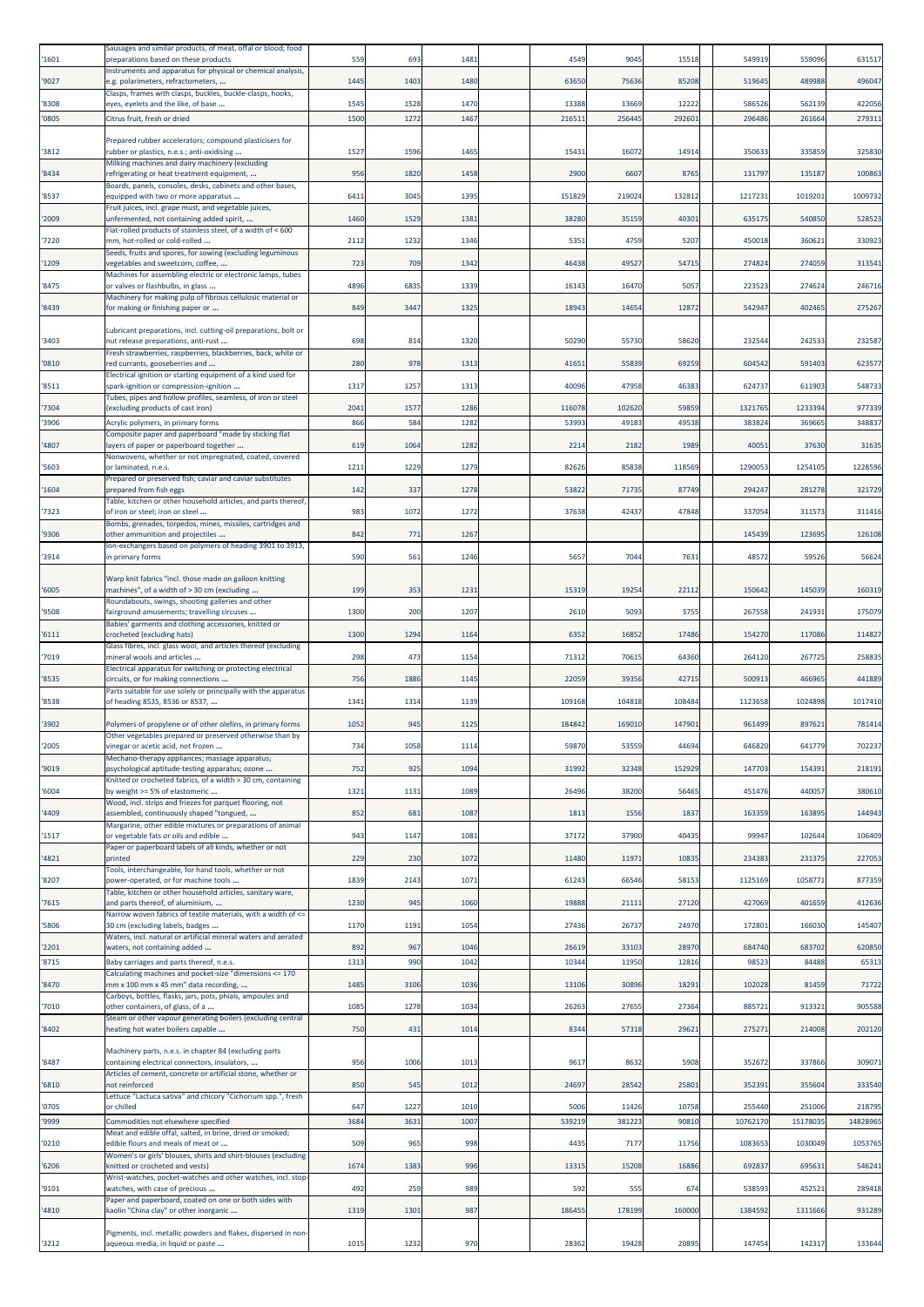| '1601          | Sausages and similar products, of meat, offal or blood; food<br>preparations based on these products                    | 559         | 693          | 1481         | 4549           | 9045            | 15518          | 549919             | 559096             | 631517             |
|----------------|-------------------------------------------------------------------------------------------------------------------------|-------------|--------------|--------------|----------------|-----------------|----------------|--------------------|--------------------|--------------------|
| '9027          | nstruments and apparatus for physical or chemical analysis,<br>e.g. polarimeters, refractometers,                       | 1445        | 1403         | 1480         | 63650          | 75636           | 85208          | 51964              | 489988             | 496047             |
| '8308          | Clasps, frames with clasps, buckles, buckle-clasps, hooks,<br>eyes, eyelets and the like, of base                       | 1545        | 1528         | 1470         | 13388          | 13669           | 12222          | 586526             | 562139             | 422056             |
| '0805          | Citrus fruit, fresh or dried                                                                                            | 1500        | 1272         | 1467         | 21651          | 25644           | 29260:         | 296486             | 261664             | 279311             |
|                | Prepared rubber accelerators; compound plasticisers for                                                                 |             |              |              |                |                 |                |                    |                    |                    |
| '3812          | rubber or plastics, n.e.s.; anti-oxidising<br>Milking machines and dairy machinery (excluding                           | 152         | 1596         | 1465         | 15431          | 16072           | 14914          | 350633             | 335859             | 325830             |
| '8434          | refrigerating or heat treatment equipment,<br>Boards, panels, consoles, desks, cabinets and other bases,                | 956         | 1820         | 1458         | 2900           | 6607            | 8765           | 131797             | 135187             | 100863             |
| '8537          | equipped with two or more apparatus                                                                                     | 641         | 3045         | 1395         | 151829         | 219024          | 132812         | 1217231            | 1019201            | 1009732            |
| '2009          | Fruit juices, incl. grape must, and vegetable juices,<br>unfermented, not containing added spirit,                      | 1460        | 1529         | 1381         | 38280          | 35159           | 40301          | 635175             | 540850             | 528523             |
| '7220          | Flat-rolled products of stainless steel, of a width of < 600<br>mm, hot-rolled or cold-rolled                           | 2112        | 1232         | 1346         | 5351           | 4759            | 5207           | 450018             | 360621             | 330923             |
| '1209          | Seeds, fruits and spores, for sowing (excluding leguminous<br>vegetables and sweetcorn, coffee,                         | 723         | 709          | 1342         | 46438          | 49527           | 54715          | 274824             | 274059             | 313541             |
| '8475          | Machines for assembling electric or electronic lamps, tubes<br>or valves or flashbulbs, in glass                        | 4896        | 6835         | 1339         | 16143          | 16470           | 5057           | 223523             | 274624             | 246716             |
| '8439          | Machinery for making pulp of fibrous cellulosic material or<br>for making or finishing paper or                         | 849         | 3447         | 1325         | 1894           | 14654           | 12872          | 542947             | 402465             | 275267             |
|                |                                                                                                                         |             |              |              |                |                 |                |                    |                    |                    |
| '3403          | Lubricant preparations, incl. cutting-oil preparations, bolt or<br>nut release preparations, anti-rust                  | 698         | 814          | 1320         | 50290          | 55730           | 58620          | 232544             | 24253              | 232587             |
| '0810          | Fresh strawberries, raspberries, blackberries, back, white or<br>red currants, gooseberries and                         | 280         | 978          | 1313         | 41651          | 55839           | 69259          | 604542             | 591403             | 623577             |
| '8511          | Electrical ignition or starting equipment of a kind used for<br>spark-ignition or compression-ignition                  | 1317        | 1257         | 1313         | 40096          | 47958           | 46383          | 624737             | 611903             | 548733             |
| '7304          | Tubes, pipes and hollow profiles, seamless, of iron or steel<br>(excluding products of cast iron)                       | 2041        | 1577         | 1286         | 116078         | 102620          | 59859          | 1321765            | 123339             | 977339             |
| '3906          | Acrylic polymers, in primary forms                                                                                      | 866         | 584          | 1282         | 5399           | 49183           | 49538          | 38382              | 36966              | 348837             |
| '4807          | Composite paper and paperboard "made by sticking flat<br>layers of paper or paperboard together                         | 619         | 1064         | 1282         | 2214           | 2182            | 1989           | 40051              | 37630              | 31635              |
| '5603          | Nonwovens, whether or not impregnated, coated, covered<br>or laminated, n.e.s.                                          | 121         | 1229         | 1279         | 82626          | 85838           | 118569         | 1290053            | 1254105            | 1228596            |
| '1604          | Prepared or preserved fish; caviar and caviar substitutes<br>prepared from fish eggs                                    | 142         | 337          | 1278         | 53822          | 71735           | 87749          | 294247             | 281278             | 321729             |
|                | Table, kitchen or other household articles, and parts thereof,                                                          |             |              |              |                |                 |                |                    |                    |                    |
| '7323          | of iron or steel; iron or steel<br>Bombs, grenades, torpedos, mines, missiles, cartridges and                           | 983         | 1072         | 1272         | 37638          | 42437           | 47848          | 337054             | 311573             | 311416             |
| '9306          | other ammunition and projectiles<br>Ion-exchangers based on polymers of heading 3901 to 3913,                           | 842         | 771          | 126          |                |                 |                | 145439             | 123695             | 126108             |
| '3914          | in primary forms                                                                                                        | 590         | 561          | 1246         | 5657           | 7044            | 7631           | 48572              | 59526              | 56624              |
| '6005          | Warp knit fabrics "incl. those made on galloon knitting<br>machines", of a width of > 30 cm (excluding                  | 199         | 353          | 123          | 15319          | 19254           | 22112          | 150642             | 145039             | 160319             |
| '9508          | Roundabouts, swings, shooting galleries and other<br>fairground amusements; travelling circuses                         | 1300        | 200          | 1207         | 2610           | 5093            | 3755           | 267558             | 241931             | 175079             |
| '6111          | Babies' garments and clothing accessories, knitted or<br>crocheted (excluding hats)                                     | 1300        | 1294         | 1164         | 6352           | 16852           | 17486          | 154270             | 117086             | 114827             |
| '7019          | Glass fibres, incl. glass wool, and articles thereof (excluding<br>mineral wools and articles                           | 298         | 473          | 1154         | 71312          | 7061            | 64360          | 264120             | 26772              | 258835             |
|                |                                                                                                                         |             |              |              |                |                 |                |                    |                    |                    |
|                | Electrical apparatus for switching or protecting electrical                                                             |             |              |              |                |                 |                |                    |                    |                    |
| '8535          | circuits, or for making connections<br>Parts suitable for use solely or principally with the apparatus                  | 756         | 1886         | 1145         | 22059          | 39356           | 42715          | 500913             | 466965             | 441889             |
| '8538          | of heading 8535, 8536 or 8537,                                                                                          | 134         | 1314         | 1139         | 109168         | 104818          | 108484         | 1123658            | 1024898            | 1017410            |
| '3902          | Polymers of propylene or of other olefins, in primary forms<br>Other vegetables prepared or preserved otherwise than by | 1052        | 945          | 1125         | 184842         | 169010          | 147901         | 961499             | 897621             | 781414             |
| '2005          | vinegar or acetic acid, not frozen<br>Mechano-therapy appliances; massage apparatus;                                    | 734         | 1058         | 1114         | 59870          | 53559           | 44694          | 646820             | 641779             | 702237             |
| '9019          | psychological aptitude-testing apparatus; ozone                                                                         | 752         | 925          | 1094         | 31992          | 32348           | 15292          | 147703             | 154391             | 218191             |
| '6004          | Knitted or crocheted fabrics, of a width > 30 cm, containing<br>by weight >= 5% of elastomeric                          | 1321        | 1131         | 1089         | 26496          | 38200           | 56465          | 451476             | 440057             | 380610             |
| '4409          | Wood, incl. strips and friezes for parquet flooring, not<br>assembled, continuously shaped "tongued,                    | 852         | 681          | 1087         | 1813           | 1556            | 1837           | 163359             | 163895             | 144943             |
| '1517          | Margarine, other edible mixtures or preparations of animal<br>or vegetable fats or oils and edible                      | 943         | 1147         | 1081         | 37172          | 37900           | 40435          | 99947              | 102644             | 106409             |
| '4821          | Paper or paperboard labels of all kinds, whether or not<br>printed                                                      | 229         | 230          | 1072         | 11480          | 11971           | 10835          | 234383             | 231375             | 227053             |
| '8207          | Tools, interchangeable, for hand tools, whether or not<br>power-operated, or for machine tools                          | 1839        | 2143         | 1071         | 61243          | 66546           | 58153          | 1125169            | 1058771            | 877359             |
|                | Table, kitchen or other household articles, sanitary ware,                                                              |             |              |              |                |                 |                |                    |                    |                    |
| '7615          | and parts thereof, of aluminium,<br>Narrow woven fabrics of textile materials, with a width of <=                       | 1230        | 945          | 1060         | 19888          | 21111           | 27120          | 427069             | 401659             | 412636             |
| '5806          | 30 cm (excluding labels, badges<br>Waters, incl. natural or artificial mineral waters and aerated                       | 1170        | 1191         | 1054         | 27436          | 26737           | 24970          | 172801             | 166030             | 145407             |
| '2201          | waters, not containing added                                                                                            | 892<br>1313 | 967<br>990   | 1046<br>1042 | 26619          | 33103           | 28970          | 684740             | 683702             | 620850             |
| '8715          | Baby carriages and parts thereof, n.e.s.<br>Calculating machines and pocket-size "dimensions <= 170                     |             |              |              | 10344          | 11950           | 12816          | 98523              | 84488              | 65313              |
| '8470          | mm x 100 mm x 45 mm" data recording,<br>Carboys, bottles, flasks, jars, pots, phials, ampoules and                      | 1485        | 3106         | 1036         | 13106          | 30896           | 18291          | 102028             | 81459              | 71722              |
| '7010          | other containers, of glass, of a<br>Steam or other vapour generating boilers (excluding central                         | 108         | 1278         | 1034         | 26263          | 27655           | 27364          | 885721             | 913321             | 905588             |
| '8402          | heating hot water boilers capable                                                                                       | 750         | 431          | 1014         | 8344           | 57318           | 29621          | 275271             | 214008             | 202120             |
| '8487          | Machinery parts, n.e.s. in chapter 84 (excluding parts<br>containing electrical connectors, insulators,                 | 956         | 1006         | 1013         | 9617           | 8632            | 5908           | 352672             | 337866             | 309071             |
|                | Articles of cement, concrete or artificial stone, whether or                                                            |             |              |              |                |                 |                |                    |                    |                    |
| '6810          | not reinforced<br>Lettuce "Lactuca sativa" and chicory "Cichorium spp.", fresh                                          | 850         | 545          | 1012         | 24697          | 28542           | 25801          | 352391             | 355604             | 333540             |
| '0705<br>'9999 | or chilled<br>Commodities not elsewhere specified                                                                       | 647<br>3684 | 1227<br>3631 | 1010<br>1007 | 5006<br>539219 | 11426<br>381223 | 10758<br>90810 | 255440<br>10762170 | 251006<br>15178035 | 218795<br>14828965 |
| '0210          | Meat and edible offal, salted, in brine, dried or smoked;<br>edible flours and meals of meat or                         | 509         | 965          | 998          | 4435           | 7177            | 11756          | 1083653            | 1030049            | 1053765            |
|                | Women's or girls' blouses, shirts and shirt-blouses (excluding                                                          |             |              | 996          |                |                 |                |                    |                    |                    |
| '6206          | knitted or crocheted and vests)<br>Wrist-watches, pocket-watches and other watches, incl. stop                          | 1674        | 1383         |              | 13315          | 15208           | 16886          | 692837             | 695631             | 546241             |
| '9101          | watches, with case of precious<br>Paper and paperboard, coated on one or both sides with                                | 492         | 259          | 989          | 592            | 555             | 674            | 538593             | 452521             | 289418             |
| '4810          | kaolin "China clay" or other inorganic<br>Pigments, incl. metallic powders and flakes, dispersed in non-                | 1319        | 1301         | 987          | 186455         | 178199          | 160000         | 1384592            | 1311666            | 931289             |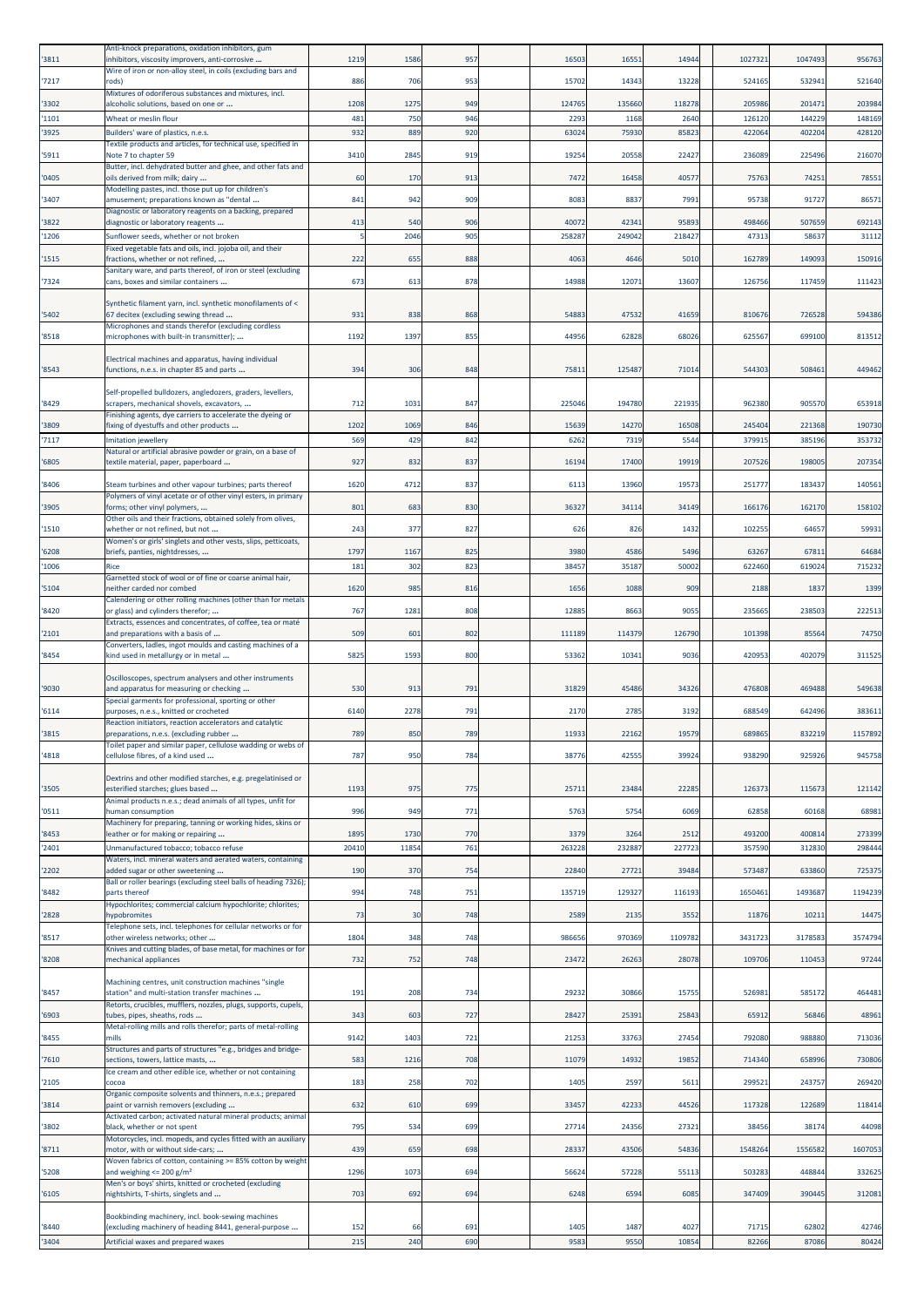| '3811          | Anti-knock preparations, oxidation inhibitors, gum<br>inhibitors, viscosity improvers, anti-corrosive    | 1219        | 1586        | 957        | 16503         | 16551          | 14944         | 1027321         | 1047493         | 956763          |
|----------------|----------------------------------------------------------------------------------------------------------|-------------|-------------|------------|---------------|----------------|---------------|-----------------|-----------------|-----------------|
| '7217          | Wire of iron or non-alloy steel, in coils (excluding bars and<br>rods)                                   | 886         | 706         | 953        | 15702         | 14343          | 13228         | 524165          | 53294:          | 521640          |
| '3302          | Mixtures of odoriferous substances and mixtures, incl.<br>alcoholic solutions, based on one or           | 1208        | 1275        | 949        | 124765        | 135660         | 118278        | 205986          | 201471          | 203984          |
| '1101          | Wheat or meslin flour                                                                                    | 481         | 750         | 946        | 2293          | 1168           | 2640          | 12612           | 144229          | 148169          |
| '3925          | Builders' ware of plastics, n.e.s.<br>Textile products and articles, for technical use, specified in     | 932         | 889         | 920        | 63024         | 75930          | 8582          | 42206           | 402204          | 428120          |
| '5911          | Note 7 to chapter 59<br>Butter, incl. dehydrated butter and ghee, and other fats and                     | 3410        | 2845        | 919        | 19254         | 20558          | 22427         | 23608           | 225496          | 216070          |
| '0405          | oils derived from milk; dairy                                                                            | 60          | 170         | 913        | 7472          | 16458          | 4057          | 75763           | 74251           | 78551           |
| '3407          | Modelling pastes, incl. those put up for children's<br>amusement; preparations known as "dental          | 841         | 942         | 909        | 8083          | 8837           | 7991          | 95738           | 91727           | 86571           |
| '3822          | Diagnostic or laboratory reagents on a backing, prepared<br>diagnostic or laboratory reagents            | 413         | 540         | 906        | 40072         | 42341          | 95893         | 498466          | 507659          | 692143          |
| '1206          | Sunflower seeds, whether or not broken                                                                   |             | 2046        | 905        | 25828         | 249042         | 218427        | 4731            | 5863            | 31112           |
| '1515          | Fixed vegetable fats and oils, incl. jojoba oil, and their<br>fractions, whether or not refined,         | 222         | 655         | 888        | 4063          | 4646           | 5010          | 162789          | 149093          | 150916          |
| '7324          | Sanitary ware, and parts thereof, of iron or steel (excluding<br>cans, boxes and similar containers      | 673         | 613         | 878        | 14988         | 12071          | 1360          | 126756          | 117459          | 111423          |
|                | Synthetic filament yarn, incl. synthetic monofilaments of <                                              |             |             |            |               |                |               |                 |                 |                 |
| '5402          | 67 decitex (excluding sewing thread<br>Microphones and stands therefor (excluding cordless               | 931         | 838         | 868        | 54883         | 47532          | 41659         | 81067           | 726528          | 594386          |
| '8518          | microphones with built-in transmitter);                                                                  | 1192        | 1397        | 855        | 44956         | 62828          | 68026         | 625567          | 699100          | 813512          |
|                | Electrical machines and apparatus, having individual                                                     |             |             |            |               |                |               |                 |                 |                 |
| '8543          | functions, n.e.s. in chapter 85 and parts                                                                | 394         | 306         | 848        | 75811         | 125487         | 71014         | 544303          | 508461          | 449462          |
| '8429          | Self-propelled bulldozers, angledozers, graders, levellers,<br>scrapers, mechanical shovels, excavators, | 712         | 1031        | 847        | 22504         | 194780         | 22193         | 962380          | 905570          | 653918          |
| '3809          | Finishing agents, dye carriers to accelerate the dyeing or<br>fixing of dyestuffs and other products     | 1202        | 1069        | 846        | 15639         | 14270          | 16508         | 245404          | 221368          | 190730          |
| '7117          | Imitation jewellery                                                                                      | 569         | 429         | 842        | 6262          | 7319           | 5544          | 379915          | 385196          | 353732          |
| '6805          | Natural or artificial abrasive powder or grain, on a base of<br>textile material, paper, paperboard      | 927         | 832         | 837        | 16194         | 17400          | 19919         | 207526          | 198005          | 207354          |
| '8406          | Steam turbines and other vapour turbines; parts thereof                                                  | 1620        | 4712        | 837        | 6113          | 13960          | 19573         | 251777          | 183437          | 140561          |
| '3905          | Polymers of vinyl acetate or of other vinyl esters, in primary<br>forms; other vinyl polymers,           | 801         | 683         | 830        | 36327         | 34114          | 34149         | 166176          | 162170          | 158102          |
| '1510          | Other oils and their fractions, obtained solely from olives,<br>whether or not refined, but not          | 243         | 377         | 827        | 626           | 826            | 1432          | 10225           | 64657           | 59931           |
|                | Women's or girls' singlets and other vests, slips, petticoats,                                           |             |             |            |               |                |               |                 |                 |                 |
| '6208<br>'1006 | briefs, panties, nightdresses,<br>Rice                                                                   | 1797<br>181 | 1167<br>302 | 825<br>823 | 3980<br>38457 | 4586<br>35187  | 5496<br>50002 | 63267<br>622460 | 67811<br>619024 | 64684<br>715232 |
| '5104          | Garnetted stock of wool or of fine or coarse animal hair,<br>neither carded nor combed                   | 1620        | 985         | 816        | 1656          | 1088           | 909           | 2188            | 1837            | 1399            |
|                | Calendering or other rolling machines (other than for metals                                             | 767         |             | 808        | 12885         |                | 9055          |                 | 238503          |                 |
| '8420          | or glass) and cylinders therefor;<br>Extracts, essences and concentrates, of coffee, tea or maté         |             | 1281        |            |               | 8663           |               | 235669          |                 | 222513          |
| '2101          | and preparations with a basis of<br>Converters, ladles, ingot moulds and casting machines of a           | 509         | 601         | 802        | 111189        | 114379         | 126790        | 101398          | 85564           | 74750           |
| '8454          | kind used in metallurgy or in metal                                                                      | 5825        | 1593        | 800        | 53362         | 10341          | 9036          | 420953          | 402079          | 311525          |
| '9030          | Oscilloscopes, spectrum analysers and other instruments<br>and apparatus for measuring or checking       | 530         | 913         | 791        | 31829         | 45486          | 34326         | 476808          | 469488          | 549638          |
| '6114          | Special garments for professional, sporting or other<br>purposes, n.e.s., knitted or crocheted           | 6140        | 2278        | 791        | 2170          | 2785           | 3192          | 688549          | 642496          | 383611          |
|                | Reaction initiators, reaction accelerators and catalytic                                                 |             |             |            |               |                |               |                 |                 |                 |
| '3815          | preparations, n.e.s. (excluding rubber<br>Toilet paper and similar paper, cellulose wadding or webs of   | 789         | 850         | 789        | 11933         | 22162          | 19579         | 689865          | 832219          | 1157892         |
| '4818          | cellulose fibres, of a kind used                                                                         | 787         | 950         | 784        | 38776         | 42555          | 39924         | 938290          | 925926          | 945758          |
| '3505          | Dextrins and other modified starches, e.g. pregelatinised or<br>esterified starches; glues based         | 1193        | 975         | 775        | 25711         | 23484          | 22285         | 12637           | 115673          | 121142          |
| '0511          | Animal products n.e.s.; dead animals of all types, unfit for<br>human consumption                        | 996         | 949         | 771        | 5763          | 5754           | 6069          | 62858           | 60168           | 68981           |
|                | Machinery for preparing, tanning or working hides, skins or                                              | 1895        | 1730        | 770        |               |                | 2512          | 493200          | 400814          | 273399          |
| '8453<br>'2401 | leather or for making or repairing<br>Unmanufactured tobacco; tobacco refuse                             | 20410       | 11854       | 761        | 3379<br>26322 | 3264<br>232887 | 22772         | 35759           | 312830          | 298444          |
| '2202          | Waters, incl. mineral waters and aerated waters, containing<br>added sugar or other sweetening           | 190         | 370         | 754        | 22840         | 27721          | 39484         | 573487          | 633860          | 725375          |
| '8482          | Ball or roller bearings (excluding steel balls of heading 7326);<br>parts thereof                        | 994         | 748         | 751        | 135719        | 129327         | 116193        | 1650461         | 1493687         | 1194239         |
| '2828          | Hypochlorites; commercial calcium hypochlorite; chlorites;<br>hypobromites                               | 73          | 30          | 748        | 2589          | 2135           | 3552          | 11876           | 10211           | 14475           |
|                | Telephone sets, incl. telephones for cellular networks or for                                            |             |             |            |               |                |               |                 |                 |                 |
| '8517          | other wireless networks; other<br>Knives and cutting blades, of base metal, for machines or for          | 1804        | 348         | 748        | 986656        | 970369         | 1109782       | 3431723         | 3178583         | 3574794         |
| '8208          | mechanical appliances                                                                                    | 732         | 752         | 748        | 23472         | 26263          | 28078         | 109706          | 110453          | 97244           |
| '8457          | Machining centres, unit construction machines "single<br>station" and multi-station transfer machines    | 191         | 208         | 734        | 29232         | 30866          | 15755         | 526981          | 585172          | 464481          |
| '6903          | Retorts, crucibles, mufflers, nozzles, plugs, supports, cupels,<br>tubes, pipes, sheaths, rods           | 343         | 603         | 727        | 28427         | 25391          | 25843         | 65912           | 56846           | 48961           |
| '8455          | Metal-rolling mills and rolls therefor; parts of metal-rolling<br>mills                                  | 9142        | 1403        | 721        | 21253         | 33763          | 27454         | 792080          | 988880          | 713036          |
|                | Structures and parts of structures "e.g., bridges and bridge-                                            |             |             |            |               |                |               |                 |                 |                 |
| '7610          | sections, towers, lattice masts,<br>Ice cream and other edible ice, whether or not containing            | 583         | 1216        | 708        | 11079         | 14932          | 19852         | 714340          | 658996          | 730806          |
| '2105          | cocoa<br>Organic composite solvents and thinners, n.e.s.; prepared                                       | 183         | 258         | 702        | 1405          | 2597           | 5611          | 299521          | 243757          | 269420          |
| '3814          | paint or varnish removers (excluding<br>Activated carbon; activated natural mineral products; animal     | 632         | 610         | 699        | 33457         | 42233          | 44526         | 117328          | 122689          | 118414          |
| '3802          | black, whether or not spent<br>Motorcycles, incl. mopeds, and cycles fitted with an auxiliary            | 795         | 534         | 699        | 27714         | 24356          | 27321         | 38456           | 38174           | 44098           |
| '8711          | motor, with or without side-cars;<br>Woven fabrics of cotton, containing >= 85% cotton by weight         | 439         | 659         | 698        | 28337         | 43506          | 54836         | 1548264         | 1556582         | 1607053         |
| '5208          | and weighing $\leq$ 200 g/m <sup>2</sup>                                                                 | 1296        | 1073        | 694        | 56624         | 57228          | 55113         | 503283          | 448844          | 332625          |
| '6105          | Men's or boys' shirts, knitted or crocheted (excluding<br>nightshirts, T-shirts, singlets and            | 703         | 692         | 694        | 6248          | 6594           | 6085          | 347409          | 390445          | 312081          |
|                | Bookbinding machinery, incl. book-sewing machines                                                        |             |             |            |               |                |               |                 |                 |                 |
| '8440<br>'3404 | (excluding machinery of heading 8441, general-purpose<br>Artificial waxes and prepared waxes             | 152<br>215  | 66<br>240   | 691<br>690 | 1405<br>9583  | 1487<br>9550   | 4027<br>10854 | 71715<br>82266  | 62802<br>87086  | 42746<br>80424  |
|                |                                                                                                          |             |             |            |               |                |               |                 |                 |                 |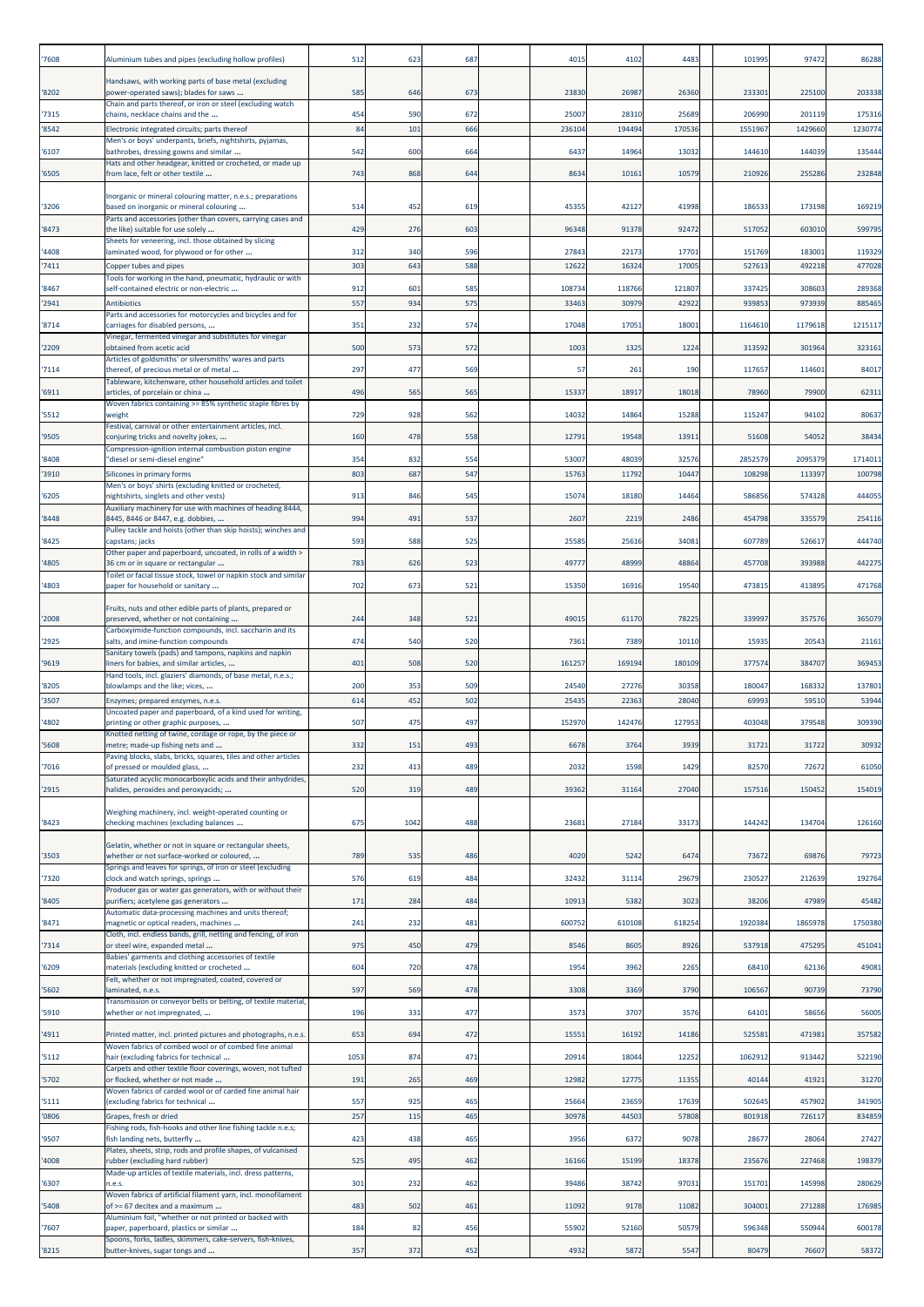| 7608  | Aluminium tubes and pipes (excluding hollow profiles)                                                                             | 512  | 623  | 687 | 4015   | 4102   | 4483   | 101995  | 97472   | 86288   |
|-------|-----------------------------------------------------------------------------------------------------------------------------------|------|------|-----|--------|--------|--------|---------|---------|---------|
| '8202 | Handsaws, with working parts of base metal (excluding<br>power-operated saws); blades for saws                                    | 585  | 646  | 673 | 23830  | 26987  | 26360  | 233301  | 225100  | 203338  |
| '7315 | Chain and parts thereof, or iron or steel (excluding watch<br>chains, necklace chains and the                                     | 454  | 590  | 672 | 25007  | 28310  | 2568   | 20699   | 201119  | 175316  |
| 8542  | Electronic integrated circuits; parts thereof                                                                                     | 84   | 101  | 666 | 23610  | 194494 | 17053  | 1551967 | 1429660 | 1230774 |
| '6107 | Men's or boys' underpants, briefs, nightshirts, pyjamas,<br>bathrobes, dressing gowns and similar                                 | 542  | 600  | 664 | 6437   | 14964  | 13032  | 144610  | 144039  | 135444  |
| '6505 | Hats and other headgear, knitted or crocheted, or made up<br>from lace, felt or other textile                                     | 743  | 868  | 644 | 8634   | 10161  | 10579  | 210926  | 255286  | 232848  |
| 3206  | Inorganic or mineral colouring matter, n.e.s.; preparations<br>based on inorganic or mineral colouring                            | 514  | 452  | 619 | 45355  | 42127  | 41998  | 18653   | 173198  | 169219  |
| 8473  | Parts and accessories (other than covers, carrying cases and<br>the like) suitable for use solely                                 | 429  | 276  | 603 | 96348  | 91378  | 92472  | 51705   | 603010  | 599795  |
| '4408 | Sheets for veneering, incl. those obtained by slicing<br>laminated wood, for plywood or for other                                 | 312  | 340  | 596 | 27843  | 22173  | 17701  | 151769  | 183001  | 119329  |
| '7411 | Copper tubes and pipes                                                                                                            | 303  | 643  | 588 | 1262   | 1632   | 1700   | 52761   | 49221   | 477028  |
| '8467 | Tools for working in the hand, pneumatic, hydraulic or with<br>self-contained electric or non-electric                            | 912  | 601  | 585 | 108734 | 118766 | 121807 | 33742   | 308603  | 289368  |
| 2941  | Antibiotics<br>Parts and accessories for motorcycles and bicycles and for                                                         | 557  | 934  | 575 | 3346   | 3097   | 4292   | 93985   | 97393   | 885465  |
| '8714 | carriages for disabled persons,                                                                                                   | 351  | 232  | 574 | 17048  | 17051  | 18001  | 1164610 | 1179618 | 121511  |
| '2209 | Vinegar, fermented vinegar and substitutes for vinegar<br>obtained from acetic acid                                               | 500  | 573  | 572 | 1003   | 1325   | 1224   | 31359   | 301964  | 323161  |
| 7114  | Articles of goldsmiths' or silversmiths' wares and parts<br>thereof, of precious metal or of metal                                | 297  | 477  | 569 | 57     | 261    | 190    | 117657  | 114601  | 84017   |
| '6911 | Tableware, kitchenware, other household articles and toilet<br>articles, of porcelain or china                                    | 496  | 565  | 565 | 15337  | 18917  | 18018  | 78960   | 79900   | 62311   |
| '5512 | Woven fabrics containing >= 85% synthetic staple fibres by<br>weight<br>Festival, carnival or other entertainment articles, incl. | 729  | 928  | 562 | 1403   | 14864  | 15288  | 115247  | 94102   | 80637   |
| '9505 | conjuring tricks and novelty jokes,                                                                                               | 160  | 478  | 558 | 1279:  | 19548  | 13911  | 51608   | 54052   | 38434   |
| '8408 | Compression-ignition internal combustion piston engine<br>"diesel or semi-diesel engine"                                          | 354  | 832  | 554 | 5300   | 48039  | 32576  | 285257  | 2095379 | 171401: |
| 3910  | Silicones in primary forms<br>Men's or boys' shirts (excluding knitted or crocheted,                                              | 80   | 687  | 547 | 1576   | 11792  | 10447  | 10829   | 113397  | 100798  |
| '6205 | nightshirts, singlets and other vests)<br>Auxiliary machinery for use with machines of heading 8444,                              | 913  | 846  | 545 | 1507   | 18180  | 14464  | 58685   | 574328  | 444055  |
| 8448  | 8445, 8446 or 8447, e.g. dobbies,<br>Pulley tackle and hoists (other than skip hoists); winches and                               | 994  | 491  | 537 | 2607   | 2219   | 2486   | 454798  | 335579  | 254116  |
| '8425 | capstans; jacks<br>Other paper and paperboard, uncoated, in rolls of a width >                                                    | 593  | 588  | 525 | 25585  | 25616  | 34081  | 60778   | 52661   | 444740  |
| '4805 | 36 cm or in square or rectangular<br>Toilet or facial tissue stock, towel or napkin stock and similar                             | 783  | 626  | 523 | 4977   | 48999  | 48864  | 457708  | 393988  | 442275  |
| '4803 | paper for household or sanitary                                                                                                   | 702  | 673  | 521 | 15350  | 16916  | 19540  | 47381   | 413895  | 471768  |
| '2008 | Fruits, nuts and other edible parts of plants, prepared or<br>preserved, whether or not containing                                | 244  | 348  | 521 | 49015  | 61170  | 78225  | 339997  | 357576  | 365079  |
| '2925 | Carboxyimide-function compounds, incl. saccharin and its<br>salts, and imine-function compounds                                   | 474  | 540  | 520 | 7361   | 7389   | 10110  | 1593    | 20543   | 21161   |
| '9619 | Sanitary towels (pads) and tampons, napkins and napkin<br>liners for babies, and similar articles,                                | 401  | 508  | 520 | 161257 | 169194 | 180109 | 377574  | 384707  | 369453  |
| '8205 | Hand tools, incl. glaziers' diamonds, of base metal, n.e.s.;<br>blowlamps and the like; vices,                                    | 200  | 353  | 509 | 24540  | 27276  | 30358  | 18004   | 168332  | 137801  |
| 3507  | Enzymes; prepared enzymes, n.e.s.<br>Uncoated paper and paperboard, of a kind used for writing,                                   | 614  | 452  | 502 | 2543   | 22363  | 28040  | 6999    | 5951    | 53944   |
| 4802  | printing or other graphic purposes,<br>Knotted netting of twine, cordage or rope, by the piece or                                 | 507  | 475  | 497 | 152970 | 142476 | 127953 | 403048  | 379548  | 309390  |
| '5608 | metre; made-up fishing nets and<br>Paving blocks, slabs, bricks, squares, tiles and other articles                                | 332  | 151  | 493 | 6678   | 3764   | 3939   | 3172    | 31722   | 30932   |
| '7016 | of pressed or moulded glass,                                                                                                      | 232  | 413  | 489 | 2032   | 1598   | 1429   | 82570   | 72672   | 61050   |
| '2915 | Saturated acyclic monocarboxylic acids and their anhydrides,<br>halides, peroxides and peroxyacids;                               | 520  | 319  | 489 | 39362  | 31164  | 27040  | 157516  | 150452  | 154019  |
| '8423 | Weighing machinery, incl. weight-operated counting or<br>checking machines (excluding balances                                    | 675  | 1042 | 488 | 23681  | 27184  | 33173  | 144242  | 134704  | 126160  |
| '3503 | Gelatin, whether or not in square or rectangular sheets,<br>whether or not surface-worked or coloured,                            | 789  | 535  | 486 | 4020   | 5242   | 6474   | 73672   | 69876   | 79723   |
| '7320 | Springs and leaves for springs, of iron or steel (excluding<br>clock and watch springs, springs                                   | 576  | 619  | 484 | 32432  | 31114  | 29679  | 23052   | 212639  | 192764  |
| 8405  | Producer gas or water gas generators, with or without their<br>purifiers; acetylene gas generators                                | 171  | 284  | 484 | 10913  | 5382   | 3023   | 38206   | 47989   | 45482   |
| '8471 | Automatic data-processing machines and units thereof;<br>magnetic or optical readers, machines                                    | 241  | 232  | 481 | 600752 | 610108 | 618254 | 1920384 | 1865978 | 1750380 |
| '7314 | Cloth, incl. endless bands, grill, netting and fencing, of iron<br>or steel wire, expanded metal                                  | 975  | 450  | 479 | 8546   | 8605   | 8926   | 537918  | 475295  | 451041  |
| '6209 | Babies' garments and clothing accessories of textile<br>materials (excluding knitted or crocheted                                 | 604  | 720  | 478 | 1954   | 3962   | 2265   | 68410   | 62136   | 49081   |
|       | Felt, whether or not impregnated, coated, covered or                                                                              | 597  |      | 478 |        |        | 3790   | 10656   | 90739   |         |
| '5602 | laminated, n.e.s.<br>Transmission or conveyor belts or belting, of textile material,                                              |      | 569  |     | 3308   | 3369   |        |         |         | 73790   |
| 5910  | whether or not impregnated,                                                                                                       | 196  | 331  | 477 | 3573   | 3707   | 3576   | 64101   | 58656   | 56005   |
| 4911  | Printed matter, incl. printed pictures and photographs, n.e.s.<br>Woven fabrics of combed wool or of combed fine animal           | 653  | 694  | 472 | 15551  | 16192  | 14186  | 525581  | 471981  | 357582  |
| '5112 | hair (excluding fabrics for technical<br>Carpets and other textile floor coverings, woven, not tufted                             | 1053 | 874  | 471 | 2091   | 18044  | 12252  | 1062912 | 913442  | 522190  |
| '5702 | or flocked, whether or not made<br>Woven fabrics of carded wool or of carded fine animal hair                                     | 191  | 265  | 469 | 12982  | 12775  | 11355  | 40144   | 41921   | 31270   |
| '5111 | (excluding fabrics for technical                                                                                                  | 557  | 925  | 465 | 2566   | 23659  | 17639  | 502645  | 457902  | 341905  |
| 0806  | Grapes, fresh or dried<br>Fishing rods, fish-hooks and other line fishing tackle n.e.s;                                           | 257  | 115  | 465 | 30978  | 44503  | 57808  | 80191   | 726117  | 834859  |
| '9507 | fish landing nets, butterfly<br>Plates, sheets, strip, rods and profile shapes, of vulcanised                                     | 423  | 438  | 465 | 3956   | 6372   | 9078   | 2867    | 28064   | 27427   |
| 4008  | rubber (excluding hard rubber)<br>Made-up articles of textile materials, incl. dress patterns,                                    | 525  | 495  | 462 | 16166  | 15199  | 18378  | 235676  | 227468  | 198379  |
| '6307 | n.e.s.<br>Woven fabrics of artificial filament yarn, incl. monofilament                                                           | 301  | 232  | 462 | 39486  | 38742  | 97031  | 151701  | 145998  | 280629  |
| 5408  | of >= 67 decitex and a maximum<br>Aluminium foil, "whether or not printed or backed with                                          | 483  | 502  | 461 | 11092  | 9178   | 11082  | 304001  | 271288  | 176985  |
| '7607 | paper, paperboard, plastics or similar<br>Spoons, forks, ladles, skimmers, cake-servers, fish-knives,                             | 184  | 82   | 456 | 55902  | 52160  | 50579  | 596348  | 550944  | 600178  |
| '8215 | butter-knives, sugar tongs and                                                                                                    | 357  | 372  | 452 | 4932   | 5872   | 5547   | 80479   | 76607   | 58372   |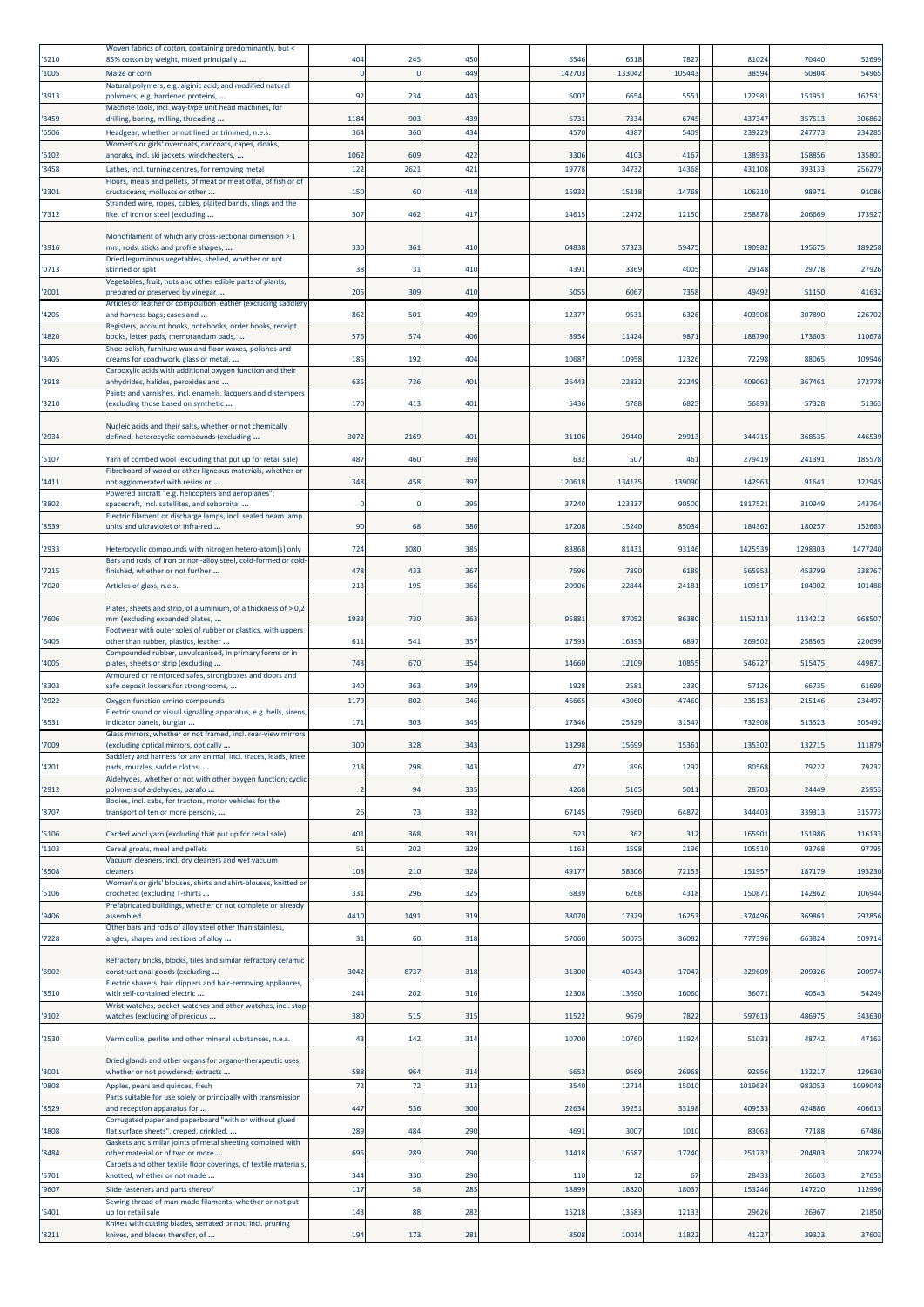| 5210           | Woven fabrics of cotton, containing predominantly, but <<br>85% cotton by weight, mixed principally          | 404            | 245         | 450        | 6546          | 6518          | 7827          | 81024            | 70440           | 52699            |
|----------------|--------------------------------------------------------------------------------------------------------------|----------------|-------------|------------|---------------|---------------|---------------|------------------|-----------------|------------------|
| 1005           | Maize or corn                                                                                                |                |             | 449        | 14270         | 13304         | 10544         | 3859             | 5080            | 54965            |
| '3913          | Natural polymers, e.g. alginic acid, and modified natural<br>polymers, e.g. hardened proteins,               | 92             | 234         | 443        | 6007          | 6654          | 5551          | 122981           | 151951          | 162531           |
|                | Machine tools, incl. way-type unit head machines, for                                                        |                |             |            |               |               |               |                  |                 |                  |
| '8459<br>'6506 | drilling, boring, milling, threading<br>Headgear, whether or not lined or trimmed, n.e.s.                    | 1184<br>364    | 903<br>360  | 439<br>434 | 6731<br>4570  | 7334<br>4387  | 6745<br>5409  | 437347<br>23922  | 357513<br>24777 | 306862<br>234285 |
|                | Women's or girls' overcoats, car coats, capes, cloaks,                                                       |                |             |            |               |               |               |                  |                 |                  |
| '6102<br>8458  | anoraks, incl. ski jackets, windcheaters,<br>Lathes, incl. turning centres, for removing metal               | 1062<br>122    | 609<br>2621 | 422<br>421 | 3306<br>19778 | 4103<br>34732 | 4167<br>14368 | 138933<br>431108 | 15885<br>39313  | 135801<br>256279 |
| 2301           | Flours, meals and pellets, of meat or meat offal, of fish or of                                              | 150            |             | 418        | 15932         | 15118         | 14768         | 10631            | 9897            | 91086            |
|                | crustaceans, molluscs or other<br>Stranded wire, ropes, cables, plaited bands, slings and the                |                | 60          |            |               |               |               |                  |                 |                  |
| '7312          | like, of iron or steel (excluding                                                                            | 307            | 462         | 417        | 1461          | 12472         | 12150         | 25887            | 206669          | 173927           |
| 3916           | Monofilament of which any cross-sectional dimension > 1<br>mm, rods, sticks and profile shapes,              | 330            | 361         | 410        | 64838         | 57323         | 59475         | 190982           | 195675          | 189258           |
|                | Dried leguminous vegetables, shelled, whether or not                                                         |                |             |            |               |               |               |                  |                 |                  |
| '0713          | skinned or split<br>Vegetables, fruit, nuts and other edible parts of plants,                                | 38             | 31          | 410        | 4391          | 3369          | 4005          | 29148            | 29778           | 27926            |
| '2001          | prepared or preserved by vinegar<br>Articles of leather or composition leather (excluding saddlery           | 205            | 309         | 410        | 5055          | 6067          | 7358          | 49492            | 51150           | 41632            |
| '4205          | and harness bags; cases and<br>Registers, account books, notebooks, order books, receipt                     | 862            | 501         | 409        | 1237          | 9531          | 6326          | 403908           | 307890          | 226702           |
| '4820          | books, letter pads, memorandum pads,                                                                         | 576            | 574         | 406        | 895           | 11424         | 9871          | 18879            | 173603          | 110678           |
| 3405           | Shoe polish, furniture wax and floor waxes, polishes and<br>creams for coachwork, glass or metal,            | 185            | 192         | 404        | 1068          | 10958         | 12326         | 7229             | 8806            | 109946           |
| '2918          | Carboxylic acids with additional oxygen function and their<br>anhydrides, halides, peroxides and             | 635            | 736         | 401        | 2644          | 22832         | 22249         | 409062           | 367461          | 372778           |
| '3210          | Paints and varnishes, incl. enamels, lacquers and distempers                                                 | 170            | 413         | 401        | 5436          | 5788          | 6825          | 56893            | 57328           | 51363            |
|                | (excluding those based on synthetic                                                                          |                |             |            |               |               |               |                  |                 |                  |
| '2934          | Nucleic acids and their salts, whether or not chemically<br>defined; heterocyclic compounds (excluding       | 307            | 2169        | 401        | 3110          | 29440         | 2991          | 34471            | 368535          | 446539           |
| '5107          | Yarn of combed wool (excluding that put up for retail sale)                                                  | 487            | 460         | 398        | 632           | 507           | 461           | 279419           | 241391          | 185578           |
|                | Fibreboard of wood or other ligneous materials, whether or                                                   |                |             |            |               |               |               |                  |                 |                  |
| '4411          | not agglomerated with resins or<br>Powered aircraft "e.g. helicopters and aeroplanes";                       | 348            | 458         | 397        | 120618        | 134135        | 139090        | 142963           | 91641           | 122945           |
| '8802          | spacecraft, incl. satellites, and suborbital<br>Electric filament or discharge lamps, incl. sealed beam lamp |                |             | 395        | 37240         | 123337        | 90500         | 1817521          | 310949          | 243764           |
| '8539          | units and ultraviolet or infra-red                                                                           | 90             | 68          | 386        | 17208         | 15240         | 8503          | 184362           | 18025           | 152663           |
| '2933          | Heterocyclic compounds with nitrogen hetero-atom[s] only                                                     | 724            | 1080        | 385        | 83868         | 81431         | 93146         | 142553           | 1298303         | 1477240          |
| '7215          | Bars and rods, of iron or non-alloy steel, cold-formed or cold-<br>finished, whether or not further          | 478            | 433         | 367        | 7596          | 7890          | 6189          | 56595            | 453799          | 338767           |
| '7020          | Articles of glass, n.e.s.                                                                                    | 213            | 195         | 366        | 20906         | 2284          | 2418          | 10951            | 10490           | 101488           |
|                | Plates, sheets and strip, of aluminium, of a thickness of > 0,2                                              |                |             |            |               |               |               |                  |                 |                  |
| '7606          | mm (excluding expanded plates,<br>Footwear with outer soles of rubber or plastics, with uppers               | 1933           | 730         | 363        | 95881         | 87052         | 86380         | 1152113          | 1134212         | 968507           |
| '6405          | other than rubber, plastics, leather                                                                         | 611            | 541         | 357        | 17593         | 16393         | 6897          | 269502           | 258565          | 220699           |
| '4005          | Compounded rubber, unvulcanised, in primary forms or in<br>plates, sheets or strip (excluding                | 743            | 670         | 354        | 14660         | 12109         | 10855         | 546727           | 515475          | 449871           |
| '8303          | Armoured or reinforced safes, strongboxes and doors and<br>safe deposit lockers for strongrooms,             | 340            | 363         | 349        | 1928          | 2581          | 2330          | 57126            | 66735           | 61699            |
| 2922           | Oxygen-function amino-compounds                                                                              | 1179           | 802         | 346        | 4666          | 43060         | 47460         | 23515            | 215146          | 234497           |
| '8531          | Electric sound or visual signalling apparatus, e.g. bells, sirens,<br>indicator panels, burglar              | 171            | 303         | 345        | 17346         | 25329         | 31547         | 732908           | 513523          | 305492           |
| '7009          | Glass mirrors, whether or not framed, incl. rear-view mirrors<br>(excluding optical mirrors, optically       | 300            | 328         | 343        | 13298         | 15699         | 15361         | 135302           | 132715          | 111879           |
| '4201          | Saddlery and harness for any animal, incl. traces, leads, knee<br>pads, muzzles, saddle cloths,              | 218            | 298         | 343        | 472           | 896           | 1292          | 80568            | 79222           | 79232            |
|                | Aldehydes, whether or not with other oxygen function; cyclic                                                 |                |             |            |               |               |               |                  |                 |                  |
| '2912          | polymers of aldehydes; parafo<br>Bodies, incl. cabs, for tractors, motor vehicles for the                    | $\overline{2}$ | 94          | 335        | 4268          | 5165          | 5011          | 28703            | 24449           | 25953            |
| '8707          | transport of ten or more persons,                                                                            | 26             | 73          | 332        | 67145         | 79560         | 64872         | 344403           | 339313          | 315773           |
| '5106          | Carded wool yarn (excluding that put up for retail sale)                                                     | 401            | 368         | 331        | 523           | 362           | 312           | 16590:           | 151986          | 116133           |
| '1103          | Cereal groats, meal and pellets<br>Vacuum cleaners, incl. dry cleaners and wet vacuum                        | 51             | 202         | 329        | 1163          | 1598          | 2196          | 105510           | 93768           | 97795            |
| '8508          | cleaners                                                                                                     | 103            | 210         | 328        | 49177         | 58306         | 72153         | 151957           | 187179          | 193230           |
| '6106          | Women's or girls' blouses, shirts and shirt-blouses, knitted or<br>crocheted (excluding T-shirts             | 331            | 296         | 325        | 6839          | 6268          | 4318          | 15087            | 142862          | 106944           |
| '9406          | Prefabricated buildings, whether or not complete or already<br>assembled                                     | 4410           | 1491        | 319        | 38070         | 17329         | 16253         | 374496           | 369861          | 292856           |
| '7228          | Other bars and rods of alloy steel other than stainless,<br>angles, shapes and sections of alloy             | 31             | 60          | 318        | 57060         | 50075         | 36082         | 777396           | 663824          | 509714           |
|                |                                                                                                              |                |             |            |               |               |               |                  |                 |                  |
| '6902          | Refractory bricks, blocks, tiles and similar refractory ceramic<br>constructional goods (excluding           | 3042           | 8737        | 318        | 31300         | 40543         | 17047         | 229609           | 209326          | 200974           |
| '8510          | Electric shavers, hair clippers and hair-removing appliances,<br>with self-contained electric                | 244            | 202         | 316        | 12308         | 13690         | 16060         | 36071            | 40543           | 54249            |
| '9102          | Wrist-watches, pocket-watches and other watches, incl. stop-<br>watches (excluding of precious               | 380            | 515         | 315        | 11522         | 9679          | 7822          | 597613           | 486975          | 343630           |
|                |                                                                                                              |                |             |            |               |               |               |                  |                 |                  |
| '2530          | Vermiculite, perlite and other mineral substances, n.e.s.                                                    | 43             | 142         | 314        | 10700         | 10760         | 11924         | 5103             | 48742           | 47163            |
| '3001          | Dried glands and other organs for organo-therapeutic uses,<br>whether or not powdered; extracts              | 588            | 964         | 314        | 6652          | 9569          | 26968         | 92956            | 132217          | 129630           |
| 0808           | Apples, pears and quinces, fresh                                                                             | 72             | 72          | 313        | 3540          | 12714         | 15010         | 101963           | 983053          | 1099048          |
| '8529          | Parts suitable for use solely or principally with transmission<br>and reception apparatus for                | 447            | 536         | 300        | 22634         | 39251         | 33198         | 409533           | 424886          | 406613           |
| '4808          | Corrugated paper and paperboard "with or without glued<br>flat surface sheets", creped, crinkled,            | 289            | 484         | 290        | 4691          | 3007          | 1010          | 83063            | 77188           | 67486            |
|                | Gaskets and similar joints of metal sheeting combined with                                                   |                |             |            |               |               |               |                  |                 |                  |
| 8484           | other material or of two or more<br>Carpets and other textile floor coverings, of textile materials,         | 695            | 289         | 290        | 14418         | 16587         | 17240         | 251732           | 204803          | 208229           |
| '5701<br>'9607 | knotted, whether or not made<br>Slide fasteners and parts thereof                                            | 344<br>117     | 330<br>58   | 290<br>285 | 110<br>18899  | 12<br>18820   | 67<br>18037   | 2843<br>153246   | 26603<br>147220 | 27653<br>112996  |
|                | Sewing thread of man-made filaments, whether or not put                                                      |                |             |            |               |               |               |                  |                 |                  |
| 5401           | up for retail sale<br>Knives with cutting blades, serrated or not, incl. pruning                             | 143            | 88          | 282        | 15218         | 1358          | 12133         | 29626            | 26967           | 21850            |
| 8211           | knives, and blades therefor, of                                                                              | 194            | 173         | 281        | 8508          | 10014         | 11822         | 41227            | 39323           | 37603            |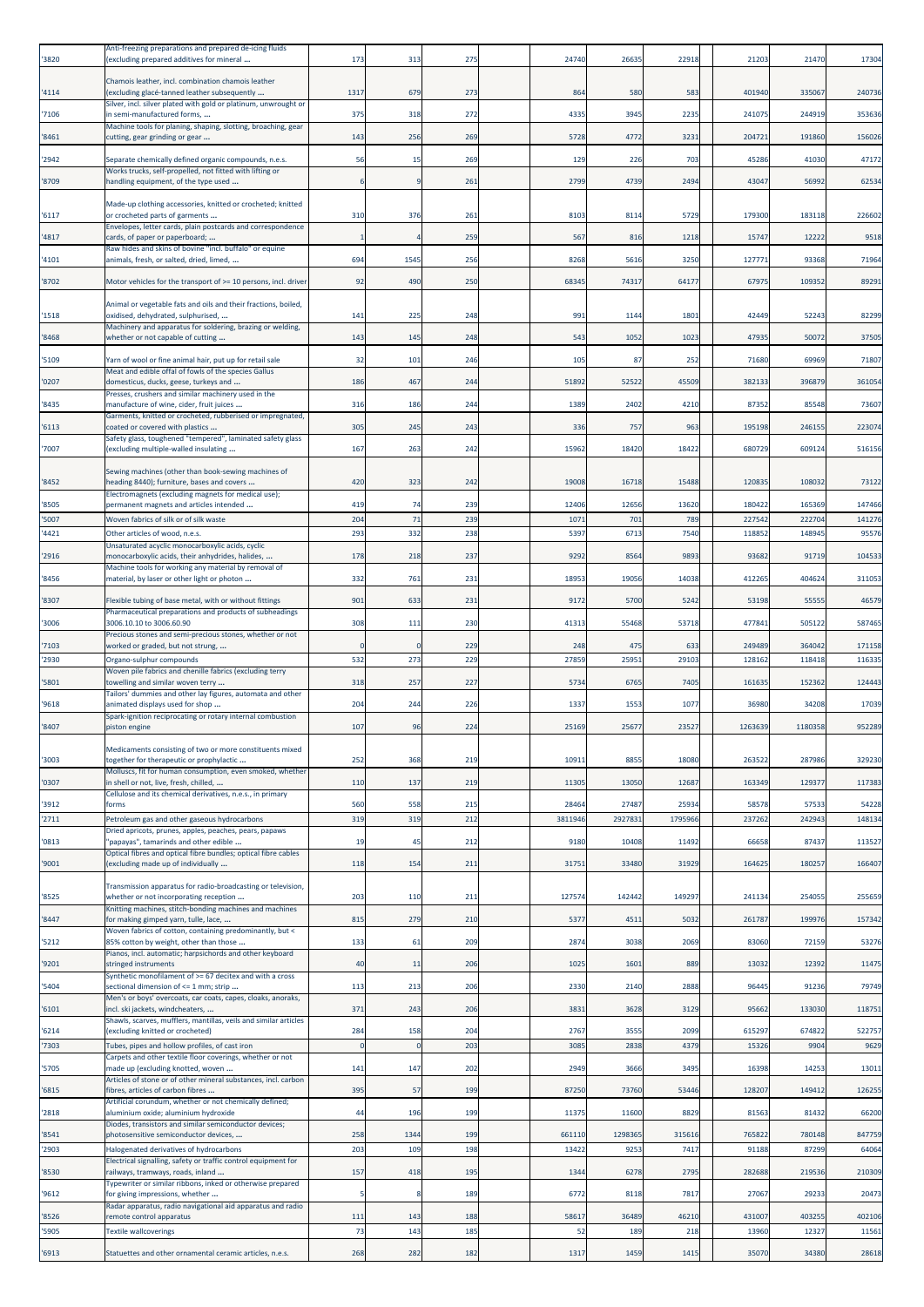| '3820 | Anti-freezing preparations and prepared de-icing fluids<br>(excluding prepared additives for mineral        | 173          | 313      | 275 | 24740  | 26635   | 22918  | 21203   | 21470   | 17304  |
|-------|-------------------------------------------------------------------------------------------------------------|--------------|----------|-----|--------|---------|--------|---------|---------|--------|
| '4114 | Chamois leather, incl. combination chamois leather<br>(excluding glacé-tanned leather subsequently          | 131          | 679      | 273 | 864    | 580     | 583    | 401940  | 335067  | 240736 |
| '7106 | Silver, incl. silver plated with gold or platinum, unwrought or<br>in semi-manufactured forms,              | 375          | 318      | 272 | 4335   | 3945    | 2235   | 241075  | 244919  | 353636 |
| '8461 | Machine tools for planing, shaping, slotting, broaching, gear<br>cutting, gear grinding or gear             | 143          | 256      | 269 | 5728   | 4772    | 3231   | 20472   | 191860  | 156026 |
| '2942 | Separate chemically defined organic compounds, n.e.s.                                                       | 56           | 15       | 269 | 129    | 226     | 703    | 4528    | 41030   | 47172  |
| '8709 | Works trucks, self-propelled, not fitted with lifting or<br>handling equipment, of the type used            |              |          | 261 | 2799   | 4739    | 2494   | 43047   | 56992   | 62534  |
| '6117 | Made-up clothing accessories, knitted or crocheted; knitted<br>or crocheted parts of garments               | 310          | 376      | 261 | 8103   | 8114    | 5729   | 17930   | 183118  | 226602 |
| 4817  | Envelopes, letter cards, plain postcards and correspondence<br>cards, of paper or paperboard;               |              |          | 259 | 567    | 816     | 1218   | 1574    | 12222   | 9518   |
| '4101 | Raw hides and skins of bovine "incl. buffalo" or equine<br>animals, fresh, or salted, dried, limed,         | 694          | 1545     | 256 | 8268   | 5616    | 3250   | 12777   | 93368   | 71964  |
| '8702 | Motor vehicles for the transport of >= 10 persons, incl. driver                                             | 92           | 490      | 250 | 68345  | 74317   | 64177  | 67975   | 109352  | 89291  |
| '1518 | Animal or vegetable fats and oils and their fractions, boiled,<br>oxidised, dehydrated, sulphurised,        | 141          | 225      | 248 | 991    | 1144    | 1801   | 42449   | 52243   | 82299  |
| '8468 | Machinery and apparatus for soldering, brazing or welding,<br>whether or not capable of cutting             | 143          | 145      | 248 | 543    | 1052    | 1023   | 47935   | 50072   | 37505  |
| '5109 | Yarn of wool or fine animal hair, put up for retail sale                                                    | 32           | 101      | 246 | 105    | 87      | 252    | 71680   | 6996    | 71807  |
| '0207 | Meat and edible offal of fowls of the species Gallus<br>domesticus, ducks, geese, turkeys and               | 186          | 467      | 244 | 51892  | 52522   | 45509  | 38213   | 396879  | 361054 |
|       | Presses, crushers and similar machinery used in the                                                         | 316          |          | 244 | 1389   |         | 4210   | 87352   |         |        |
| '8435 | manufacture of wine, cider, fruit juices<br>Garments, knitted or crocheted, rubberised or impregnated,      |              | 186      |     |        | 2402    |        |         | 85548   | 73607  |
| '6113 | coated or covered with plastics<br>Safety glass, toughened "tempered", laminated safety glass               | 305          | 245      | 243 | 336    | 757     | 963    | 195198  | 246155  | 223074 |
| '7007 | (excluding multiple-walled insulating                                                                       | 167          | 263      | 242 | 15962  | 18420   | 18422  | 680729  | 609124  | 516156 |
| '8452 | Sewing machines (other than book-sewing machines of<br>heading 8440); furniture, bases and covers           | 420          | 323      | 242 | 19008  | 16718   | 15488  | 120835  | 108032  | 73122  |
| '8505 | Electromagnets (excluding magnets for medical use);<br>permanent magnets and articles intended              | 419          | 74       | 239 | 12406  | 12656   | 13620  | 180422  | 165369  | 147466 |
| '5007 | Woven fabrics of silk or of silk waste                                                                      | 204          | 71       | 239 | 1071   | 701     | 789    | 22754   | 222704  | 141276 |
| 4421  | Other articles of wood, n.e.s.<br>Unsaturated acyclic monocarboxylic acids, cyclic                          | 293          | 332      | 238 | 5397   | 6713    | 7540   | 11885   | 14894   | 95576  |
| '2916 | monocarboxylic acids, their anhydrides, halides,                                                            | 178          | 218      | 237 | 9292   | 8564    | 9893   | 9368    | 91719   | 104533 |
| '8456 | Machine tools for working any material by removal of<br>material, by laser or other light or photon         | 332          | 761      | 231 | 1895   | 19056   | 14038  | 412265  | 404624  | 311053 |
| '8307 | Flexible tubing of base metal, with or without fittings                                                     | 901          | 633      | 231 | 9172   | 5700    | 5242   | 53198   | 55555   | 46579  |
| '3006 | Pharmaceutical preparations and products of subheadings<br>3006.10.10 to 3006.60.90                         | 308          | 111      | 230 | 41313  | 55468   | 53718  | 47784   | 505122  | 587465 |
| '7103 | Precious stones and semi-precious stones, whether or not<br>worked or graded, but not strung,               |              |          | 229 | 248    | 475     | 633    | 249489  | 36404   | 171158 |
| '2930 | Organo-sulphur compounds                                                                                    | 532          | 273      | 229 | 2785   | 25951   | 29103  | 12816   | 118418  | 11633  |
| '5801 | Woven pile fabrics and chenille fabrics (excluding terry<br>towelling and similar woven terry               | 318          | 257      | 227 | 5734   | 6765    | 7405   | 161635  | 152362  | 124443 |
| '9618 | Tailors' dummies and other lay figures, automata and other<br>animated displays used for shop               | 204          | 244      | 226 | 1337   | 1553    | 1077   | 36980   | 34208   | 17039  |
| '8407 | Spark-ignition reciprocating or rotary internal combustion<br>piston engine                                 | 107          | 96       | 224 | 25169  | 25677   | 23527  | 1263639 | 1180358 | 952289 |
|       | Medicaments consisting of two or more constituents mixed                                                    |              |          |     |        |         |        |         |         |        |
| '3003 | together for therapeutic or prophylactic<br>Molluscs, fit for human consumption, even smoked, whether       | 252          | 368      | 219 | 10911  | 8855    | 18080  | 263522  | 287986  | 329230 |
| '0307 | in shell or not, live, fresh, chilled,<br>Cellulose and its chemical derivatives, n.e.s., in primary        | 110          | 137      | 219 | 11305  | 13050   | 12687  | 163349  | 129377  | 117383 |
| '3912 | forms                                                                                                       | 560          | 558      | 215 | 28464  | 27487   | 25934  | 58578   | 57533   | 54228  |
| 2711  | Petroleum gas and other gaseous hydrocarbons<br>Dried apricots, prunes, apples, peaches, pears, papaws      | 319          | 319      | 212 | 381194 | 292783  | 179596 | 23726   | 242943  | 148134 |
| '0813 | "papayas", tamarinds and other edible                                                                       | 19           | 45       | 212 | 9180   | 10408   | 11492  | 66658   | 87437   | 113527 |
| '9001 | Optical fibres and optical fibre bundles; optical fibre cables<br>(excluding made up of individually        | 118          | 154      | 211 | 31751  | 33480   | 31929  | 164625  | 180257  | 166407 |
| '8525 | Transmission apparatus for radio-broadcasting or television,<br>whether or not incorporating reception      | 203          | 110      | 211 | 12757  | 142442  | 149297 | 24113   | 254055  | 255659 |
| '8447 | Knitting machines, stitch-bonding machines and machines<br>for making gimped yarn, tulle, lace,             | 815          | 279      | 210 | 5377   | 4511    | 5032   | 261787  | 199976  | 157342 |
| '5212 | Woven fabrics of cotton, containing predominantly, but <<br>85% cotton by weight, other than those          | 133          | 61       | 209 | 2874   | 3038    | 2069   | 83060   | 72159   | 53276  |
|       | Pianos, incl. automatic; harpsichords and other keyboard                                                    |              |          |     |        |         |        |         |         |        |
| '9201 | stringed instruments<br>Synthetic monofilament of >= 67 decitex and with a cross                            | 40           | 11       | 206 | 1025   | 1601    | 889    | 13032   | 12392   | 11475  |
| 5404  | sectional dimension of <= 1 mm; strip<br>Men's or boys' overcoats, car coats, capes, cloaks, anoraks,       | 113          | 213      | 206 | 2330   | 2140    | 2888   | 96445   | 91236   | 79749  |
| '6101 | incl. ski jackets, windcheaters,<br>Shawls, scarves, mufflers, mantillas, veils and similar articles        | 371          | 243      | 206 | 3831   | 3628    | 3129   | 95662   | 133030  | 118751 |
| 16214 | (excluding knitted or crocheted)                                                                            | 284          | 158      | 204 | 2767   | 3555    | 2099   | 615297  | 674822  | 522757 |
| 7303  | Tubes, pipes and hollow profiles, of cast iron<br>Carpets and other textile floor coverings, whether or not | $\mathbf{0}$ | $\Omega$ | 203 | 3085   | 2838    | 4379   | 1532    | 9904    | 9629   |
| '5705 | made up (excluding knotted, woven<br>Articles of stone or of other mineral substances, incl. carbon         | 141          | 147      | 202 | 2949   | 3666    | 3495   | 16398   | 14253   | 13011  |
| '6815 | fibres, articles of carbon fibres<br>Artificial corundum, whether or not chemically defined;                | 395          | 57       | 199 | 87250  | 73760   | 53446  | 128207  | 149412  | 126255 |
| 2818  | aluminium oxide; aluminium hydroxide                                                                        | 44           | 196      | 199 | 11375  | 11600   | 8829   | 81563   | 81432   | 66200  |
| '8541 | Diodes, transistors and similar semiconductor devices;<br>photosensitive semiconductor devices,             | 258          | 1344     | 199 | 661110 | 1298365 | 315616 | 765822  | 780148  | 847759 |
| '2903 | Halogenated derivatives of hydrocarbons                                                                     | 203          | 109      | 198 | 13422  | 9253    | 7417   | 9118    | 87299   | 64064  |
| '8530 | Electrical signalling, safety or traffic control equipment for<br>railways, tramways, roads, inland         | 157          | 418      | 195 | 134    | 6278    | 2795   | 282688  | 219536  | 210309 |
| '9612 | Typewriter or similar ribbons, inked or otherwise prepared<br>for giving impressions, whether               | 5            |          | 189 | 6772   | 8118    | 7817   | 27067   | 29233   | 20473  |
| '8526 | Radar apparatus, radio navigational aid apparatus and radio                                                 | 111          | 143      | 188 | 58617  | 36489   | 46210  | 431007  | 403255  | 402106 |
| 5905  | remote control apparatus<br><b>Textile wallcoverings</b>                                                    | 73           | 143      | 185 | 52     | 189     | 218    | 13960   | 12327   | 11561  |
| '6913 | Statuettes and other ornamental ceramic articles, n.e.s.                                                    | 268          | 282      | 182 | 1317   | 1459    | 1415   | 35070   | 34380   | 28618  |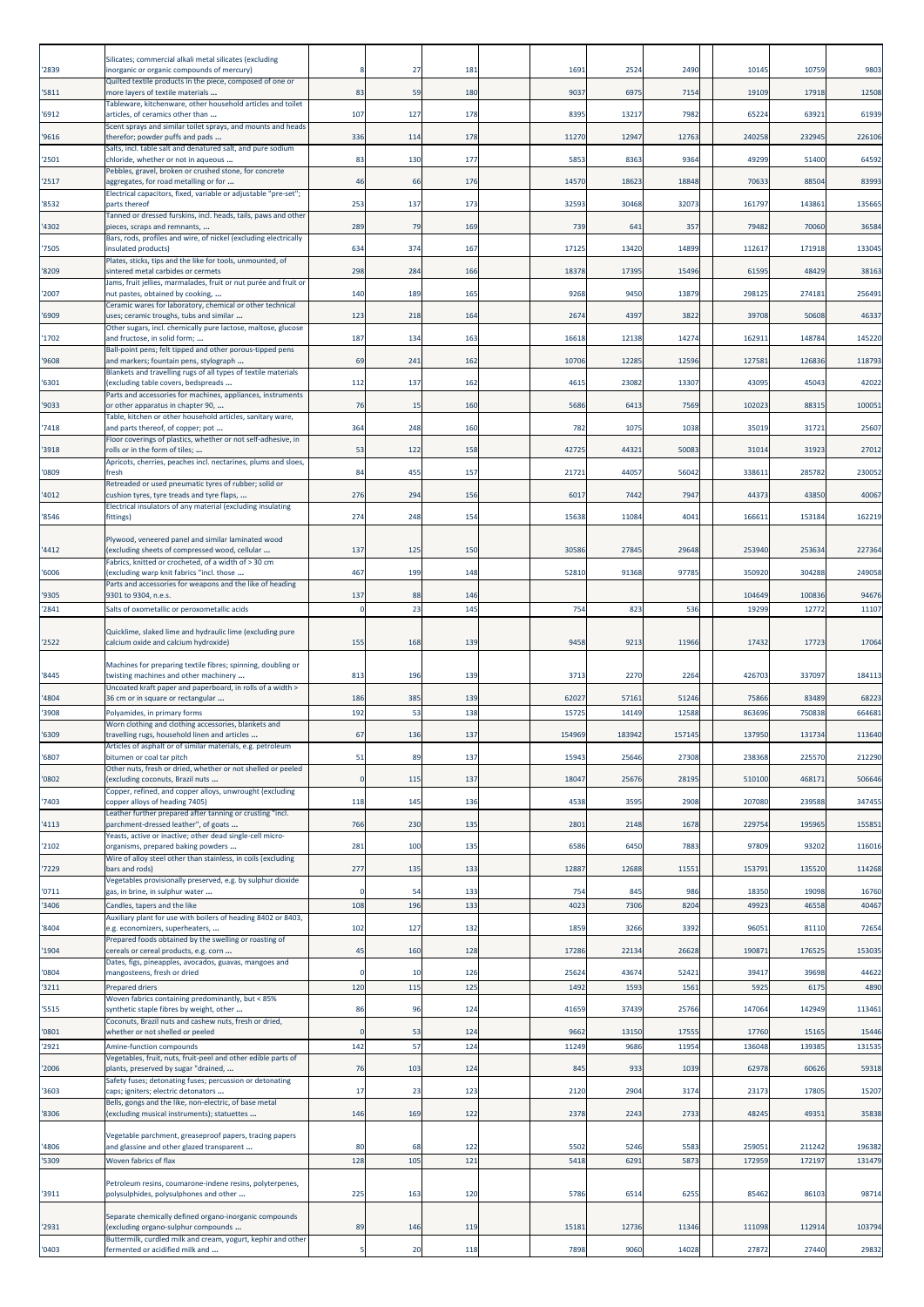|                | Silicates; commercial alkali metal silicates (excluding                                                                            |             |            |            |               |               |                |                |                 |                 |
|----------------|------------------------------------------------------------------------------------------------------------------------------------|-------------|------------|------------|---------------|---------------|----------------|----------------|-----------------|-----------------|
| 2839           | inorganic or organic compounds of mercury)<br>Quilted textile products in the piece, composed of one or                            |             | 27         | 181        | 1691          | 2524          | 2490           | 10145          | 10759           | 9803            |
| '5811          | more layers of textile materials<br>Tableware, kitchenware, other household articles and toilet                                    | 83          | 59         | 180        | 9037          | 6975          | 7154           | 19109          | 17918           | 12508           |
| '6912          | articles, of ceramics other than<br>Scent sprays and similar toilet sprays, and mounts and heads                                   | 107         | 127        | 178        | 8395          | 13217         | 7982           | 65224          | 63921           | 61939           |
| '9616          | therefor; powder puffs and pads<br>Salts, incl. table salt and denatured salt, and pure sodium                                     | 336         | 114        | 178        | 11270         | 12947         | 12763          | 24025          | 232945          | 226106          |
| 2501           | chloride, whether or not in aqueous<br>Pebbles, gravel, broken or crushed stone, for concrete                                      | 83          | 130        | 177        | 5853          | 8363          | 9364           | 49299          | 51400           | 64592           |
| '2517          | aggregates, for road metalling or for<br>Electrical capacitors, fixed, variable or adjustable "pre-set";                           | 46          | 66         | 176        | 14570         | 18623         | 18848          | 70633          | 88504           | 83993           |
| '8532          | parts thereof<br>Tanned or dressed furskins, incl. heads, tails, paws and other                                                    | 253         | 137        | 173        | 3259          | 30468         | 32073          | 161797         | 143861          | 135665          |
| '4302          | pieces, scraps and remnants,<br>Bars, rods, profiles and wire, of nickel (excluding electrically                                   | 289         | 79         | 169        | 739           | 641           | 357            | 79482          | 70060           | 36584           |
| '7505          | insulated products)<br>Plates, sticks, tips and the like for tools, unmounted, of                                                  | 634         | 374        | 167        | 17125         | 13420         | 14899          | 112617         | 171918          | 133045          |
| 8209           | sintered metal carbides or cermets<br>Jams, fruit jellies, marmalades, fruit or nut purée and fruit or                             | 298         | 284        | 166        | 18378         | 17395         | 15496<br>13879 | 61595<br>29812 | 48429           | 38163           |
| '2007<br>'6909 | nut pastes, obtained by cooking,<br>Ceramic wares for laboratory, chemical or other technical                                      | 140<br>123  | 189        | 165        | 9268          | 9450<br>4397  | 3822           | 39708          | 274181<br>50608 | 256491          |
| '1702          | uses; ceramic troughs, tubs and similar<br>Other sugars, incl. chemically pure lactose, maltose, glucose                           | 187         | 218<br>134 | 164<br>163 | 267<br>16618  | 12138         | 14274          | 16291          | 148784          | 46337<br>145220 |
|                | and fructose, in solid form;<br>Ball-point pens; felt tipped and other porous-tipped pens                                          |             |            |            |               |               |                |                |                 |                 |
| 9608           | and markers; fountain pens, stylograph<br>Blankets and travelling rugs of all types of textile materials                           | 69          | 241        | 162        | 10706         | 12285         | 12596          | 127581         | 126836          | 118793          |
| '6301          | (excluding table covers, bedspreads<br>Parts and accessories for machines, appliances, instruments                                 | 112         | 137        | 162        | 4615          | 23082         | 13307          | 43095          | 45043           | 42022           |
| '9033          | or other apparatus in chapter 90,<br>Table, kitchen or other household articles, sanitary ware,                                    | 76          | 15         | 160        | 5686          | 6413          | 7569           | 102023         | 88315           | 100051          |
| '7418          | and parts thereof, of copper; pot<br>Floor coverings of plastics, whether or not self-adhesive, in                                 | 364         | 248        | 160        | 782           | 1075          | 1038           | 35019          | 31721           | 25607           |
| '3918          | rolls or in the form of tiles;<br>Apricots, cherries, peaches incl. nectarines, plums and sloes,                                   | 53          | 122        | 158        | 42725         | 44321         | 50083          | 31014          | 31923           | 27012           |
| '0809          | fresh<br>Retreaded or used pneumatic tyres of rubber; solid or                                                                     | 84          | 455        | 157        | 21721         | 44057         | 56042          | 338611         | 285782          | 230052          |
| 4012           | cushion tyres, tyre treads and tyre flaps,<br>Electrical insulators of any material (excluding insulating                          | 276         | 294        | 156        | 6017          | 7442          | 7947           | 44373          | 43850           | 40067           |
| '8546          | fittings)                                                                                                                          | 274         | 248        | 154        | 15638         | 11084         | 4041           | 16661          | 153184          | 162219          |
| 4412           | Plywood, veneered panel and similar laminated wood<br>(excluding sheets of compressed wood, cellular                               | 137         | 125        | 150        | 30586         | 27845         | 29648          | 253940         | 253634          | 227364          |
| '6006          | Fabrics, knitted or crocheted, of a width of > 30 cm<br>(excluding warp knit fabrics "incl. those                                  | 467         | 199        | 148        | 52810         | 91368         | 97785          | 350920         | 304288          | 249058          |
| '9305          | Parts and accessories for weapons and the like of heading<br>9301 to 9304, n.e.s.                                                  | 137         | 88         | 146        |               |               |                | 104649         | 100836          | 94676           |
| 2841           | Salts of oxometallic or peroxometallic acids                                                                                       | $\Omega$    | 23         | 145        | 754           | 823           | 536            | 1929           | 12772           | 11107           |
| '2522          | Quicklime, slaked lime and hydraulic lime (excluding pure<br>calcium oxide and calcium hydroxide)                                  | 155         | 168        | 139        | 9458          | 9213          | 11966          | 1743           | 1772            | 17064           |
| 8445           | Machines for preparing textile fibres; spinning, doubling or<br>twisting machines and other machinery                              | 813         | 196        | 139        | 3713          | 2270          | 2264           | 426703         | 337097          | 184113          |
| 4804           | Uncoated kraft paper and paperboard, in rolls of a width ><br>36 cm or in square or rectangular                                    | 186         | 385        | 139        | 62027         | 57161         | 51246          | 75866          | 83489           | 68223           |
| 3908           | Polyamides, in primary forms<br>Worn clothing and clothing accessories, blankets and                                               | 192         | 53         | 138        | 1572          | 14149         | 1258           | 86369          | 75083           | 664681          |
| '6309          | travelling rugs, household linen and articles<br>Articles of asphalt or of similar materials, e.g. petroleum                       | 67          | 136        | 137        | 154969        | 183942        | 157145         | 137950         | 131734          | 113640          |
| '6807          | bitumen or coal tar pitch<br>Other nuts, fresh or dried, whether or not shelled or peeled                                          | 51          | 89         | 137        | 15943         | 25646         | 27308          | 238368         | 225570          | 212290          |
| '0802          | (excluding coconuts, Brazil nuts<br>Copper, refined, and copper alloys, unwrought (excluding                                       | $\mathbf 0$ | 115        | 137        | 18047         | 25676         | 28195          | 510100         | 468171          | 506646          |
| 7403           | copper alloys of heading 7405)<br>Leather further prepared after tanning or crusting "incl.                                        | 118         | 145        | 136        | 4538          | 3595          | 2908           | 207080         | 239588          | 347455          |
| 4113           | parchment-dressed leather", of goats<br>Yeasts, active or inactive; other dead single-cell micro-                                  | 766         | 230        | 135        | 2801          | 2148          | 1678           | 22975          | 195965          | 155851          |
| '2102          | organisms, prepared baking powders<br>Wire of alloy steel other than stainless, in coils (excluding                                | 281         | 100        | 135        | 6586          | 6450          | 7883           | 97809          | 93202           | 116016          |
| '7229          | bars and rods)<br>Vegetables provisionally preserved, e.g. by sulphur dioxide                                                      | 277         | 135        | 133        | 12887         | 12688         | 11551          | 153791         | 135520          | 114268          |
| '0711          | gas, in brine, in sulphur water                                                                                                    | $\Omega$    | 54         | 133        | 754           | 845           | 986            | 18350          | 19098           | 16760           |
| 3406           | Candles, tapers and the like<br>Auxiliary plant for use with boilers of heading 8402 or 8403,                                      | 108         | 196        | 133        | 4023          | 7306          | 8204           | 4992           | 46558           | 40467           |
| '8404<br>1904  | e.g. economizers, superheaters,<br>Prepared foods obtained by the swelling or roasting of<br>cereals or cereal products, e.g. corn | 102<br>45   | 127<br>160 | 132<br>128 | 1859<br>17286 | 3266<br>22134 | 3392<br>26628  | 9605<br>19087  | 81110<br>176525 | 72654<br>153035 |
|                | Dates, figs, pineapples, avocados, guavas, mangoes and                                                                             | $\Omega$    |            |            |               |               |                |                |                 |                 |
| '0804<br>3211  | mangosteens, fresh or dried<br><b>Prepared driers</b>                                                                              | 12C         | 10<br>115  | 126<br>125 | 25624<br>1492 | 43674<br>1593 | 52421<br>1561  | 3941<br>592    | 39698<br>6175   | 44622<br>4890   |
| '5515          | Woven fabrics containing predominantly, but < 85%<br>synthetic staple fibres by weight, other                                      | 86          | 96         | 124        | 41659         | 37439         | 25766          | 147064         | 142949          | 113461          |
| '0801          | Coconuts, Brazil nuts and cashew nuts, fresh or dried,<br>whether or not shelled or peeled                                         | $\Omega$    | 53         | 124        | 9662          | 13150         | 17555          | 17760          | 15165           | 15446           |
| '2921          | Amine-function compounds<br>Vegetables, fruit, nuts, fruit-peel and other edible parts of                                          | 142         | 57         | 124        | 11249         | 9686          | 11954          | 13604          | 139385          | 131535          |
| '2006          | plants, preserved by sugar "drained,<br>Safety fuses; detonating fuses; percussion or detonating                                   | 76          | 103        | 124        | 845           | 933           | 1039           | 62978          | 60626           | 59318           |
| '3603          | caps; igniters; electric detonators<br>Bells, gongs and the like, non-electric, of base metal                                      | 17          | 23         | 123        | 2120          | 2904          | 3174           | 2317           | 17805           | 15207           |
| '8306          | (excluding musical instruments); statuettes                                                                                        | 146         | 169        | 122        | 2378          | 2243          | 2733           | 48245          | 49351           | 35838           |
| 4806           | Vegetable parchment, greaseproof papers, tracing papers<br>and glassine and other glazed transparent                               | 80          | 68         | 122        | 5502          | 5246          | 5583           | 259051         | 211242          | 196382          |
| '5309          | Woven fabrics of flax                                                                                                              | 128         | 105        | 121        | 5418          | 6291          | 5873           | 172959         | 172197          | 131479          |
| '3911          | Petroleum resins, coumarone-indene resins, polyterpenes,<br>polysulphides, polysulphones and other                                 | 225         | 163        | 120        | 5786          | 6514          | 6255           | 85462          | 86103           | 98714           |
| '2931          | Separate chemically defined organo-inorganic compounds<br>(excluding organo-sulphur compounds                                      | 89          | 146        | 119        | 15181         | 12736         | 11346          | 111098         | 112914          | 103794          |
| '0403          | Buttermilk, curdled milk and cream, yogurt, kephir and other<br>fermented or acidified milk and                                    | 5           | 20         | 118        | 7898          | 9060          | 14028          | 27872          | 27440           | 29832           |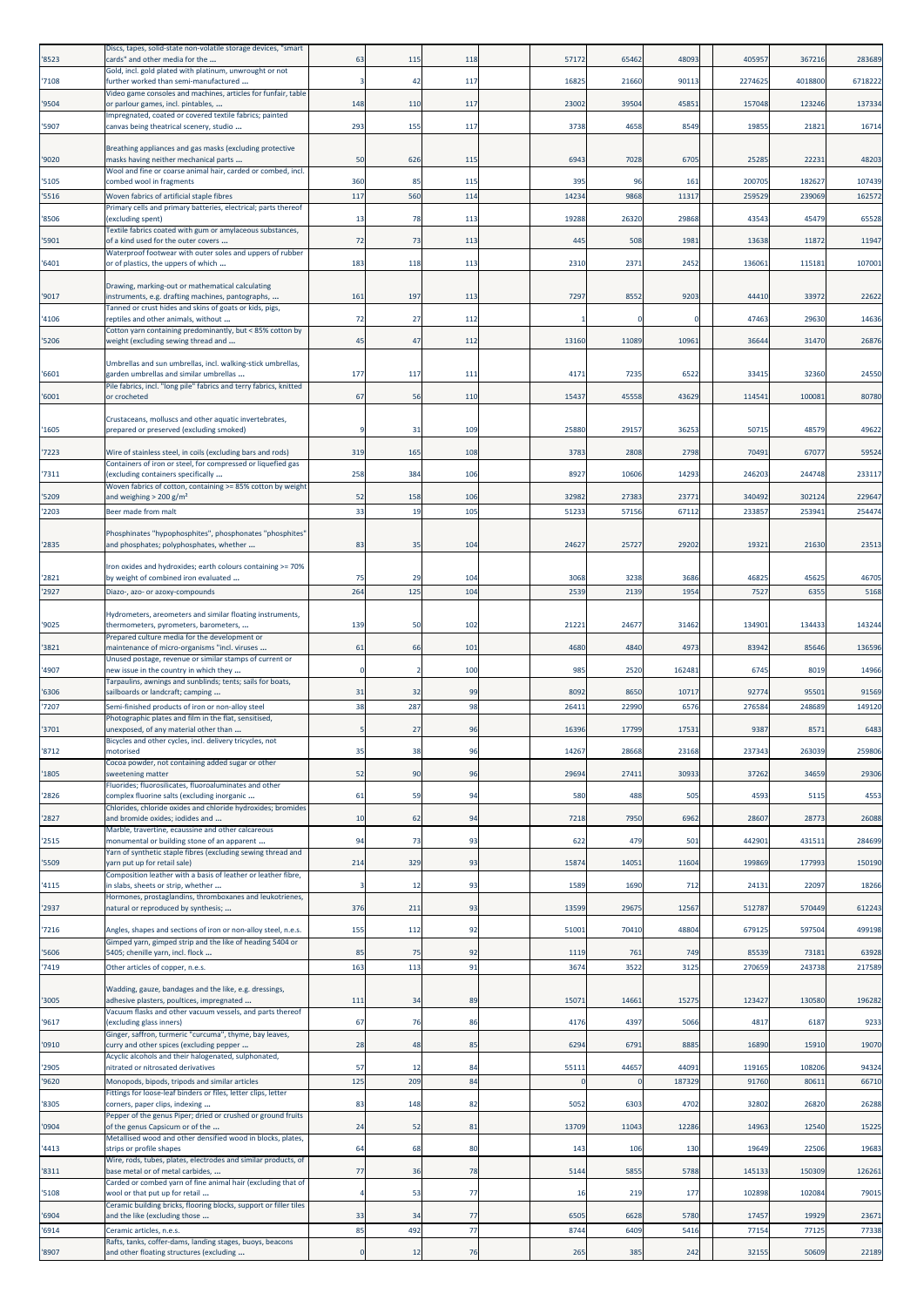| '8523          | Discs, tapes, solid-state non-volatile storage devices, "smart<br>cards" and other media for the                            | 63        | 115       | 118        | 57172        | 65462         | 48093        | 405957        | 367216                | 283689          |
|----------------|-----------------------------------------------------------------------------------------------------------------------------|-----------|-----------|------------|--------------|---------------|--------------|---------------|-----------------------|-----------------|
| '7108          | Gold, incl. gold plated with platinum, unwrought or not<br>further worked than semi-manufactured                            |           | 42        | 117        | 16825        | 21660         | 90113        | 2274625       | 4018800               | 6718222         |
| '9504          | Video game consoles and machines, articles for funfair, table<br>or parlour games, incl. pintables,                         | 148       | 110       | 117        | 23002        | 39504         | 45851        | 157048        | 123246                | 137334          |
|                | Impregnated, coated or covered textile fabrics; painted                                                                     |           |           |            |              |               |              |               |                       |                 |
| '5907          | canvas being theatrical scenery, studio                                                                                     | 293       | 155       | 117        | 3738         | 4658          | 8549         | 1985          | 21821                 | 16714           |
| '9020          | Breathing appliances and gas masks (excluding protective<br>masks having neither mechanical parts                           | 50        | 626       | 115        | 694          | 7028          | 670          | 2528          | 2223                  | 48203           |
| '5105          | Wool and fine or coarse animal hair, carded or combed, incl.<br>combed wool in fragments                                    | 360       | 85        | 115        | 395          | 96            | 161          | 20070         | 18262                 | 107439          |
| '5516          | Woven fabrics of artificial staple fibres<br>Primary cells and primary batteries, electrical; parts thereof                 | 117       | 560       | 114        | 14234        | 9868          | 11317        | 25952         | 239069                | 162572          |
| '8506          | (excluding spent)<br>Textile fabrics coated with gum or amylaceous substances,                                              | 13        | 78        | 113        | 19288        | 26320         | 29868        | 4354          | 45479                 | 65528           |
| '5901          | of a kind used for the outer covers                                                                                         | 72        | 73        | 113        | 445          | 508           | 1981         | 13638         | 11872                 | 11947           |
| '6401          | Waterproof footwear with outer soles and uppers of rubber<br>or of plastics, the uppers of which                            | 183       | 118       | 113        | 2310         | 2371          | 2452         | 136061        | 115181                | 107001          |
| '9017          | Drawing, marking-out or mathematical calculating<br>instruments, e.g. drafting machines, pantographs,                       | 161       | 197       | 113        | 7297         | 8552          | 9203         | 44410         | 33972                 | 22622           |
|                | Tanned or crust hides and skins of goats or kids, pigs,                                                                     |           |           |            |              |               |              |               |                       |                 |
| '4106          | reptiles and other animals, without<br>Cotton yarn containing predominantly, but < 85% cotton by                            | 72        | 27        | 112        |              |               |              |               | 47463<br>29630        | 14636           |
| '5206          | weight (excluding sewing thread and                                                                                         | 45        | 47        | 112        | 13160        | 11089         | 10961        | 3664          | 31470                 | 26876           |
| '6601          | Umbrellas and sun umbrellas, incl. walking-stick umbrellas,<br>garden umbrellas and similar umbrellas                       | 177       | 117       | 111        | 4171         | 7235          | 6522         | 33415         | 32360                 | 24550           |
| '6001          | Pile fabrics, incl. "long pile" fabrics and terry fabrics, knitted<br>or crocheted                                          | 67        | 56        | 110        | 15437        | 45558         | 43629        | 11454         | 100081                | 80780           |
|                | Crustaceans, molluscs and other aquatic invertebrates,                                                                      |           |           |            |              |               |              |               |                       |                 |
| '1605          | prepared or preserved (excluding smoked)                                                                                    |           | 31        | 109        | 25880        | 29157         | 36253        | 50715         | 48579                 | 49622           |
| '7223          | Wire of stainless steel, in coils (excluding bars and rods)<br>Containers of iron or steel, for compressed or liquefied gas | 319       | 165       | 108        | 3783         | 2808          | 2798         | 70491         | 67077                 | 59524           |
| '7311          | (excluding containers specifically<br>Woven fabrics of cotton, containing >= 85% cotton by weight                           | 258       | 384       | 106        | 8927         | 10606         | 14293        | 24620         | 244748                | 233117          |
| '5209          | and weighing $>$ 200 g/m <sup>2</sup>                                                                                       | 52        | 158       | 106        | 3298         | 27383         | 23771        | 340492        | 302124                | 229647          |
| '2203          | Beer made from malt                                                                                                         | 33        | 19        | 105        | 5123         | 57156         | 6711         | 23385         | 25394                 | 254474          |
| '2835          | Phosphinates "hypophosphites", phosphonates "phosphites"<br>and phosphates; polyphosphates, whether                         | 83        | 35        | 104        | 24627        | 25727         | 29202        | 19321         | 21630                 | 23513           |
|                | Iron oxides and hydroxides; earth colours containing >= 70%                                                                 |           |           |            |              |               |              |               |                       |                 |
| '2821<br>'2927 | by weight of combined iron evaluated<br>Diazo-, azo- or azoxy-compounds                                                     | 75<br>264 | 29<br>125 | 104<br>104 | 3068<br>2539 | 3238<br>2139  | 3686<br>1954 | 4682          | 45625<br>7527<br>6355 | 46705<br>5168   |
|                | Hydrometers, areometers and similar floating instruments,                                                                   |           |           |            |              |               |              |               |                       |                 |
| '9025          | thermometers, pyrometers, barometers,<br>Prepared culture media for the development or                                      | 139       | 50        | 102        | 2122         | 24677         | 31462        | 13490         | 134433                | 143244          |
| '3821          | maintenance of micro-organisms "incl. viruses<br>Unused postage, revenue or similar stamps of current or                    | 61        | 66        | 101        | 4680         | 4840          | 4973         | 83942         | 85646                 | 136596          |
| '4907          | new issue in the country in which they<br>Tarpaulins, awnings and sunblinds; tents; sails for boats,                        |           |           | 100        | 985          | 2520          | 16248        |               | 6745<br>8019          | 14966           |
| '6306<br>'7207 | sailboards or landcraft; camping<br>Semi-finished products of iron or non-alloy steel                                       | 31<br>38  | 32<br>287 | 99<br>98   | 809<br>2641  | 8650<br>22990 | 10717<br>657 | 9277<br>27658 | 95501<br>248689       | 91569<br>149120 |
|                | Photographic plates and film in the flat, sensitised,                                                                       |           |           |            |              |               |              |               |                       |                 |
| '3701          | unexposed, of any material other than<br>Bicycles and other cycles, incl. delivery tricycles, not                           |           | 27        | 96         | 16396        | 17799         | 17531        |               | 9387<br>8571          | 6483            |
| '8712          | motorised<br>Cocoa powder, not containing added sugar or other                                                              | 35        | 38        | 96         | 14267        | 28668         | 23168        | 237343        | 263039                | 259806          |
| '1805          | sweetening matter<br>Fluorides; fluorosilicates, fluoroaluminates and other                                                 | 52        | 90        | 96         | 29694        | 27411         | 30933        |               | 37262<br>34659        | 29306           |
| '2826          | complex fluorine salts (excluding inorganic<br>Chlorides, chloride oxides and chloride hydroxides; bromides                 | 61        | 59        | 94         | 580          | 488           | 505          |               | 4593<br>5115          | 4553            |
| '2827          | and bromide oxides; iodides and<br>Marble, travertine, ecaussine and other calcareous                                       | 10        | 62        | 94         | 7218         | 7950          | 6962         | 28607         | 28773                 | 26088           |
| '2515          | monumental or building stone of an apparent<br>Yarn of synthetic staple fibres (excluding sewing thread and                 | 94        | 73        | 93         | 622          | 479           | 501          | 442901        | 431511                | 284699          |
| '5509          | yarn put up for retail sale)                                                                                                | 214       | 329       | 93         | 15874        | 14051         | 11604        | 199869        | 177993                | 150190          |
| '4115          | Composition leather with a basis of leather or leather fibre,<br>in slabs, sheets or strip, whether                         |           | 12        | 93         | 1589         | 1690          | 712          |               | 24131<br>22097        | 18266           |
| '2937          | Hormones, prostaglandins, thromboxanes and leukotrienes,<br>natural or reproduced by synthesis;                             | 376       | 211       | 93         | 13599        | 29675         | 12567        | 512787        | 570449                | 612243          |
| '7216          | Angles, shapes and sections of iron or non-alloy steel, n.e.s.                                                              | 155       | 112       | 92         | 51001        | 70410         | 48804        | 679125        | 597504                | 499198          |
| '5606          | Gimped yarn, gimped strip and the like of heading 5404 or<br>5405; chenille yarn, incl. flock                               | 85        | 75        | 92         | 1119         | 761           | 749          | 85539         | 73181                 | 63928           |
| '7419          | Other articles of copper, n.e.s.                                                                                            | 163       | 113       | 91         | 3674         | 3522          | 3125         | 27065         | 243738                | 217589          |
| '3005          | Wadding, gauze, bandages and the like, e.g. dressings,<br>adhesive plasters, poultices, impregnated                         | 111       | 34        | 89         | 15071        | 14661         | 15275        | 123427        | 130580                | 196282          |
| '9617          | Vacuum flasks and other vacuum vessels, and parts thereof<br>(excluding glass inners)                                       | 67        | 76        | 86         | 4176         | 4397          | 5066         |               | 4817<br>6187          | 9233            |
| '0910          | Ginger, saffron, turmeric "curcuma", thyme, bay leaves,<br>curry and other spices (excluding pepper                         | 28        | 48        | 85         | 6294         | 6791          | 8885         |               | 16890<br>15910        | 19070           |
| '2905          | Acyclic alcohols and their halogenated, sulphonated,<br>nitrated or nitrosated derivatives                                  | 57        | 12        | 84         | 55111        | 44657         | 44091        | 119165        | 108206                | 94324           |
| '9620          | Monopods, bipods, tripods and similar articles                                                                              | 125       | 209       | 84         | C            |               | 187329       | 91760         | 80611                 | 66710           |
| '8305          | Fittings for loose-leaf binders or files, letter clips, letter<br>corners, paper clips, indexing                            | 83        | 148       | 82         | 5052         | 6303          | 4702         | 32802         | 26820                 | 26288           |
| '0904          | Pepper of the genus Piper; dried or crushed or ground fruits<br>of the genus Capsicum or of the                             | 24        | 52        | 81         | 13709        | 11043         | 12286        | 14963         | 12540                 | 15225           |
| '4413          | Metallised wood and other densified wood in blocks, plates,<br>strips or profile shapes                                     | 64        | 68        | 80         | 143          | 106           | 130          | 19649         | 22506                 | 19683           |
| '8311          | Wire, rods, tubes, plates, electrodes and similar products, of<br>base metal or of metal carbides,                          | 77        | 36        | 78         | 5144         | 5855          | 5788         | 145133        | 150309                | 126261          |
| '5108          | Carded or combed yarn of fine animal hair (excluding that of<br>wool or that put up for retail                              |           | 53        | 77         | 16           | 219           | 177          | 102898        | 102084                | 79015           |
| '6904          | Ceramic building bricks, flooring blocks, support or filler tiles<br>and the like (excluding those                          | 33        | 34        | 77         | 6505         | 6628          | 5780         | 17457         | 19929                 | 23671           |
| '6914          | Ceramic articles, n.e.s.                                                                                                    | 85        | 492       | 77         | 8744         | 6409          | 5416         |               | 77154<br>77125        | 77338           |
| '8907          | Rafts, tanks, coffer-dams, landing stages, buoys, beacons<br>and other floating structures (excluding                       |           | 12        | 76         | 265          | 385           | 242          | 32155         | 50609                 | 22189           |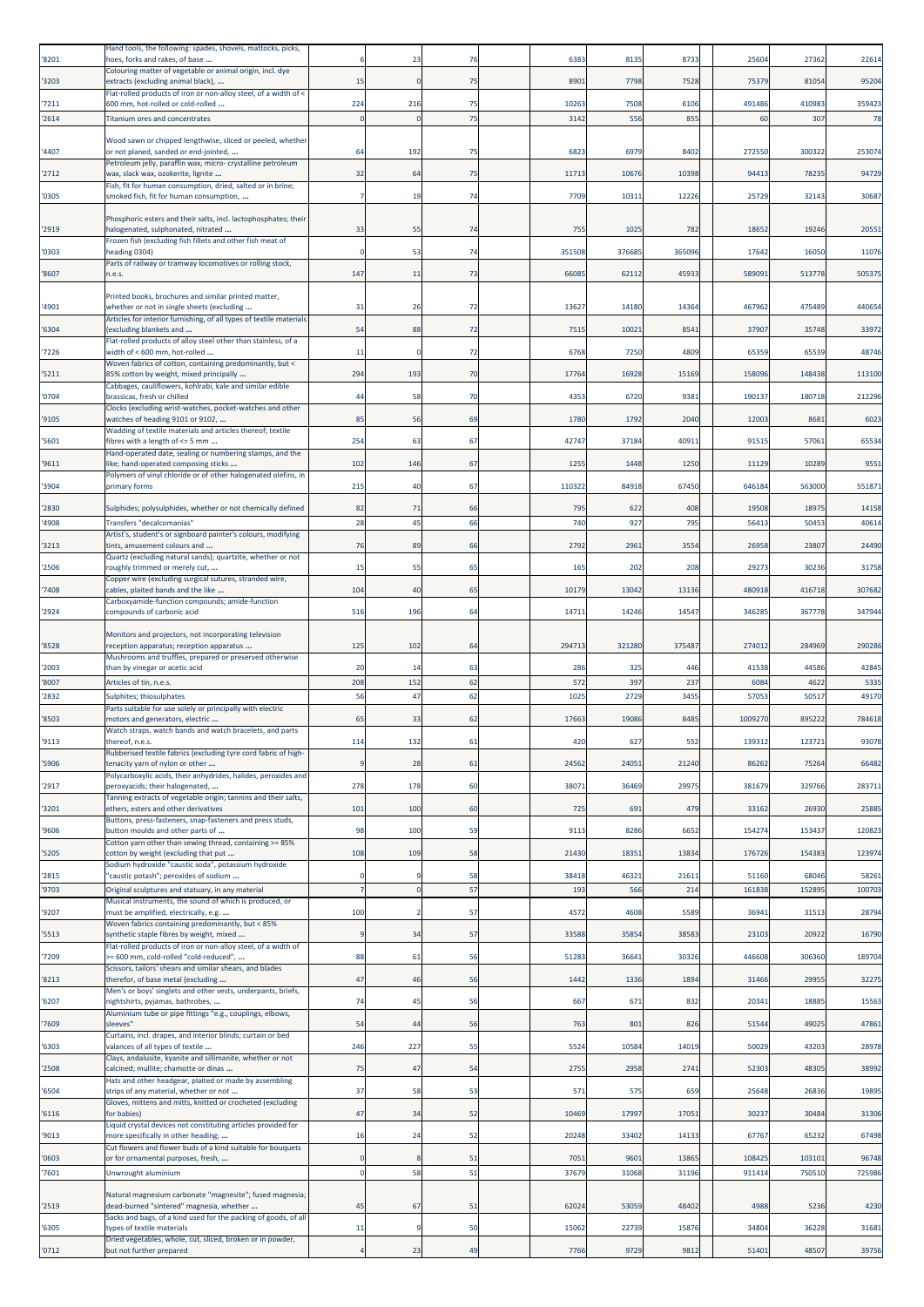| '8201          | Hand tools, the following: spades, shovels, mattocks, picks,<br>hoes, forks and rakes, of base                    |             | 23        | 76       | 6383         | 8135         | 8733         | 25604          | 27362           | 22614           |
|----------------|-------------------------------------------------------------------------------------------------------------------|-------------|-----------|----------|--------------|--------------|--------------|----------------|-----------------|-----------------|
| '3203          | Colouring matter of vegetable or animal origin, incl. dye<br>extracts (excluding animal black),                   | 15          | $\Omega$  | 75       | 8901         | 7798         | 7528         | 75379          | 81054           | 95204           |
| '7211          | Flat-rolled products of iron or non-alloy steel, of a width of <<br>600 mm, hot-rolled or cold-rolled             | 224         | 216       | 75       | 10263        | 7508         | 6106         | 491486         | 410983          | 359423          |
| '2614          | <b>Titanium ores and concentrates</b>                                                                             |             |           | 75       | 3142         | 556          | 855          | 60             | 307             | 78              |
|                | Wood sawn or chipped lengthwise, sliced or peeled, whether                                                        |             |           |          |              |              |              |                |                 |                 |
| '4407          | or not planed, sanded or end-jointed,<br>Petroleum jelly, paraffin wax, micro- crystalline petroleum              | 64          | 192       | 75       | 6823         | 6979         | 8402         | 27255          | 300322          | 253074          |
| '2712          | wax, slack wax, ozokerite, lignite<br>Fish, fit for human consumption, dried, salted or in brine;                 | 32          | 64        | 75       | 11713        | 10676        | 10398        | 94413          | 78235           | 94729           |
| '0305          | smoked fish, fit for human consumption,                                                                           |             | 19        | 74       | 7709         | 1031         | 12226        | 25729          | 32143           | 30687           |
|                | Phosphoric esters and their salts, incl. lactophosphates; their                                                   |             |           |          |              |              |              |                |                 |                 |
| '2919          | halogenated, sulphonated, nitrated<br>Frozen fish (excluding fish fillets and other fish meat of                  | 33          | 55        | 74       | 755          | 1025         | 782          | 18652          | 19246           | 20551           |
| '0303          | heading 0304)<br>Parts of railway or tramway locomotives or rolling stock,                                        |             | 53        | 74       | 351508       | 376685       | 365096       | 17642          | 16050           | 11076           |
| '8607          | n.e.s.                                                                                                            | 147         | 11        | 73       | 66085        | 62112        | 45933        | 589091         | 513778          | 505375          |
|                | Printed books, brochures and similar printed matter,                                                              |             |           |          |              |              |              |                |                 |                 |
| '4901          | whether or not in single sheets (excluding<br>Articles for interior furnishing, of all types of textile materials | 31          | 26        | 72       | 13627        | 14180        | 14364        | 467962         | 475489          | 440654          |
| '6304          | (excluding blankets and<br>Flat-rolled products of alloy steel other than stainless, of a                         | 54          | 88        | 72       | 7515         | 10021        | 8541         | 37907          | 35748           | 33972           |
| '7226          | width of < 600 mm, hot-rolled                                                                                     | 11          | -C        | 72       | 6768         | 7250         | 4809         | 65359          | 65539           | 48746           |
| '5211          | Woven fabrics of cotton, containing predominantly, but <<br>85% cotton by weight, mixed principally               | 294         | 193       | 70       | 17764        | 16928        | 15169        | 158096         | 148438          | 113100          |
| '0704          | Cabbages, cauliflowers, kohlrabi, kale and similar edible<br>brassicas, fresh or chilled                          | 44          | 58        | 70       | 4353         | 6720         | 9381         | 190137         | 180718          | 212296          |
| '9105          | Clocks (excluding wrist-watches, pocket-watches and other<br>watches of heading 9101 or 9102,                     | 85          | 56        | 69       | 1780         | 1792         | 2040         | 1200           | 8681            | 6023            |
| '5601          | Wadding of textile materials and articles thereof; textile<br>fibres with a length of <= 5 mm                     | 254         | 63        | 67       | 42747        | 37184        | 4091         | 91515          | 57061           | 65534           |
|                | Hand-operated date, sealing or numbering stamps, and the                                                          |             |           |          |              |              |              |                |                 |                 |
| '9611          | like; hand-operated composing sticks<br>Polymers of vinyl chloride or of other halogenated olefins, in            | 102         | 146       | 67       | 1255         | 1448         | 1250         | 11129          | 10289           | 9551            |
| '3904          | primary forms                                                                                                     | 215         | 40        | 67       | 110322       | 84918        | 67450        | 646184         | 563000          | 551871          |
| '2830          | Sulphides; polysulphides, whether or not chemically defined                                                       | 82<br>28    | 71<br>45  | 66<br>66 | 795          | 622          | 408          | 19508<br>5641  | 18975<br>5045   | 14158<br>40614  |
| '4908          | Transfers "decalcomanias'<br>Artist's, student's or signboard painter's colours, modifying                        |             |           |          | 740          | 927          | 795          |                |                 |                 |
| '3213          | tints, amusement colours and<br>Quartz (excluding natural sands); quartzite, whether or not                       | 76          | 89        | 66       | 2792         | 2961         | 3554         | 26958          | 23807           | 24490           |
| '2506          | roughly trimmed or merely cut,<br>Copper wire (excluding surgical sutures, stranded wire,                         | 15          | 55        | 65       | 165          | 202          | 208          | 29273          | 30236           | 31758           |
| '7408          | cables, plaited bands and the like<br>Carboxyamide-function compounds; amide-function                             | 104         | 40        | 65       | 10179        | 13042        | 13136        | 480918         | 416718          | 307682          |
| '2924          | compounds of carbonic acid                                                                                        | 516         | 196       | 64       | 14711        | 14246        | 14547        | 346285         | 367778          | 347944          |
|                | Monitors and projectors, not incorporating television                                                             |             |           |          |              |              |              |                |                 |                 |
| '8528          | reception apparatus; reception apparatus<br>Mushrooms and truffles, prepared or preserved otherwise               | 125         | 102       | 64       | 294713       | 321280       | 375487       | 274012         | 284969          | 290286          |
| '2003          | than by vinegar or acetic acid                                                                                    | 20<br>208   | 14<br>152 | 63<br>62 | 286<br>572   | 325          | 446          | 41538          | 44586           | 42845           |
| '8007<br>'2832 | Articles of tin, n.e.s.<br>Sulphites; thiosulphates                                                               | 56          | 47        | 62       | 1025         | 397<br>2729  | 237<br>3455  | 6084<br>5705   | 4622<br>50517   | 5335<br>49170   |
| '8503          | Parts suitable for use solely or principally with electric<br>motors and generators, electric                     | 65          | 33        | 62       | 17663        | 19086        | 8485         | 1009270        | 895222          | 784618          |
|                | Watch straps, watch bands and watch bracelets, and parts                                                          |             |           |          |              |              |              |                |                 |                 |
| '9113          | thereof, n.e.s.<br>Rubberised textile fabrics (excluding tyre cord fabric of high-                                | 11.         | 132       | -61      | 420          | 627          | 552          | 139312         | 123721          | 93078           |
| '5906          | tenacity yarn of nylon or other<br>Polycarboxylic acids, their anhydrides, halides, peroxides and                 | q           | 28        | 61       | 24562        | 24051        | 21240        | 86262          | 75264           | 66482           |
| '2917          | peroxyacids; their halogenated,                                                                                   | 278         | 178       | 60       | 38071        | 36469        | 29975        | 381679         | 329766          | 283711          |
| '3201          | Tanning extracts of vegetable origin; tannins and their salts,<br>ethers, esters and other derivatives            | 101         | 100       | 60       | 725          | 691          | 479          | 33162          | 26930           | 25885           |
| '9606          | Buttons, press-fasteners, snap-fasteners and press studs,<br>button moulds and other parts of                     | 98          | 100       | 59       | 9113         | 8286         | 6652         | 154274         | 153437          | 120823          |
| '5205          | Cotton yarn other than sewing thread, containing >= 85%<br>cotton by weight (excluding that put                   | 108         | 109       | 58       | 21430        | 18351        | 13834        | 176726         | 154383          | 123974          |
|                | Sodium hydroxide "caustic soda", potassium hydroxide                                                              | $\Omega$    |           |          |              |              |              |                |                 |                 |
| '2815<br>'9703 | "caustic potash"; peroxides of sodium<br>Original sculptures and statuary, in any material                        |             |           | 58<br>57 | 38418<br>193 | 46321<br>566 | 21611<br>214 | 51160<br>16183 | 68046<br>152895 | 58261<br>100703 |
| '9207          | Musical instruments, the sound of which is produced, or<br>must be amplified, electrically, e.g.                  | 100         |           | 57       | 4572         | 4608         | 5589         | 36941          | 31513           | 28794           |
|                | Woven fabrics containing predominantly, but < 85%                                                                 |             |           |          |              |              |              |                |                 |                 |
| '5513          | synthetic staple fibres by weight, mixed<br>Flat-rolled products of iron or non-alloy steel, of a width of        | 9           | 34        | 57       | 33588        | 35854        | 38583        | 23103          | 20922           | 16790           |
| '7209          | >= 600 mm, cold-rolled "cold-reduced",<br>Scissors, tailors' shears and similar shears, and blades                | 88          | 61        | 56       | 51283        | 36641        | 30326        | 446608         | 306360          | 189704          |
| '8213          | therefor, of base metal (excluding<br>Men's or boys' singlets and other vests, underpants, briefs,                | 47          | 46        | 56       | 1442         | 1336         | 1894         | 31466          | 29955           | 32275           |
| '6207          | nightshirts, pyjamas, bathrobes,<br>Aluminium tube or pipe fittings "e.g., couplings, elbows,                     | 74          | 45        | 56       | 667          | 671          | 832          | 20341          | 18885           | 15563           |
| '7609          | sleeves"                                                                                                          | 54          | 44        | 56       | 763          | 801          | 826          | 51544          | 49025           | 47861           |
| '6303          | Curtains, incl. drapes, and interior blinds; curtain or bed<br>valances of all types of textile                   | 246         | 227       | 55       | 5524         | 10584        | 14019        | 50029          | 43203           | 28978           |
| '2508          | Clays, andalusite, kyanite and sillimanite, whether or not<br>calcined; mullite; chamotte or dinas                | 75          | 47        | 54       | 2755         | 2958         | 2741         | 52303          | 48305           | 38992           |
| '6504          | Hats and other headgear, plaited or made by assembling<br>strips of any material, whether or not                  | 37          | 58        | 53       | 571          | 575          | 659          | 25648          | 26836           | 19895           |
|                | Gloves, mittens and mitts, knitted or crocheted (excluding                                                        | 47          |           |          |              |              |              |                |                 |                 |
| '6116          | for babies)<br>Liquid crystal devices not constituting articles provided for                                      |             | 34        | 52       | 10469        | 17997        | 17051        | 30237          | 30484           | 31306           |
| '9013          | more specifically in other heading;<br>Cut flowers and flower buds of a kind suitable for bouquets                | 16          | 24        | 52       | 20248        | 33402        | 14133        | 67767          | 65232           | 67498           |
| '0603          | or for ornamental purposes, fresh,                                                                                | $\mathbf 0$ |           | 51       | 7051         | 9601         | 13865        | 108425         | 103101          | 96748           |
| '7601          | Unwrought aluminium                                                                                               | $\mathbf 0$ | 58        | 51       | 37679        | 31068        | 31196        | 911414         | 750510          | 725986          |
| '2519          | Natural magnesium carbonate "magnesite"; fused magnesia;<br>dead-burned "sintered" magnesia, whether              | 45          | 67        | 51       | 62024        | 53059        | 48402        | 4988           | 5236            | 4230            |
| '6305          | Sacks and bags, of a kind used for the packing of goods, of all<br>types of textile materials                     | 11          |           | 50       | 15062        | 22739        | 15876        | 34804          | 36228           | 31681           |
| '0712          | Dried vegetables, whole, cut, sliced, broken or in powder,<br>but not further prepared                            |             | 23        | 49       | 7766         | 9729         | 9812         | 51401          | 48507           | 39756           |
|                |                                                                                                                   |             |           |          |              |              |              |                |                 |                 |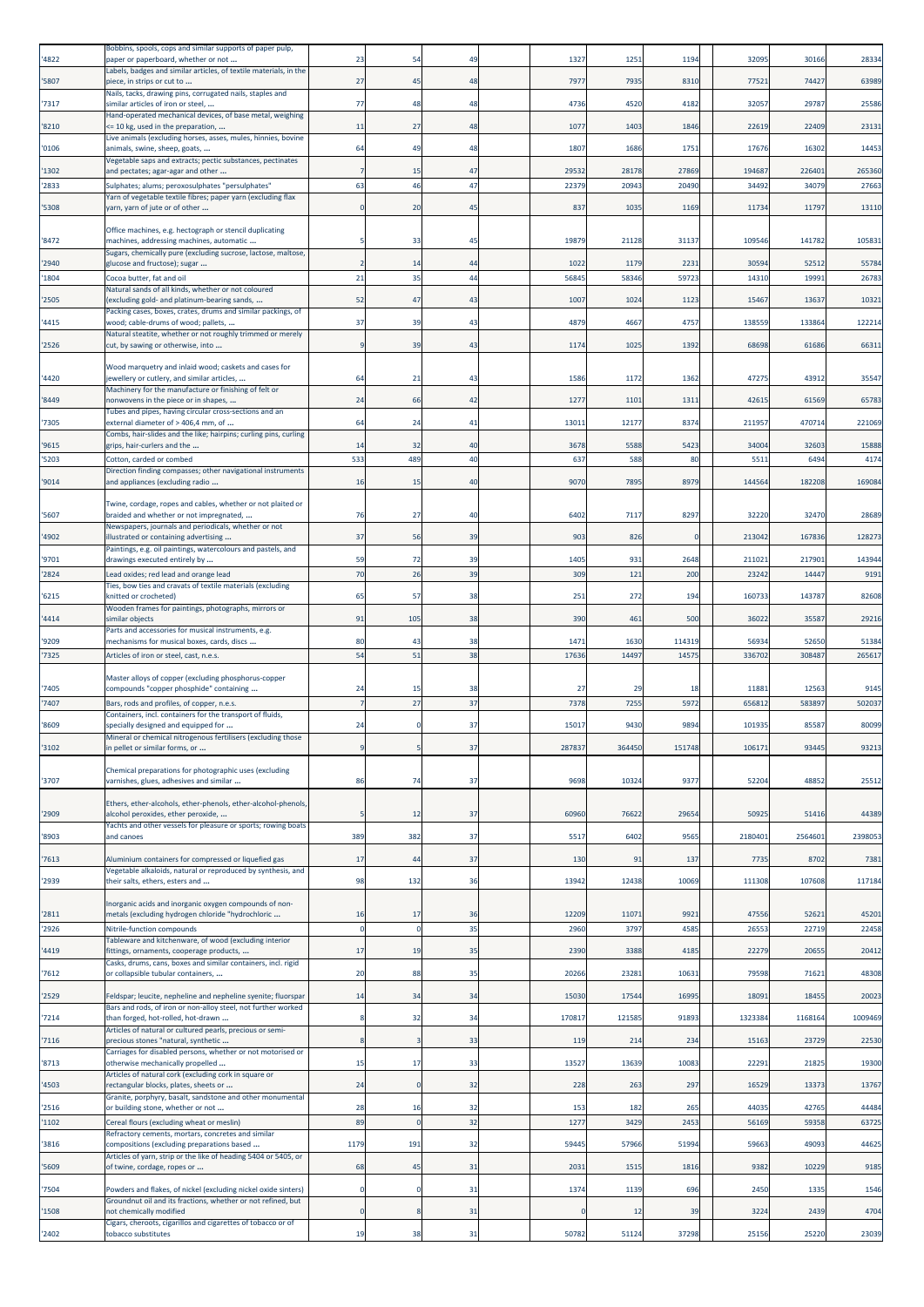| 4822           | Bobbins, spools, cops and similar supports of paper pulp,<br>paper or paperboard, whether or not                     | 23           | 54       | 49       | 1327          | 1251          | 1194            | 32095           | 30166           | 28334           |
|----------------|----------------------------------------------------------------------------------------------------------------------|--------------|----------|----------|---------------|---------------|-----------------|-----------------|-----------------|-----------------|
| '5807          | Labels, badges and similar articles, of textile materials, in the<br>piece, in strips or cut to                      | 27           | 45       | 48       | 7977          | 7935          | 8310            | 7752            | 74427           | 63989           |
| '7317          | Nails, tacks, drawing pins, corrugated nails, staples and<br>similar articles of iron or steel,                      | 77           | 48       | 48       | 4736          | 4520          | 4182            | 32057           | 29787           | 25586           |
| 8210           | Hand-operated mechanical devices, of base metal, weighing<br><= 10 kg, used in the preparation,                      | 11           | 27       | 48       | 1077          | 1403          | 1846            | 22619           | 22409           | 23131           |
| '0106          | Live animals (excluding horses, asses, mules, hinnies, bovine<br>animals, swine, sheep, goats,                       | 64           | 49       | 48       | 1807          | 1686          | 1751            | 17676           | 16302           | 14453           |
| '1302          | Vegetable saps and extracts; pectic substances, pectinates                                                           |              | 15       | 47       | 29532         | 28178         | 27869           | 194687          | 226401          | 265360          |
| '2833          | and pectates; agar-agar and other<br>Sulphates; alums; peroxosulphates "persulphates"                                | 63           | 46       | 47       | 22379         | 20943         | 20490           | 3449            | 34079           | 27663           |
| '5308          | Yarn of vegetable textile fibres; paper yarn (excluding flax<br>yarn, yarn of jute or of other                       | $\mathbf{0}$ | 20       | 45       | 837           | 1035          | 1169            | 11734           | 11797           | 13110           |
|                | Office machines, e.g. hectograph or stencil duplicating                                                              |              |          |          |               |               |                 |                 |                 | 105831          |
| '8472          | machines, addressing machines, automatic<br>Sugars, chemically pure (excluding sucrose, lactose, maltose,            |              | 33       | 45       | 19879         | 21128         | 31137           | 109546          | 141782          |                 |
| '2940<br>'1804 | glucose and fructose); sugar<br>Cocoa butter, fat and oil                                                            | 21           | 14<br>35 | 44<br>44 | 1022<br>56845 | 1179<br>58346 | 2231<br>59723   | 30594<br>14310  | 52512<br>19991  | 55784<br>26783  |
| '2505          | Natural sands of all kinds, whether or not coloured<br>(excluding gold- and platinum-bearing sands,                  | 52           | 47       | 43       | 1007          | 1024          | 1123            | 15467           | 13637           | 10321           |
| 4415           | Packing cases, boxes, crates, drums and similar packings, of<br>wood; cable-drums of wood; pallets,                  | 37           | 39       | 43       | 4879          | 4667          | 4757            | 13855           | 133864          | 122214          |
| '2526          | Natural steatite, whether or not roughly trimmed or merely                                                           | q            | 39       | 43       | 1174          | 1025          | 1392            | 68698           | 61686           | 6631            |
|                | cut, by sawing or otherwise, into                                                                                    |              |          |          |               |               |                 |                 |                 |                 |
| '4420          | Wood marquetry and inlaid wood; caskets and cases for<br>jewellery or cutlery, and similar articles,                 | 64           | 21       | 43       | 1586          | 1172          | 1362            | 47275           | 43912           | 35547           |
| '8449          | Machinery for the manufacture or finishing of felt or<br>nonwovens in the piece or in shapes,                        | 24           | 66       | 42       | 1277          | 1101          | 1311            | 42615           | 61569           | 65783           |
| '7305          | Tubes and pipes, having circular cross-sections and an<br>external diameter of > 406,4 mm, of                        | 64           | 24       | 41       | 13011         | 12177         | 8374            | 211957          | 470714          | 221069          |
| '9615          | Combs, hair-slides and the like; hairpins; curling pins, curling<br>grips, hair-curlers and the                      | 14           | 32       | 40       | 3678          | 5588          | 5423            | 34004           | 32603           | 15888           |
| 5203           | Cotton, carded or combed                                                                                             | 533          | 489      | 40       | 637           | 588           | 80              | 551             | 6494            | 4174            |
| '9014          | Direction finding compasses; other navigational instruments<br>and appliances (excluding radio                       | 16           | 15       | 40       | 9070          | 7895          | 8979            | 144564          | 182208          | 169084          |
| '5607          | Twine, cordage, ropes and cables, whether or not plaited or<br>braided and whether or not impregnated,               | 76           | 27       | 40       | 6402          | 7117          | 8297            | 32220           | 32470           | 28689           |
|                | Newspapers, journals and periodicals, whether or not                                                                 | 37           |          |          |               |               | $\Omega$        |                 |                 | 128273          |
| 4902           | illustrated or containing advertising<br>Paintings, e.g. oil paintings, watercolours and pastels, and                |              | 56       | 39       | 903           | 826           |                 | 213042          | 167836          |                 |
| '9701<br>2824  | drawings executed entirely by<br>Lead oxides; red lead and orange lead                                               | 59<br>70     | 72<br>26 | 39<br>39 | 1405<br>309   | 931<br>121    | 2648<br>200     | 211021<br>23242 | 217901<br>14447 | 143944<br>9191  |
|                | Ties, bow ties and cravats of textile materials (excluding                                                           |              |          |          |               |               |                 |                 |                 |                 |
| '6215          | knitted or crocheted)<br>Wooden frames for paintings, photographs, mirrors or                                        | 65           | 57       | 38       | 251           | 272           | 194             | 16073           | 143787          | 82608           |
| '4414          | similar objects<br>Parts and accessories for musical instruments, e.g.                                               | 91           | 105      | 38       | 390           | 461           | 500             | 36022           | 35587           | 29216           |
| '9209<br>'7325 | mechanisms for musical boxes, cards, discs<br>Articles of iron or steel, cast, n.e.s.                                | 80<br>54     | 43<br>51 | 38<br>38 | 1471<br>17636 | 1630<br>14497 | 114319<br>14575 | 56934<br>33670  | 52650<br>30848  | 51384<br>265617 |
|                | Master alloys of copper (excluding phosphorus-copper                                                                 |              |          |          |               |               |                 |                 |                 |                 |
| '7405          | compounds "copper phosphide" containing                                                                              | 24           | 15       | 38       | 27            | 29            | 18              | 11881           | 12563           | 9145            |
| 7407           | Bars, rods and profiles, of copper, n.e.s.<br>Containers, incl. containers for the transport of fluids,              |              | 27       | 37       | 7378          | 7255          | 5972            | 65681           | 58389           | 502037          |
| '8609          | specially designed and equipped for                                                                                  | 24           |          | 37       | 15017         | 9430          | 9894            | 101935          | 85587           | 80099           |
| 3102           | Mineral or chemical nitrogenous fertilisers (excluding those<br>in pellet or similar forms, or                       |              |          | 37       | 287837        | 364450        | 151748          | 106171          | 93445           | 93213           |
| '3707          | Chemical preparations for photographic uses (excluding<br>varnishes, glues, adhesives and similar                    | 86           | 74       | 37       | 9698          | 10324         | 9377            | 52204           | 48852           | 25512           |
|                | Ethers, ether-alcohols, ether-phenols, ether-alcohol-phenols,                                                        |              |          |          |               | 76622         |                 |                 |                 |                 |
| '2909          | alcohol peroxides, ether peroxide,<br>Yachts and other vessels for pleasure or sports; rowing boats                  |              | 12       | 37       | 60960         |               | 29654           | 50925           | 51416           | 44389           |
| '8903          | and canoes                                                                                                           | 389          | 382      | 37       | 5517          | 6402          | 9565            | 2180401         | 2564601         | 2398053         |
| 7613           | Aluminium containers for compressed or liquefied gas<br>Vegetable alkaloids, natural or reproduced by synthesis, and | 17           | 44       | 37       | 130           | 91            | 137             | 7735            | 8702            | 7381            |
| 2939           | their salts, ethers, esters and                                                                                      | 98           | 132      | 36       | 13942         | 12438         | 10069           | 111308          | 107608          | 117184          |
| 2811           | Inorganic acids and inorganic oxygen compounds of non-<br>metals (excluding hydrogen chloride "hydrochloric          | 16           | 17       | 36       | 12209         | 11071         | 9921            | 4755            | 52621           | 45201           |
| 2926           | Nitrile-function compounds<br>Tableware and kitchenware, of wood (excluding interior                                 | $\mathbf{0}$ | $\Omega$ | 35       | 2960          | 3797          | 4585            | 26553           | 22719           | 22458           |
| 4419           | fittings, ornaments, cooperage products,                                                                             | 17           | 19       | 35       | 2390          | 3388          | 4185            | 22279           | 20655           | 20412           |
| 7612           | Casks, drums, cans, boxes and similar containers, incl. rigid<br>or collapsible tubular containers,                  | 20           | 88       | 35       | 20266         | 23281         | 10631           | 79598           | 71621           | 48308           |
| '2529          | Feldspar; leucite, nepheline and nepheline syenite; fluorspar                                                        | 14           | 34       | 34       | 15030         | 17544         | 16995           | 18091           | 18455           | 20023           |
| '7214          | Bars and rods, of iron or non-alloy steel, not further worked<br>than forged, hot-rolled, hot-drawn                  | 8            | 32       | 34       | 170817        | 121585        | 91893           | 1323384         | 1168164         | 1009469         |
| 7116           | Articles of natural or cultured pearls, precious or semi-<br>precious stones "natural, synthetic                     | 8            |          | 33       | 119           | 214           | 234             | 15163           | 23729           | 22530           |
| 8713           | Carriages for disabled persons, whether or not motorised or<br>otherwise mechanically propelled                      | 15           | 17       | 33       | 13527         | 13639         | 10083           | 22291           | 21825           | 19300           |
| 4503           | Articles of natural cork (excluding cork in square or<br>rectangular blocks, plates, sheets or                       | 24           |          | 32       | 228           | 263           | 297             | 16529           | 13373           | 13767           |
| '2516          | Granite, porphyry, basalt, sandstone and other monumental                                                            | 28           | 16       | 32       | 153           | 182           | 265             | 44035           | 42765           | 44484           |
| '1102          | or building stone, whether or not<br>Cereal flours (excluding wheat or meslin)                                       | 89           |          | 32       | 127           | 3429          | 2453            | 5616            | 59358           | 63725           |
| '3816          | Refractory cements, mortars, concretes and similar<br>compositions (excluding preparations based                     | 1179         | 191      | 32       | 59445         | 57966         | 51994           | 59663           | 49093           | 44625           |
| '5609          | Articles of yarn, strip or the like of heading 5404 or 5405, or<br>of twine, cordage, ropes or                       | 68           | 45       | 31       | 2031          | 1515          | 1816            | 9382            | 10229           | 9185            |
| '7504          | Powders and flakes, of nickel (excluding nickel oxide sinters)                                                       | $\mathbf 0$  |          | 31       | 1374          | 1139          | 696             | 2450            | 1335            | 1546            |
| 1508           | Groundnut oil and its fractions, whether or not refined, but<br>not chemically modified                              |              |          | 31       |               | 12            | 39              | 3224            | 2439            | 4704            |
| '2402          | Cigars, cheroots, cigarillos and cigarettes of tobacco or of<br>tobacco substitutes                                  | 19           | 38       | 31       | 50782         | 51124         | 37298           | 25156           | 25220           | 23039           |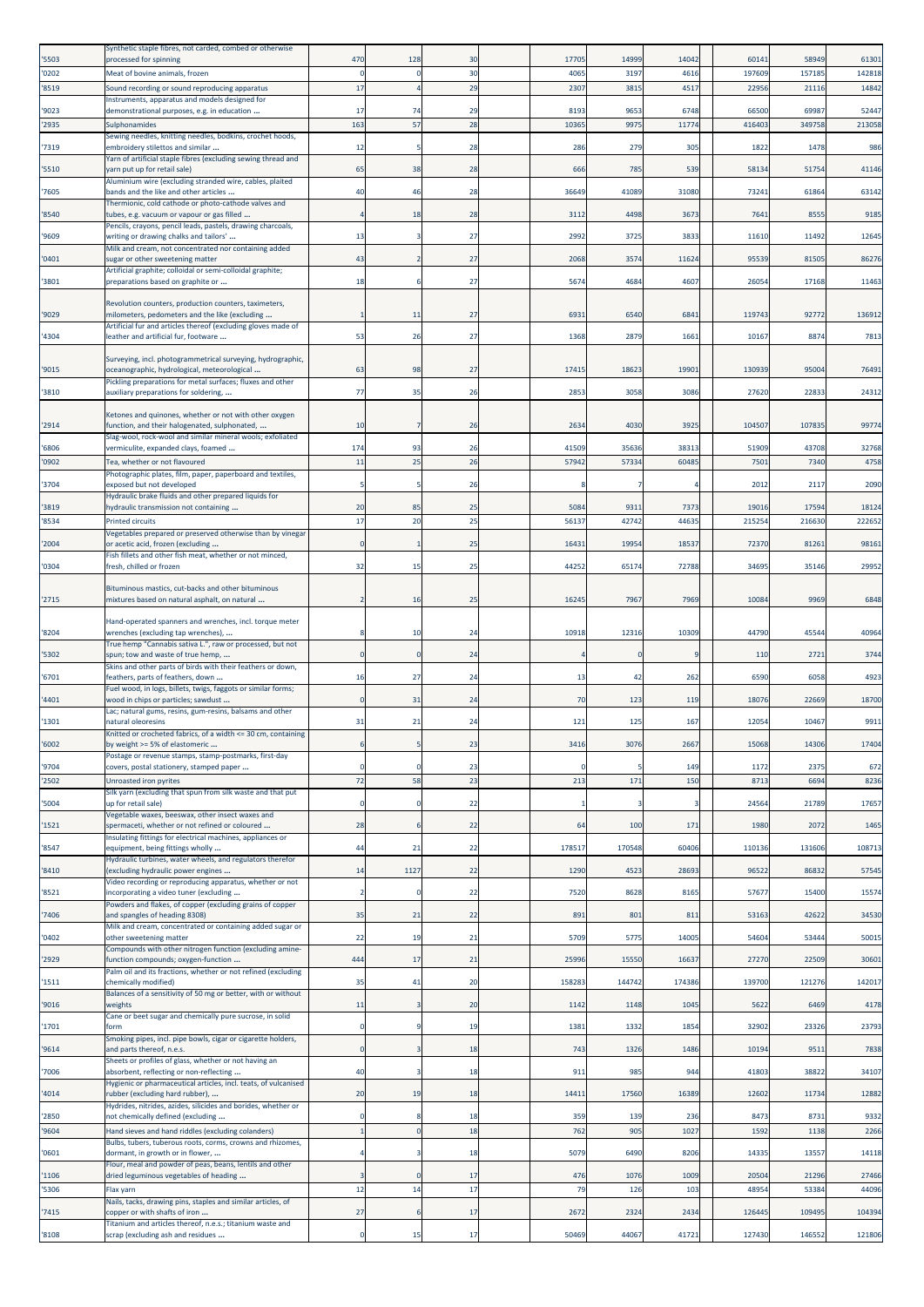| '5503          | Synthetic staple fibres, not carded, combed or otherwise<br>processed for spinning                          | 470            | 128      | 30       | 17705        | 14999         | 14042        | 60141          | 58949           | 61301           |
|----------------|-------------------------------------------------------------------------------------------------------------|----------------|----------|----------|--------------|---------------|--------------|----------------|-----------------|-----------------|
| '0202          | Meat of bovine animals, frozen                                                                              | $\Omega$       |          | 30       | 4065         | 3197          | 4616         | 197609         | 157185          | 142818          |
| '8519          | Sound recording or sound reproducing apparatus<br>Instruments, apparatus and models designed for            | 17             |          | 29       | 230          | 381           | 451          | 2295           | 21116           | 14842           |
| '9023          | demonstrational purposes, e.g. in education                                                                 | 17             | 74       | 29       | 8193         | 9653          | 6748         | 66500          | 69987           | 52447           |
| '2935          | Sulphonamides<br>Sewing needles, knitting needles, bodkins, crochet hoods,                                  | 163            | 57       | 28       | 1036         | 9975          | 1177         | 41640          | 349758          | 213058          |
| '7319          | embroidery stilettos and similar<br>Yarn of artificial staple fibres (excluding sewing thread and           | 12             |          | 28       | 286          | 279           | 305          | 1822           | 1478            | 986             |
| '5510          | yarn put up for retail sale)<br>Aluminium wire (excluding stranded wire, cables, plaited                    | 65             | 38       | 28       | 666          | 785           | 539          | 58134          | 51754           | 41146           |
| '7605          | bands and the like and other articles                                                                       | 40             | 46       | 28       | 36649        | 41089         | 31080        | 73241          | 61864           | 63142           |
| '8540          | Thermionic, cold cathode or photo-cathode valves and<br>tubes, e.g. vacuum or vapour or gas filled          |                | 18       | 28       | 311          | 4498          | 3673         | 764            | 8555            | 9185            |
| '9609          | Pencils, crayons, pencil leads, pastels, drawing charcoals,<br>writing or drawing chalks and tailors'       | 13             |          | 27       | 2992         | 3725          | 3833         | 11610          | 11492           | 12645           |
| '0401          | Milk and cream, not concentrated nor containing added<br>sugar or other sweetening matter                   | 43             |          | 27       | 2068         | 3574          | 11624        | 95539          | 81505           | 86276           |
| '3801          | Artificial graphite; colloidal or semi-colloidal graphite;<br>preparations based on graphite or             | 18             |          | 27       | 5674         | 4684          | 4607         | 26054          | 17168           | 11463           |
|                |                                                                                                             |                |          |          |              |               |              |                |                 |                 |
| '9029          | Revolution counters, production counters, taximeters,<br>milometers, pedometers and the like (excluding     |                | 11       | 27       | 6931         | 6540          | 6841         | 11974          | 92772           | 136912          |
| '4304          | Artificial fur and articles thereof (excluding gloves made of<br>leather and artificial fur, footware       | 53             | 26       | 27       | 1368         | 2879          | 1661         | 10167          | 8874            | 7813            |
|                | Surveying, incl. photogrammetrical surveying, hydrographic,                                                 |                |          |          |              |               |              |                |                 |                 |
| '9015          | oceanographic, hydrological, meteorological                                                                 | 63             | 98       | 27       | 17415        | 18623         | 19901        | 13093          | 9500            | 76491           |
| '3810          | Pickling preparations for metal surfaces; fluxes and other<br>auxiliary preparations for soldering,         | 77             | 35       | 26       | 2853         | 3058          | 3086         | 27620          | 22833           | 24312           |
|                | Ketones and quinones, whether or not with other oxygen                                                      |                |          |          |              |               |              |                |                 |                 |
| '2914          | function, and their halogenated, sulphonated,<br>Slag-wool, rock-wool and similar mineral wools; exfoliated | 10             |          | 26       | 2634         | 4030          | 3925         | 104507         | 10783           | 99774           |
| '6806          | vermiculite, expanded clays, foamed                                                                         | 174            | 93       | 26       | 41509        | 35636         | 38313        | 51909          | 43708           | 32768           |
| '0902          | Tea, whether or not flavoured<br>Photographic plates, film, paper, paperboard and textiles,                 | 11             | 25       | 26       | 57942        | 57334         | 60485        | 7501           | 7340            | 4758            |
| '3704          | exposed but not developed<br>Hydraulic brake fluids and other prepared liquids for                          |                |          | 26       |              |               |              | 2012           | 2117            | 2090            |
| '3819<br>'8534 | hydraulic transmission not containing<br>Printed circuits                                                   | 20<br>17       | 85<br>20 | 25<br>25 | 5084<br>5613 | 9311<br>42742 | 7373<br>4463 | 19016<br>21525 | 17594<br>216630 | 18124<br>222652 |
|                | Vegetables prepared or preserved otherwise than by vinegar                                                  | $\overline{0}$ |          |          |              | 19954         |              |                | 81261           | 98161           |
| '2004          | or acetic acid, frozen (excluding<br>Fish fillets and other fish meat, whether or not minced,               |                |          | 25       | 16431        |               | 18537        | 72370          |                 |                 |
| '0304          | fresh, chilled or frozen                                                                                    | 32             | 15       | 25       | 44252        | 65174         | 72788        | 34695          | 35146           | 29952           |
| '2715          | Bituminous mastics, cut-backs and other bituminous<br>mixtures based on natural asphalt, on natural         | $\overline{2}$ | 16       | 25       | 16245        | 7967          | 7969         | 10084          | 9969            | 6848            |
|                | Hand-operated spanners and wrenches, incl. torque meter                                                     |                |          |          |              |               |              |                |                 |                 |
| '8204          | wrenches (excluding tap wrenches),<br>True hemp "Cannabis sativa L.", raw or processed, but not             |                | 10       | 24       | 10918        | 12316         | 10309        | 44790          | 45544           | 40964           |
| '5302          | spun; tow and waste of true hemp,                                                                           | $\mathbf 0$    | 0        | 24       |              |               | 9            | 110            | 2721            | 3744            |
| '6701          | Skins and other parts of birds with their feathers or down,<br>feathers, parts of feathers, down            | 16             | 27       | 24       | 13           | -42           | 262          | 659            | 6058            | 4923            |
| '4401          | Fuel wood, in logs, billets, twigs, faggots or similar forms;<br>wood in chips or particles; sawdust        |                | 31       | 24       | 70           | 123           | 119          | 18076          | 22669           | 18700           |
| '1301          | Lac; natural gums, resins, gum-resins, balsams and other<br>natural oleoresins                              | 31             | 21       | 24       | 121          | 125           | 167          | 12054          | 10467           | 9911            |
| '6002          | Knitted or crocheted fabrics, of a width <= 30 cm, containing<br>by weight >= 5% of elastomeric             |                |          | 23       | 3416         | 3076          | 2667         | 15068          | 14306           | 17404           |
| '9704          | Postage or revenue stamps, stamp-postmarks, first-day<br>covers, postal stationery, stamped paper           | $\Omega$       |          | 23       |              |               | 149          | 1172           | 2375            | 672             |
| '2502          | Unroasted iron pyrites                                                                                      | 72             | 58       | 23       | 213          | 171           | 150          | 8713           | 6694            | 8236            |
| '5004          | Silk yarn (excluding that spun from silk waste and that put<br>up for retail sale)                          | $\mathbf 0$    |          | 22       |              |               | 3            | 24564          | 21789           | 17657           |
| '1521          | Vegetable waxes, beeswax, other insect waxes and<br>spermaceti, whether or not refined or coloured          | 28             | 6        | 22       | 64           | 100           | 171          | 1980           | 2072            | 1465            |
|                | Insulating fittings for electrical machines, appliances or                                                  |                |          |          |              |               |              |                |                 |                 |
| '8547          | equipment, being fittings wholly<br>Hydraulic turbines, water wheels, and regulators therefor               | 44             | 21       | 22       | 178517       | 170548        | 60406        | 110136         | 131606          | 108713          |
| '8410          | excluding hydraulic power engines<br>Video recording or reproducing apparatus, whether or not               | 14             | 1127     | 22       | 1290         | 4523          | 28693        | 96522          | 86832           | 57545           |
| '8521          | incorporating a video tuner (excluding<br>Powders and flakes, of copper (excluding grains of copper         | $\overline{2}$ |          | 22       | 7520         | 8628          | 8165         | 57677          | 15400           | 15574           |
| '7406          | and spangles of heading 8308)<br>Milk and cream, concentrated or containing added sugar or                  | 35             | 21       | 22       | 891          | 801           | 811          | 53163          | 42622           | 34530           |
| '0402          | other sweetening matter                                                                                     | 22             | 19       | 21       | 5709         | 5775          | 14005        | 54604          | 53444           | 50015           |
| '2929          | Compounds with other nitrogen function (excluding amine-<br>function compounds; oxygen-function             | 444            | 17       | 21       | 25996        | 15550         | 16637        | 27270          | 22509           | 30601           |
| '1511          | Palm oil and its fractions, whether or not refined (excluding<br>chemically modified)                       | 35             | 41       | 20       | 158283       | 144742        | 174386       | 139700         | 121276          | 142017          |
| '9016          | Balances of a sensitivity of 50 mg or better, with or without<br>weights                                    | 11             |          | 20       | 1142         | 1148          | 1045         | 5622           | 6469            | 4178            |
| '1701          | Cane or beet sugar and chemically pure sucrose, in solid<br>form                                            | $^{\circ}$     |          | 19       | 1381         | 1332          | 1854         | 32902          | 23326           | 23793           |
| '9614          | Smoking pipes, incl. pipe bowls, cigar or cigarette holders,<br>and parts thereof, n.e.s.                   | $\mathbf 0$    |          | 18       | 743          | 1326          | 1486         | 10194          | 9511            | 7838            |
| '7006          | Sheets or profiles of glass, whether or not having an<br>absorbent, reflecting or non-reflecting            | 40             |          | 18       | 911          | 985           | 944          | 41803          | 38822           | 34107           |
| '4014          | Hygienic or pharmaceutical articles, incl. teats, of vulcanised                                             | 20             |          | 18       | 14411        | 17560         | 16389        | 12602          | 11734           | 12882           |
|                | rubber (excluding hard rubber),<br>Hydrides, nitrides, azides, silicides and borides, whether or            |                | 19       |          |              |               |              |                |                 |                 |
| '2850<br>'9604 | not chemically defined (excluding<br>Hand sieves and hand riddles (excluding colanders)                     | $\Omega$       |          | 18<br>18 | 359<br>762   | 139<br>905    | 236<br>1027  | 8473<br>1592   | 8731<br>1138    | 9332<br>2266    |
| '0601          | Bulbs, tubers, tuberous roots, corms, crowns and rhizomes,<br>dormant, in growth or in flower,              |                |          | 18       | 5079         | 6490          | 8206         | 14335          | 13557           | 14118           |
| '1106          | Flour, meal and powder of peas, beans, lentils and other<br>dried leguminous vegetables of heading          |                |          | 17       | 476          | 1076          | 1009         | 2050           | 21296           | 27466           |
| '5306          | Flax yarn                                                                                                   | 12             | 14       | 17       | 79           | 126           | 103          | 48954          | 53384           | 44096           |
| '7415          | Nails, tacks, drawing pins, staples and similar articles, of<br>copper or with shafts of iron               | 27             | 6        | 17       | 2672         | 2324          | 2434         | 126445         | 109495          | 104394          |
| '8108          | Titanium and articles thereof, n.e.s.; titanium waste and<br>scrap (excluding ash and residues              | $^{\circ}$     | 15       | 17       | 50469        | 44067         | 41721        | 127430         | 146552          | 121806          |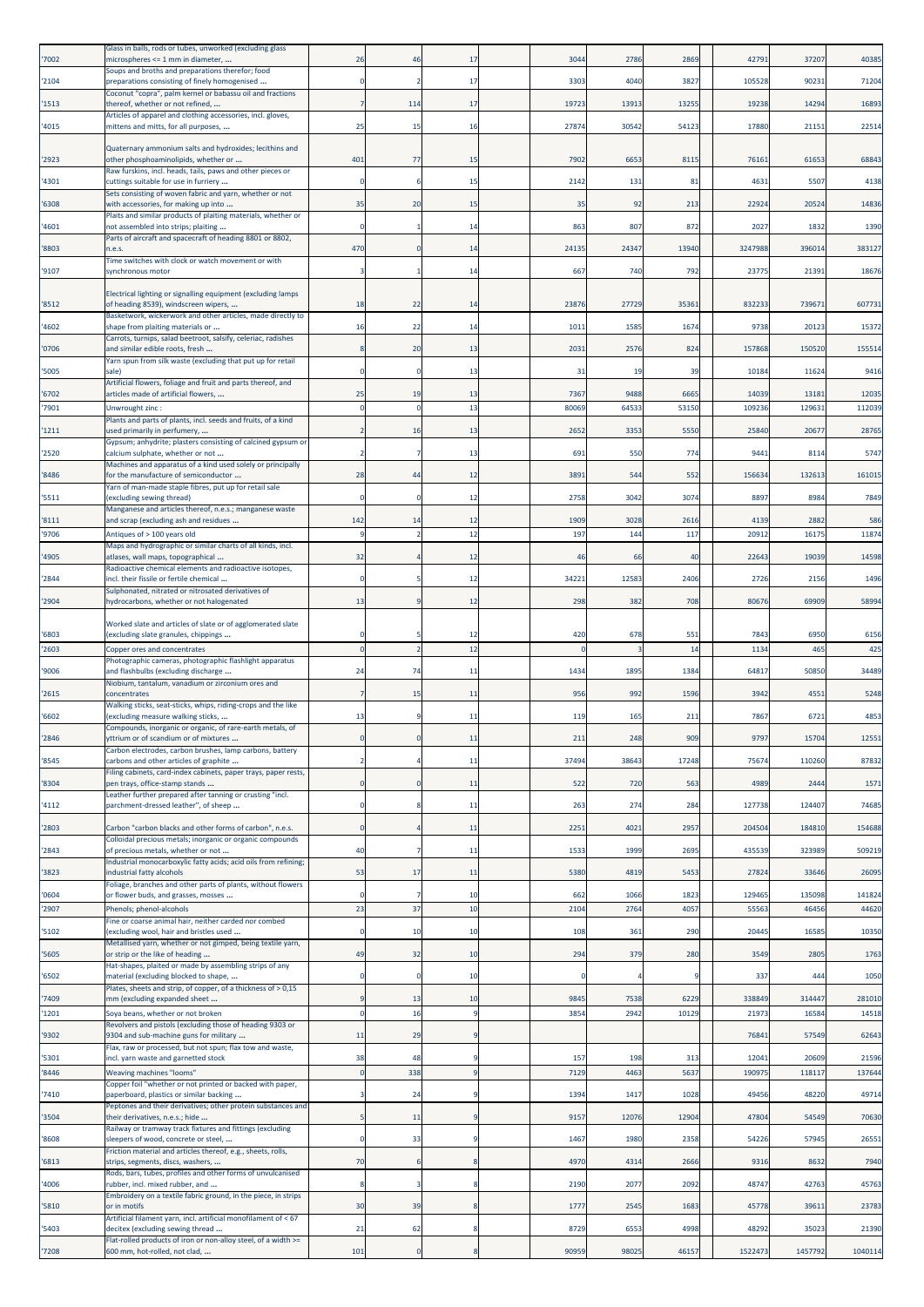|                | Glass in balls, rods or tubes, unworked (excluding glass                                                  |               |                |                        |              |              |               |                |                 |                 |
|----------------|-----------------------------------------------------------------------------------------------------------|---------------|----------------|------------------------|--------------|--------------|---------------|----------------|-----------------|-----------------|
| '7002          | microspheres <= 1 mm in diameter,<br>Soups and broths and preparations therefor; food                     | 26            | 46             | 17                     | 3044         | 2786         | 2869          | 42791          | 37207           | 40385           |
| '2104          | preparations consisting of finely homogenised                                                             |               |                | 17                     | 3303         | 4040         | 3827          | 105528         | 90231           | 71204           |
| '1513          | Coconut "copra", palm kernel or babassu oil and fractions<br>thereof, whether or not refined,             |               | 114            | 17                     | 19723        | 13913        | 13255         | 19238          | 14294           | 16893           |
| '4015          | Articles of apparel and clothing accessories, incl. gloves,<br>mittens and mitts, for all purposes,       | 25            | 15             | 16                     | 27874        | 30542        | 54123         | 17880          | 21151           | 22514           |
|                | Quaternary ammonium salts and hydroxides; lecithins and                                                   |               |                |                        |              |              |               |                |                 |                 |
| '2923          | other phosphoaminolipids, whether or                                                                      | 401           | 77             | 15                     | 7902         | 6653         | 8115          | 76161          | 61653           | 68843           |
| '4301          | Raw furskins, incl. heads, tails, paws and other pieces or<br>cuttings suitable for use in furriery       | $\Omega$      | 6              | 15                     | 2142         | 131          | 81            | 4631           | 5507            | 4138            |
|                | Sets consisting of woven fabric and yarn, whether or not                                                  |               |                |                        |              |              |               |                |                 |                 |
| '6308          | with accessories, for making up into<br>Plaits and similar products of plaiting materials, whether or     | 35            | 20             | 15                     | 35           | 92           | 213           | 22924          | 20524           | 14836           |
| '4601          | not assembled into strips; plaiting<br>Parts of aircraft and spacecraft of heading 8801 or 8802,          | -C            |                | 14                     | 863          | 807          | 872           | 2027           | 1832            | 1390            |
| '8803          | n.e.s.                                                                                                    | 470           |                | 14                     | 24135        | 24347        | 13940         | 3247988        | 396014          | 383127          |
| '9107          | Time switches with clock or watch movement or with<br>synchronous motor                                   |               |                | 14                     | 667          | 740          | 792           | 23775          | 21391           | 18676           |
|                | Electrical lighting or signalling equipment (excluding lamps                                              |               |                |                        |              |              |               |                |                 |                 |
| '8512          | of heading 8539), windscreen wipers,                                                                      | 18            | 22             | 14                     | 23876        | 27729        | 35361         | 832233         | 739671          | 607731          |
| '4602          | Basketwork, wickerwork and other articles, made directly to<br>shape from plaiting materials or           | 16            | 22             | 14                     | 1011         | 1585         | 1674          | 9738           | 20123           | 15372           |
| '0706          | Carrots, turnips, salad beetroot, salsify, celeriac, radishes<br>and similar edible roots, fresh          | 8             | 20             | 13                     | 2031         | 2576         | 824           | 157868         | 150520          | 155514          |
|                | Yarn spun from silk waste (excluding that put up for retail                                               |               |                |                        |              |              |               |                |                 |                 |
| '5005          | sale)<br>Artificial flowers, foliage and fruit and parts thereof, and                                     |               |                | 13                     | 31           | 19           | 39            | 10184          | 11624           | 9416            |
| '6702          | articles made of artificial flowers,                                                                      | 25            | 19             | 13                     | 7367         | 9488         | 6665          | 14039          | 13181           | 12035           |
| '7901          | Unwrought zinc:<br>Plants and parts of plants, incl. seeds and fruits, of a kind                          | $\Omega$      | -C             | 13                     | 8006         | 64533        | 5315          | 10923          | 12963:          | 112039          |
| '1211          | used primarily in perfumery,<br>Gypsum; anhydrite; plasters consisting of calcined gypsum or              |               | 16             | 13                     | 2652         | 3353         | 5550          | 25840          | 20677           | 28765           |
| '2520          | calcium sulphate, whether or not                                                                          |               |                | 13                     | 691          | 550          | 774           | 9441           | 8114            | 5747            |
| '8486          | Machines and apparatus of a kind used solely or principally<br>for the manufacture of semiconductor       | 28            | 44             | 12                     | 3891         | 544          | 552           | 15663          | 132613          | 161015          |
| '5511          | Yarn of man-made staple fibres, put up for retail sale<br>(excluding sewing thread)                       |               |                | 12                     | 2758         | 3042         | 3074          | 8897           | 8984            | 7849            |
|                | Manganese and articles thereof, n.e.s.; manganese waste                                                   |               |                |                        |              |              |               |                |                 |                 |
| '8111<br>'9706 | and scrap (excluding ash and residues<br>Antiques of > 100 years old                                      | 142           | 14             | 12<br>12               | 1909<br>197  | 3028<br>144  | 2616<br>117   | 4139<br>2091   | 2882<br>16175   | 586<br>11874    |
|                | Maps and hydrographic or similar charts of all kinds, incl.                                               |               |                |                        |              |              |               |                |                 |                 |
| '4905          | atlases, wall maps, topographical<br>Radioactive chemical elements and radioactive isotopes,              | 32            |                | 12                     | 46           | 66           | 40            | 22643          | 19039           | 14598           |
| '2844          | incl. their fissile or fertile chemical                                                                   | $\Omega$      |                | 12                     | 34221        | 12583        | 2406          | 2726           | 2156            | 1496            |
| '2904          | Sulphonated, nitrated or nitrosated derivatives of<br>hydrocarbons, whether or not halogenated            | 13            |                | 12                     | 298          | 382          | 708           | 80676          | 69909           | 58994           |
|                | Worked slate and articles of slate or of agglomerated slate                                               |               |                |                        |              |              |               |                |                 |                 |
| '6803          | (excluding slate granules, chippings                                                                      | $\Omega$      |                | 12                     | 420          | 678          | 551           | 7843           | 6950            | 6156            |
| '2603          | Copper ores and concentrates<br>Photographic cameras, photographic flashlight apparatus                   | $\mathbf 0$   |                | 12                     |              |              | 14            | 1134           | 465             | 425             |
| '9006          | and flashbulbs (excluding discharge                                                                       | 24            | 74             | 11                     | 1434         | 1895         | 1384          | 64817          | 50850           | 34489           |
| '2615          | Niobium, tantalum, vanadium or zirconium ores and<br>concentrates                                         | 7             | 15             | 11                     | 956          | 992          | 1596          | 3942           | 4551            | 5248            |
| '6602          | Walking sticks, seat-sticks, whips, riding-crops and the like<br>(excluding measure walking sticks,       | 13            |                | 11                     | 119          | 165          | 211           | 7867           | 6721            | 4853            |
|                | Compounds, inorganic or organic, of rare-earth metals, of                                                 |               |                |                        |              |              |               |                |                 |                 |
| '2846          | ttrium or of scandium or of mixtures<br>Carbon electrodes, carbon brushes, lamp carbons, battery          |               |                | 11                     | 21           | 248          | 909           | 9797           | 15704           | 12551           |
| '8545          | carbons and other articles of graphite<br>Filing cabinets, card-index cabinets, paper trays, paper rests, |               |                | 11                     | 37494        | 38643        | 17248         | 75674          | 110260          | 87832           |
| '8304          | pen trays, office-stamp stands                                                                            | $\mathbf 0$   |                | 11                     | 522          | 720          | 563           | 4989           | 2444            | 1571            |
| '4112          | Leather further prepared after tanning or crusting "incl.<br>parchment-dressed leather", of sheep         | $\Omega$      |                | 11                     | 263          | 274          | 284           | 127738         | 124407          | 74685           |
| '2803          | Carbon "carbon blacks and other forms of carbon", n.e.s.                                                  | $\Omega$      |                | 11                     | 2251         | 4021         | 2957          | 204504         | 184810          | 154688          |
|                | Colloidal precious metals; inorganic or organic compounds                                                 |               |                |                        |              |              |               |                |                 |                 |
| '2843          | of precious metals, whether or not<br>Industrial monocarboxylic fatty acids; acid oils from refining;     | 40            |                | 11                     | 1533         | 1999         | 2695          | 435539         | 323989          | 509219          |
| '3823          | industrial fatty alcohols<br>Foliage, branches and other parts of plants, without flowers                 | 53            | 17             | 11                     | 5380         | 4819         | 5453          | 27824          | 33646           | 26095           |
| '0604          | or flower buds, and grasses, mosses                                                                       | $\mathbf 0$   |                | 10                     | 662          | 1066         | 1823          | 129465         | 135098          | 141824          |
| '2907          | Phenols; phenol-alcohols<br>Fine or coarse animal hair, neither carded nor combed                         | 23            | 37             | 10                     | 2104         | 2764         | 4057          | 55563          | 46456           | 44620           |
| '5102          | (excluding wool, hair and bristles used                                                                   | $\mathbf 0$   | 10             | 10                     | 108          | 361          | 290           | 20445          | 16585           | 10350           |
| '5605          | Metallised yarn, whether or not gimped, being textile yarn,<br>or strip or the like of heading            | 49            | 32             | 10                     | 294          | 379          | 280           | 3549           | 2805            | 1763            |
| '6502          | Hat-shapes, plaited or made by assembling strips of any<br>material (excluding blocked to shape,          | 0             |                | 10                     |              |              |               | 337            | 444             | 1050            |
|                | Plates, sheets and strip, of copper, of a thickness of > 0,15                                             |               |                |                        |              |              |               |                |                 |                 |
| '7409<br>'1201 | mm (excluding expanded sheet<br>Soya beans, whether or not broken                                         | q<br>$\Omega$ | 13<br>16       | 10<br>$\boldsymbol{9}$ | 9845<br>3854 | 7538<br>2942 | 6229<br>10129 | 338849<br>2197 | 314447<br>16584 | 281010<br>14518 |
|                | Revolvers and pistols (excluding those of heading 9303 or                                                 |               |                |                        |              |              |               |                |                 |                 |
| '9302          | 9304 and sub-machine guns for military<br>Flax, raw or processed, but not spun; flax tow and waste,       | 11            | 29             | q                      |              |              |               | 76841          | 57549           | 62643           |
| '5301          | incl. yarn waste and garnetted stock                                                                      | 38            | 48             |                        | 157          | 198          | 313           | 12041          | 20609           | 21596           |
| '8446          | Weaving machines "looms"<br>Copper foil "whether or not printed or backed with paper,                     | $\mathbf 0$   | 338            | 9                      | 7129         | 4463         | 5637          | 190975         | 118117          | 137644          |
| '7410          | paperboard, plastics or similar backing<br>Peptones and their derivatives; other protein substances and   |               | 24             |                        | 1394         | 1417         | 1028          | 49456          | 48220           | 49714           |
| '3504          | their derivatives, n.e.s.; hide                                                                           | 5             | 11             |                        | 9157         | 12076        | 12904         | 47804          | 54549           | 70630           |
| '8608          | Railway or tramway track fixtures and fittings (excluding<br>sleepers of wood, concrete or steel,         |               | 33             |                        | 1467         | 1980         | 2358          | 54226          | 57945           | 26551           |
| '6813          | Friction material and articles thereof, e.g., sheets, rolls,<br>strips, segments, discs, washers,         | 70            |                |                        | 4970         | 4314         | 2666          | 9316           | 8632            | 7940            |
|                | Rods, bars, tubes, profiles and other forms of unvulcanised                                               |               |                |                        |              |              |               |                |                 |                 |
| '4006          | rubber, incl. mixed rubber, and<br>Embroidery on a textile fabric ground, in the piece, in strips         | 8             |                |                        | 2190         | 2077         | 2092          | 48747          | 42763           | 45763           |
| '5810          | or in motifs<br>Artificial filament yarn, incl. artificial monofilament of < 67                           | 30            | 39             | 8                      | 1777         | 2545         | 1683          | 45778          | 39611           | 23783           |
| '5403          | decitex (excluding sewing thread                                                                          | 21            | 62             | 8                      | 8729         | 6553         | 4998          | 48292          | 35023           | 21390           |
|                | Flat-rolled products of iron or non-alloy steel, of a width >=<br>600 mm, hot-rolled, not clad,           | 101           | $\overline{0}$ |                        | 90959        | 98025        | 46157         | 1522473        | 1457792         | 1040114         |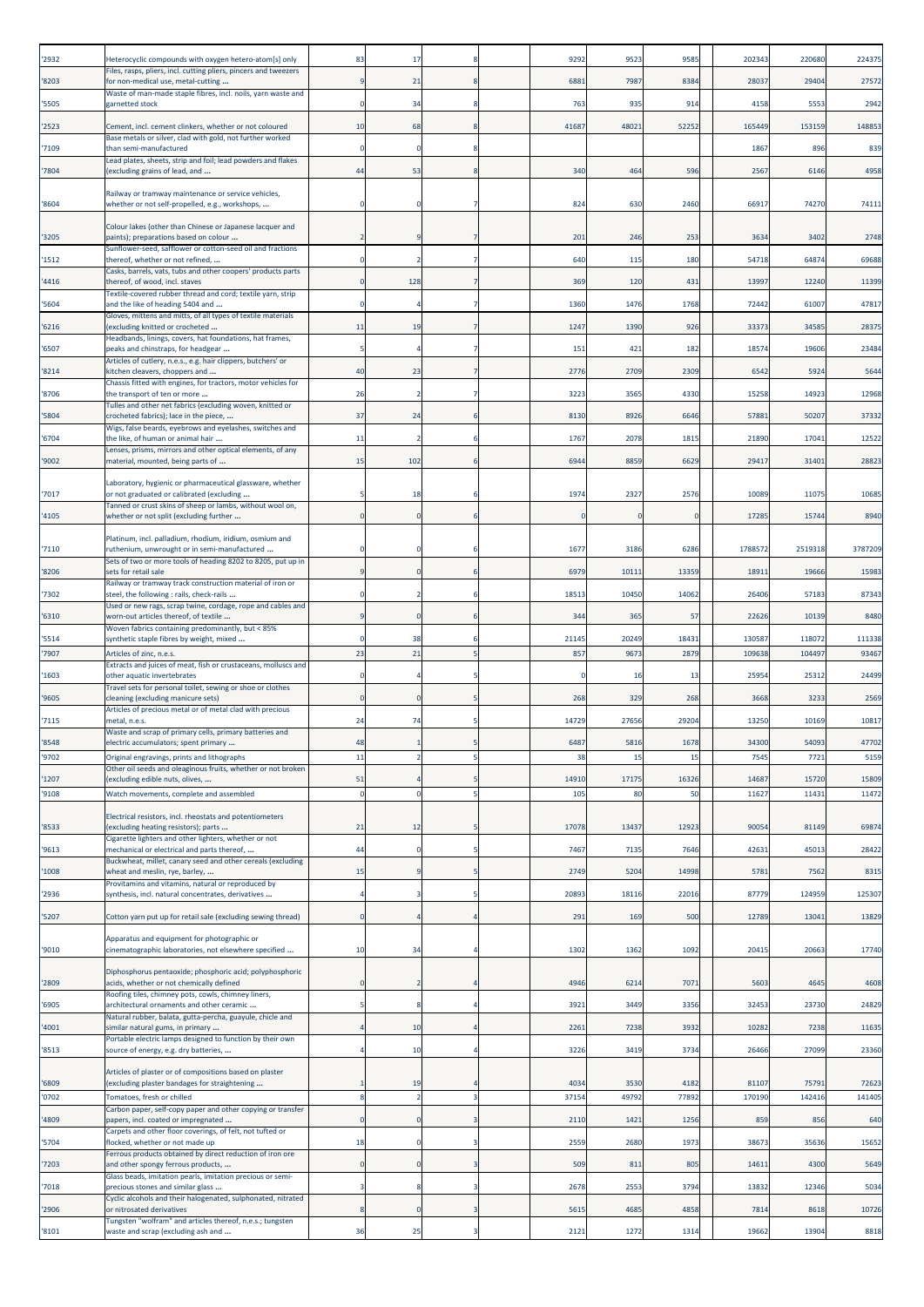| 2932           | Heterocyclic compounds with oxygen hetero-atom[s] only                                                              | 83           | -17      |   | 9292          | 9523          | 9585          | 202343          | 220680          | 224375          |
|----------------|---------------------------------------------------------------------------------------------------------------------|--------------|----------|---|---------------|---------------|---------------|-----------------|-----------------|-----------------|
| 8203           | Files, rasps, pliers, incl. cutting pliers, pincers and tweezers<br>for non-medical use, metal-cutting              | -9           | 21       |   | 6881          | 7987          | 8384          | 28037           | 29404           | 27572           |
| '5505          | Waste of man-made staple fibres, incl. noils, yarn waste and<br>garnetted stock                                     |              | 34       |   | 763           | 935           | 914           | 4158            | 5553            | 2942            |
|                |                                                                                                                     |              |          |   |               |               |               |                 |                 |                 |
| '2523          | Cement, incl. cement clinkers, whether or not coloured<br>Base metals or silver, clad with gold, not further worked | 10           | 68       |   | 41687         | 48021         | 52252         | 165449          | 153159          | 148853          |
| '7109          | than semi-manufactured<br>Lead plates, sheets, strip and foil; lead powders and flakes                              | $\Omega$     |          |   |               |               |               | 1867            | 896             | 839             |
| '7804          | (excluding grains of lead, and                                                                                      | 44           | 53       |   | 340           | 464           | 596           | 2567            | 6146            | 4958            |
|                | Railway or tramway maintenance or service vehicles,                                                                 |              |          |   |               |               | 2460          | 66917           | 74270           | 74111           |
| '8604          | whether or not self-propelled, e.g., workshops,                                                                     |              |          |   | 824           | 630           |               |                 |                 |                 |
| '3205          | Colour lakes (other than Chinese or Japanese lacquer and<br>paints); preparations based on colour                   |              |          |   | 201           | 246           | 253           | 3634            | 3402            | 2748            |
| '1512          | Sunflower-seed, safflower or cotton-seed oil and fractions<br>thereof, whether or not refined,                      |              |          |   | 640           | 115           | 180           | 54718           | 64874           | 69688           |
| '4416          | Casks, barrels, vats, tubs and other coopers' products parts<br>thereof, of wood, incl. staves                      |              | 128      |   | 369           | 120           | 431           | 13997           | 12240           | 11399           |
|                | Textile-covered rubber thread and cord; textile yarn, strip                                                         |              |          |   |               |               |               |                 |                 |                 |
| '5604          | and the like of heading 5404 and<br>Gloves, mittens and mitts, of all types of textile materials                    |              |          |   | 1360          | 1476          | 1768          | 7244            | 61007           | 47817           |
| 6216           | (excluding knitted or crocheted<br>Headbands, linings, covers, hat foundations, hat frames,                         | 11           | 19       |   | 1247          | 1390          | 926           | 3337            | 34585           | 28375           |
| '6507          | peaks and chinstraps, for headgear<br>Articles of cutlery, n.e.s., e.g. hair clippers, butchers' or                 |              |          |   | 151           | 421           | 182           | 18574           | 19606           | 23484           |
| '8214          | kitchen cleavers, choppers and                                                                                      | 40           | 23       |   | 2776          | 2709          | 2309          | 6542            | 5924            | 5644            |
| '8706          | Chassis fitted with engines, for tractors, motor vehicles for<br>the transport of ten or more                       | 26           |          |   | 3223          | 3565          | 4330          | 15258           | 14923           | 12968           |
| 5804           | Tulles and other net fabrics (excluding woven, knitted or<br>crocheted fabrics); lace in the piece,                 | 37           | 24       |   | 8130          | 8926          | 6646          | 57881           | 50207           | 37332           |
|                | Wigs, false beards, eyebrows and eyelashes, switches and                                                            |              |          |   |               | 2078          | 1815          |                 |                 | 12522           |
| '6704          | the like, of human or animal hair<br>Lenses, prisms, mirrors and other optical elements, of any                     | 11           |          |   | 1767          |               |               | 21890           | 17041           |                 |
| '9002          | material, mounted, being parts of                                                                                   | 15           | 102      |   | 694           | 8859          | 6629          | 29417           | 31401           | 28823           |
| '7017          | Laboratory, hygienic or pharmaceutical glassware, whether<br>or not graduated or calibrated (excluding              |              | 18       |   | 1974          | 2327          | 2576          | 10089           | 11075           | 10685           |
| '4105          | Tanned or crust skins of sheep or lambs, without wool on,<br>whether or not split (excluding further                |              |          |   |               |               |               | 17285           | 15744           | 8940            |
|                |                                                                                                                     |              |          |   |               |               |               |                 |                 |                 |
| '7110          | Platinum, incl. palladium, rhodium, iridium, osmium and<br>ruthenium, unwrought or in semi-manufactured             |              |          |   | 1677          | 3186          | 6286          | 1788572         | 2519318         | 3787209         |
| '8206          | Sets of two or more tools of heading 8202 to 8205, put up in<br>sets for retail sale                                |              |          |   | 6979          | 10111         | 13359         | 1891            | 19666           | 15983           |
| '7302          | Railway or tramway track construction material of iron or<br>steel, the following : rails, check-rails              |              |          |   | 1851          | 10450         | 14062         | 26406           | 57183           | 87343           |
|                | Used or new rags, scrap twine, cordage, rope and cables and                                                         |              |          |   |               |               |               |                 |                 |                 |
| 6310           | worn-out articles thereof, of textile<br>Woven fabrics containing predominantly, but < 85%                          |              |          |   | 344           | 365           | 57            | 22626           | 10139           | 8480            |
| '5514          | synthetic staple fibres by weight, mixed<br>Articles of zinc. n.e.s.                                                |              | 38       |   | 21145         | 20249         | 18431         | 13058           | 118072          | 111338          |
| 7907           | Extracts and juices of meat, fish or crustaceans, molluscs and                                                      | 23           | 21       |   | 857           | 9673          | 2879          | 10963           | 104497          | 93467           |
| '1603          | other aquatic invertebrates<br>Travel sets for personal toilet, sewing or shoe or clothes                           |              |          |   |               | 16            | 13            | 25954           | 25312           | 24499           |
| '9605          | cleaning (excluding manicure sets)<br>Articles of precious metal or of metal clad with precious                     |              |          |   | 268           | 329           | 268           | 3668            | 3233            | 2569            |
| '7115          | metal, n.e.s.                                                                                                       | 24           | 74       |   | 14729         | 27656         | 29204         | 13250           | 10169           | 10817           |
| 8548           | Waste and scrap of primary cells, primary batteries and<br>electric accumulators; spent primary                     | 48           |          |   | 648           | 5816          | 167           | 3430            | 5409            | 47702           |
| '9702          | Original engravings, prints and lithographs<br>Other oil seeds and oleaginous fruits, whether or not broken         | 11           |          |   | 38            | 15            | 15            | 7545            | 7721            | 5159            |
| 1207           | (excluding edible nuts, olives,                                                                                     | 51           |          |   | 14910         | 17175         | 16326         | 14687           | 15720           | 15809           |
| '9108          | Watch movements, complete and assembled                                                                             | $\mathbf 0$  | $\Omega$ | 5 | 105           | 80            | 50            | 11627           | 11431           | 11472           |
|                | Electrical resistors, incl. rheostats and potentiometers<br>(excluding heating resistors); parts                    |              |          |   | 17078         | 13437         | 12923         | 9005            |                 | 69874           |
| '8533          | Cigarette lighters and other lighters, whether or not                                                               | 21           | 12       |   |               |               |               |                 | 81149           |                 |
| '9613          | mechanical or electrical and parts thereof,<br>Buckwheat, millet, canary seed and other cereals (excluding          | 44           |          |   | 7467          | 7135          | 7646          | 42631           | 45013           | 28422           |
| 1008           | wheat and meslin, rye, barley,<br>Provitamins and vitamins, natural or reproduced by                                | 15           |          |   | 2749          | 5204          | 14998         | 5781            | 7562            | 8315            |
| '2936          | synthesis, incl. natural concentrates, derivatives                                                                  |              |          |   | 2089          | 18116         | 22016         | 87779           | 124959          | 125307          |
| '5207          | Cotton yarn put up for retail sale (excluding sewing thread)                                                        | $\mathbf 0$  |          |   | 291           | 169           | 500           | 12789           | 13041           | 13829           |
|                | Apparatus and equipment for photographic or                                                                         |              |          |   |               |               |               |                 |                 |                 |
| '9010          | cinematographic laboratories, not elsewhere specified                                                               | 10           | 34       |   | 1302          | 1362          | 1092          | 2041            | 20663           | 17740           |
|                | Diphosphorus pentaoxide; phosphoric acid; polyphosphoric                                                            |              |          |   |               |               |               |                 |                 |                 |
| '2809          | acids, whether or not chemically defined<br>Roofing tiles, chimney pots, cowls, chimney liners,                     | $\Omega$     |          |   | 4946          | 6214          | 7071          | 5603            | 4645            | 4608            |
| '6905          | architectural ornaments and other ceramic<br>Natural rubber, balata, gutta-percha, guayule, chicle and              |              |          |   | 3921          | 3449          | 3356          | 32453           | 23730           | 24829           |
| 4001           | similar natural gums, in primary                                                                                    |              | 10       |   | 2261          | 7238          | 3932          | 10282           | 7238            | 11635           |
| '8513          | Portable electric lamps designed to function by their own<br>source of energy, e.g. dry batteries,                  |              | 10       |   | 3226          | 3419          | 3734          | 26466           | 27099           | 23360           |
|                | Articles of plaster or of compositions based on plaster                                                             |              |          |   |               |               |               |                 |                 |                 |
| '6809<br>'0702 | (excluding plaster bandages for straightening<br>Tomatoes, fresh or chilled                                         | 8            | 19       | 3 | 4034<br>37154 | 3530<br>49792 | 4182<br>77892 | 81107<br>170190 | 75791<br>142416 | 72623<br>141405 |
|                | Carbon paper, self-copy paper and other copying or transfer                                                         |              |          |   |               |               |               |                 |                 |                 |
| 4809           | papers, incl. coated or impregnated<br>Carpets and other floor coverings, of felt, not tufted or                    | $\mathbf{0}$ |          |   | 2110          | 1421          | 1256          | 859             | 856             | 640             |
| 5704           | flocked, whether or not made up<br>Ferrous products obtained by direct reduction of iron ore                        | 18           |          |   | 2559          | 2680          | 1973          | 38673           | 35636           | 15652           |
| '7203          | and other spongy ferrous products,                                                                                  | n            |          |   | 509           | 811           | 805           | 1461            | 4300            | 5649            |
| '7018          | Glass beads, imitation pearls, imitation precious or semi-<br>precious stones and similar glass                     |              |          |   | 2678          | 2553          | 3794          | 1383            | 12346           | 5034            |
| 2906           | Cyclic alcohols and their halogenated, sulphonated, nitrated<br>or nitrosated derivatives                           | 8            |          |   | 5615          | 4685          | 4858          | 7814            | 8618            | 10726           |
| '8101          | Tungsten "wolfram" and articles thereof, n.e.s.; tungsten<br>waste and scrap (excluding ash and                     | 36           | 25       | 3 | 2121          | 1272          | 1314          | 19662           | 13904           | 8818            |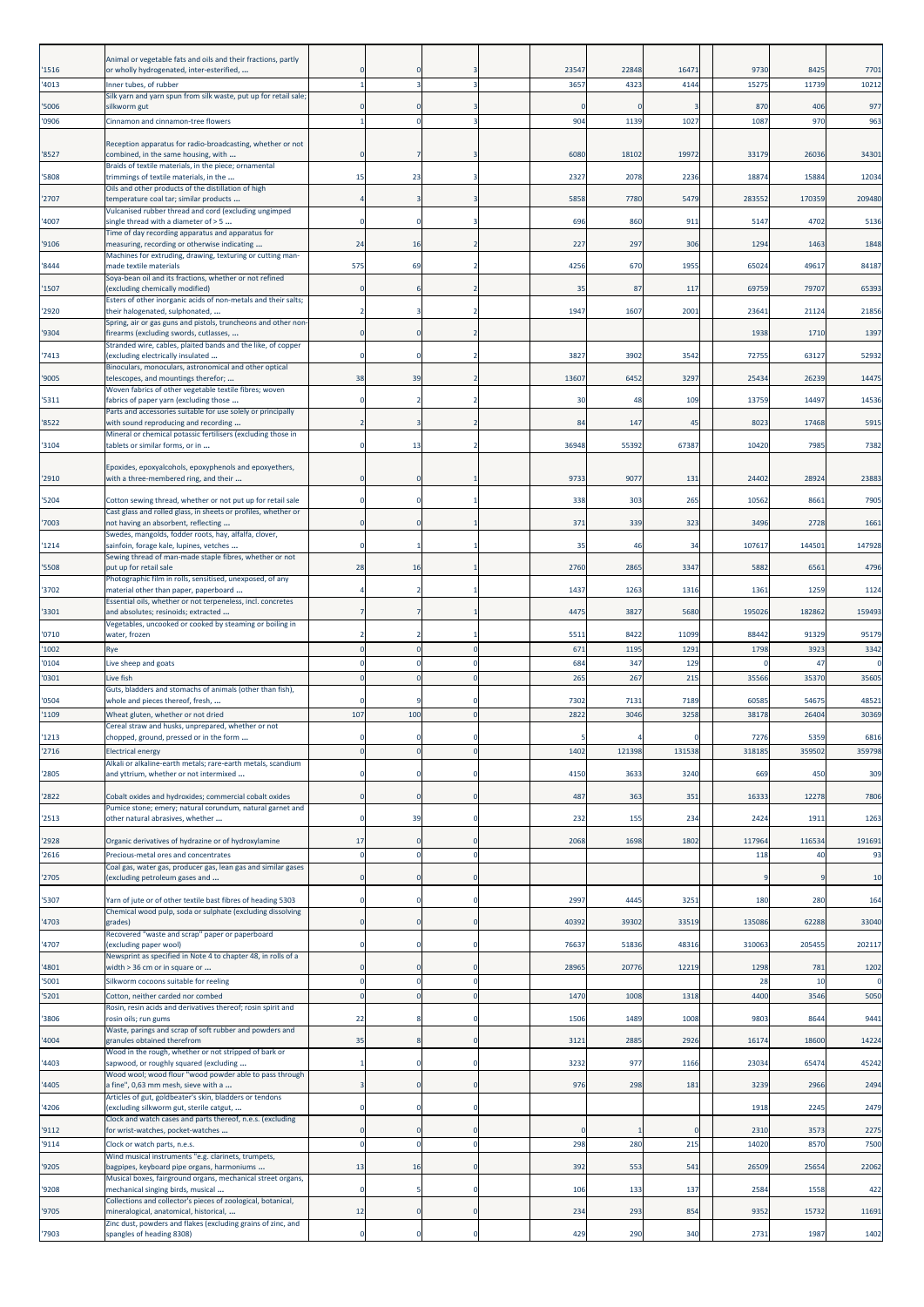|                | Animal or vegetable fats and oils and their fractions, partly                                                              |             |     |                      |       |        |       |               |              |              |
|----------------|----------------------------------------------------------------------------------------------------------------------------|-------------|-----|----------------------|-------|--------|-------|---------------|--------------|--------------|
| '1516          | or wholly hydrogenated, inter-esterified,                                                                                  |             |     |                      | 23547 | 22848  | 1647  | 9730          | 8425         | 7701         |
| '4013          | Inner tubes, of rubber<br>Silk yarn and yarn spun from silk waste, put up for retail sale;                                 |             |     | в                    | 3657  | 4323   | 4144  | 1527          | 11739        | 10212        |
| '5006          | silkworm gut                                                                                                               |             |     |                      |       |        |       | 87C           | 406          | 977          |
| '0906          | Cinnamon and cinnamon-tree flowers                                                                                         |             |     |                      | 904   | 1139   | 102   | 108           | 970          | 963          |
| '8527          | Reception apparatus for radio-broadcasting, whether or not<br>combined, in the same housing, with                          |             |     |                      | 6080  | 18102  | 19972 | 33179         | 26036        | 34301        |
| '5808          | Braids of textile materials, in the piece; ornamental<br>trimmings of textile materials, in the                            | 15          | 23  |                      | 2327  | 2078   | 2236  | 18874         | 15884        | 12034        |
|                | Oils and other products of the distillation of high                                                                        |             |     |                      |       |        |       |               |              |              |
| '2707          | temperature coal tar; similar products<br>Vulcanised rubber thread and cord (excluding ungimped                            |             |     |                      | 5858  | 7780   | 5479  | 283552        | 170359       | 209480       |
| '4007          | single thread with a diameter of > 5<br>Time of day recording apparatus and apparatus for                                  |             |     | 3                    | 696   | 860    | 911   | 5147          | 4702         | 5136         |
| '9106          | measuring, recording or otherwise indicating                                                                               | 24          | 16  | $\overline{2}$       | 227   | 297    | 306   | 1294          | 1463         | 1848         |
| '8444          | Machines for extruding, drawing, texturing or cutting man-<br>made textile materials                                       | 575         | 69  | $\overline{2}$       | 4256  | 670    | 1955  | 65024         | 49617        | 84187        |
| '1507          | Soya-bean oil and its fractions, whether or not refined<br>excluding chemically modified)                                  |             |     |                      | 35    | 87     | 117   | 69759         | 79707        | 65393        |
| '2920          | Esters of other inorganic acids of non-metals and their salts;<br>their halogenated, sulphonated,                          |             |     |                      | 1947  | 1607   | 2001  | 2364          | 21124        | 21856        |
| '9304          | Spring, air or gas guns and pistols, truncheons and other non-<br>firearms (excluding swords, cutlasses,                   |             |     |                      |       |        |       | 1938          | 1710         | 1397         |
|                | Stranded wire, cables, plaited bands and the like, of copper                                                               |             |     | 2                    | 3827  | 3902   | 3542  | 7275          | 63127        | 52932        |
| '7413          | (excluding electrically insulated<br>Binoculars, monoculars, astronomical and other optical                                |             |     |                      |       |        |       |               |              |              |
| '9005          | telescopes, and mountings therefor;<br>Woven fabrics of other vegetable textile fibres; woven                              | 38          | 39  | $\overline{2}$       | 1360  | 6452   | 3297  | 25434         | 26239        | 14475        |
| '5311          | fabrics of paper yarn (excluding those<br>Parts and accessories suitable for use solely or principally                     |             |     |                      | 30    | 48     | 109   | 13759         | 14497        | 14536        |
| '8522          | with sound reproducing and recording                                                                                       |             |     |                      | 84    | 147    | 45    | 8023          | 17468        | 5915         |
| '3104          | Mineral or chemical potassic fertilisers (excluding those in<br>tablets or similar forms, or in                            |             | 13  | $\overline{2}$       | 36948 | 55392  | 67387 | 10420         | 7985         | 7382         |
|                |                                                                                                                            |             |     |                      |       |        |       |               |              |              |
| '2910          | Epoxides, epoxyalcohols, epoxyphenols and epoxyethers,<br>with a three-membered ring, and their                            |             |     |                      | 9733  | 9077   | 131   | 24402         | 28924        | 23883        |
| '5204          | Cotton sewing thread, whether or not put up for retail sale                                                                |             |     |                      | 338   | 303    | 265   | 10562         | 8661         | 7905         |
| '7003          | Cast glass and rolled glass, in sheets or profiles, whether or<br>not having an absorbent, reflecting                      |             |     |                      | 371   | 339    | 323   | 3496          | 2728         | 1661         |
|                | Swedes, mangolds, fodder roots, hay, alfalfa, clover,                                                                      |             |     |                      |       |        |       |               |              |              |
| '1214          | sainfoin, forage kale, lupines, vetches<br>Sewing thread of man-made staple fibres, whether or not                         |             |     |                      | 35    | 46     | 34    | 107617        | 144501       | 147928       |
| '5508          | put up for retail sale<br>Photographic film in rolls, sensitised, unexposed, of any                                        | 28          | 16  |                      | 2760  | 2865   | 3347  | 5882          | 6561         | 4796         |
| '3702          | material other than paper, paperboard                                                                                      |             |     |                      | 1437  | 1263   | 1316  | 1361          | 1259         | 1124         |
| '3301          | Essential oils, whether or not terpeneless, incl. concretes<br>and absolutes; resinoids; extracted                         |             |     |                      | 4475  | 3827   | 5680  | 195026        | 182862       | 159493       |
| '0710          | Vegetables, uncooked or cooked by steaming or boiling in<br>water, frozen                                                  |             |     | -1                   | 5511  | 8422   | 11099 | 88442         | 91329        | 95179        |
| '1002          | Rye                                                                                                                        | $\Omega$    |     | $\mathbf 0$          | 671   | 1195   | 1291  | 1798          | 3923         | 3342         |
| '0104          | Live sheep and goats                                                                                                       | $\Omega$    |     | $\mathbf 0$          | 684   | 347    | 129   |               | 47           |              |
| '0301          | Live fish<br>Guts, bladders and stomachs of animals (other than fish),                                                     | $\Omega$    |     | $\Omega$             | 265   | 267    | 215   | 35566         | 35370        | 35605        |
| '0504          | whole and pieces thereof, fresh,                                                                                           |             |     | $\Omega$             | 7302  | 7131   | 7189  | 6058          | 54675        | 48521        |
| '1109          | Wheat gluten, whether or not dried<br>Cereal straw and husks, unprepared, whether or not                                   | 107         | 100 | $\mathbf{0}$         | 2822  | 3046   | 3258  | 38178         | 26404        | 30369        |
| '1213          | chopped, ground, pressed or in the form                                                                                    |             |     |                      |       |        |       | 7276          | 5359         | 6816         |
| '2716          | <b>Electrical energy</b><br>Alkali or alkaline-earth metals; rare-earth metals, scandium                                   |             |     | $\overline{0}$       | 1402  | 121398 | 13153 | 31818         | 359502       | 359798       |
| '2805          | and yttrium, whether or not intermixed                                                                                     |             |     | $\Omega$             | 4150  | 3633   | 3240  | 669           | 450          | 309          |
| '2822          | Cobalt oxides and hydroxides; commercial cobalt oxides                                                                     |             |     | 0                    | 487   | 363    | 351   | 16333         | 12278        | 7806         |
| '2513          | Pumice stone; emery; natural corundum, natural garnet and<br>other natural abrasives, whether                              |             | 39  | $\Omega$             | 232   | 155    | 234   | 2424          | 1911         | 1263         |
| '2928          | Organic derivatives of hydrazine or of hydroxylamine                                                                       | 17          |     | $\mathbf 0$          | 2068  | 1698   | 1802  | 117964        | 116534       | 191691       |
| '2616          | Precious-metal ores and concentrates                                                                                       | $\Omega$    |     | $\mathbf 0$          |       |        |       | 118           | 40           | 93           |
| '2705          | Coal gas, water gas, producer gas, lean gas and similar gases<br>(excluding petroleum gases and                            | $\Omega$    |     | $\mathbf 0$          |       |        |       |               |              | 10           |
|                |                                                                                                                            |             |     |                      |       |        |       |               |              |              |
| '5307          | Yarn of jute or of other textile bast fibres of heading 5303<br>Chemical wood pulp, soda or sulphate (excluding dissolving |             |     | $^{\circ}$           | 2997  | 4445   | 3251  | 180           | 280          | 164          |
| '4703          | grades)<br>Recovered "waste and scrap" paper or paperboard                                                                 |             |     | $\overline{0}$       | 40392 | 39302  | 33519 | 135086        | 62288        | 33040        |
| '4707          | excluding paper wool)                                                                                                      |             |     | $\Omega$             | 7663  | 51836  | 4831  | 310063        | 205455       | 202117       |
| '4801          | Newsprint as specified in Note 4 to chapter 48, in rolls of a<br>width > 36 cm or in square or                             |             |     | $\Omega$             | 28965 | 20776  | 12219 | 1298          | 781          | 1202         |
| '5001          | Silkworm cocoons suitable for reeling                                                                                      | $\Omega$    |     | $\Omega$             |       |        |       | 28            | 10           |              |
| '5201          | Cotton, neither carded nor combed<br>Rosin, resin acids and derivatives thereof; rosin spirit and                          | $\Omega$    |     | $\mathbf 0$          | 1470  | 1008   | 1318  | 4400          | 3546         | 5050         |
| '3806          | rosin oils; run gums<br>Waste, parings and scrap of soft rubber and powders and                                            | 22          |     | $\Omega$             | 1506  | 1489   | 1008  | 9803          | 8644         | 9441         |
| '4004          | granules obtained therefrom                                                                                                | 35          |     | $\mathbf 0$          | 3121  | 2885   | 2926  | 1617          | 18600        | 14224        |
| '4403          | Wood in the rough, whether or not stripped of bark or<br>sapwood, or roughly squared (excluding                            |             |     | $^{\circ}$           | 3232  | 977    | 1166  | 23034         | 65474        | 45242        |
| '4405          | Wood wool; wood flour "wood powder able to pass through<br>a fine", 0,63 mm mesh, sieve with a                             |             |     | $\mathbf 0$          | 976   | 298    | 181   | 3239          | 2966         | 2494         |
| '4206          | Articles of gut, goldbeater's skin, bladders or tendons<br>(excluding silkworm gut, sterile catgut,                        |             |     | 0                    |       |        |       | 1918          | 2245         | 2479         |
|                | Clock and watch cases and parts thereof, n.e.s. (excluding                                                                 |             |     |                      |       |        |       |               |              |              |
| '9112<br>'9114 | for wrist-watches, pocket-watches<br>Clock or watch parts, n.e.s.                                                          | $\Omega$    |     | $\Omega$<br>$\Omega$ | 298   | 280    | 215   | 2310<br>14020 | 3573<br>8570 | 2275<br>7500 |
|                | Wind musical instruments "e.g. clarinets, trumpets,                                                                        | 13          | 16  | $\mathbf 0$          |       |        | 541   | 26509         | 25654        | 22062        |
| '9205          | bagpipes, keyboard pipe organs, harmoniums<br>Musical boxes, fairground organs, mechanical street organs,                  |             |     |                      | 392   | 553    |       |               |              |              |
| '9208          | mechanical singing birds, musical<br>Collections and collector's pieces of zoological, botanical,                          | $\mathbf 0$ |     | $\mathbf 0$          | 106   | 133    | 137   | 2584          | 1558         | 422          |
| '9705          | mineralogical, anatomical, historical,<br>Zinc dust, powders and flakes (excluding grains of zinc, and                     | 12          |     | $\Omega$             | 234   | 293    | 854   | 9352          | 15732        | 11691        |
| '7903          | spangles of heading 8308)                                                                                                  | O           |     | $\mathbf 0$          | 429   | 290    | 340   | 2731          | 1987         | 1402         |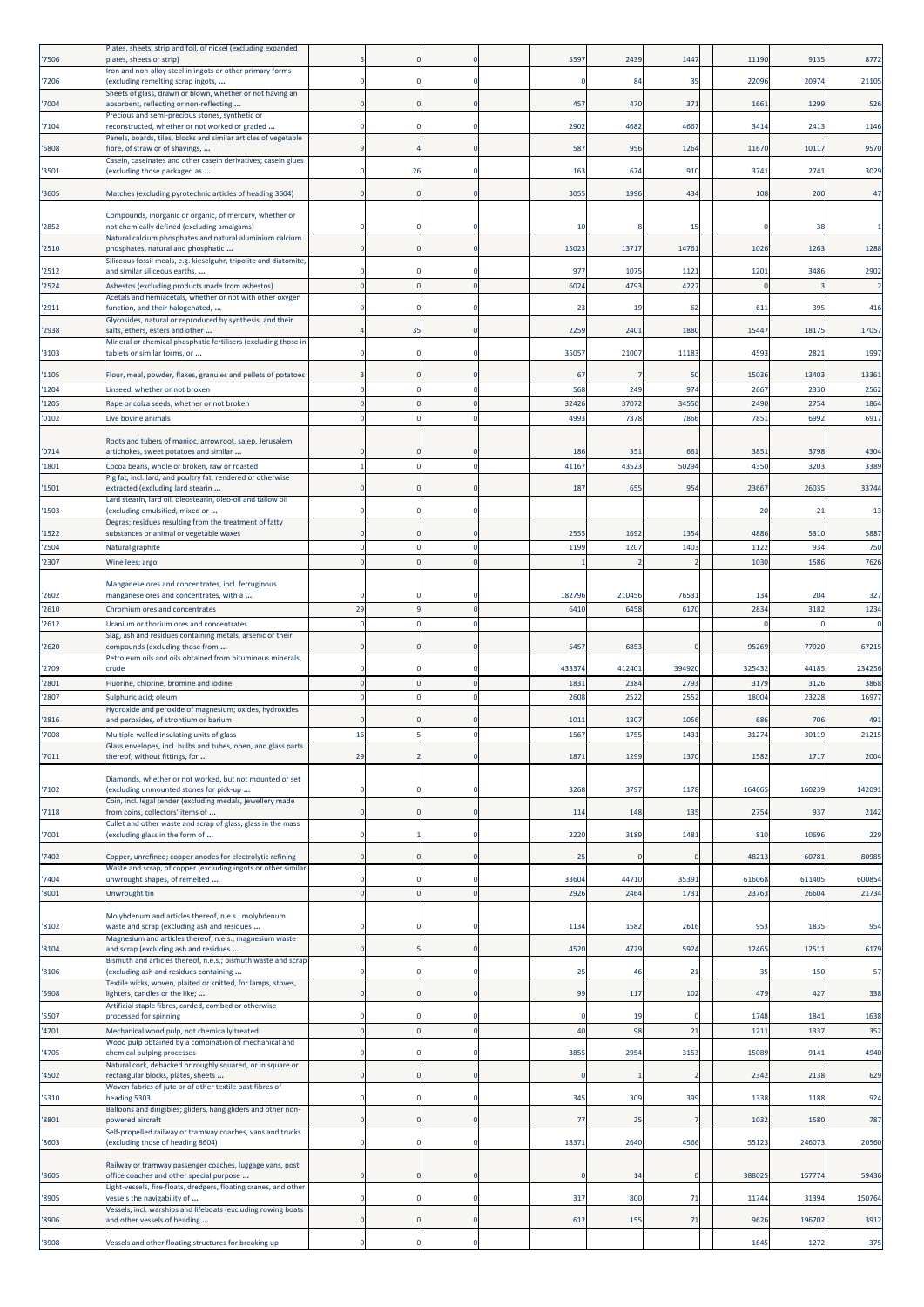| '7506          | Plates, sheets, strip and foil, of nickel (excluding expanded<br>plates, sheets or strip)                         |             |          |                | 5597          | 2439           | 1447           | 11190          | 9135            | 8772            |
|----------------|-------------------------------------------------------------------------------------------------------------------|-------------|----------|----------------|---------------|----------------|----------------|----------------|-----------------|-----------------|
| '7206          | Iron and non-alloy steel in ingots or other primary forms<br>(excluding remelting scrap ingots,                   |             |          |                |               | 84             | 35             | 22096          | 20974           | 21105           |
|                | Sheets of glass, drawn or blown, whether or not having an                                                         |             |          |                |               |                |                |                |                 |                 |
| 7004           | absorbent, reflecting or non-reflecting<br>Precious and semi-precious stones, synthetic or                        |             |          |                | 457           | 470            | 371            | 1661           | 1299            | 526             |
| '7104          | reconstructed, whether or not worked or graded<br>Panels, boards, tiles, blocks and similar articles of vegetable |             |          |                | 2902          | 4682           | 4667           | 3414           | 2413            | 1146            |
| 6808           | fibre, of straw or of shavings,                                                                                   |             |          |                | 587           | 956            | 1264           | 11670          | 10117           | <b>9570</b>     |
| '3501          | Casein, caseinates and other casein derivatives; casein glues<br>(excluding those packaged as                     |             | 26       |                | 163           | 674            | 910            | 3741           | 2741            | 3029            |
| '3605          | Matches (excluding pyrotechnic articles of heading 3604)                                                          | $\Omega$    | $\Omega$ | $\Omega$       | 3055          | 1996           | 434            | 108            | 200             | 47              |
|                |                                                                                                                   |             |          |                |               |                |                |                |                 |                 |
| '2852          | Compounds, inorganic or organic, of mercury, whether or<br>not chemically defined (excluding amalgams)            |             |          |                | 10            |                | 15             |                | 38              |                 |
| '2510          | Natural calcium phosphates and natural aluminium calcium<br>phosphates, natural and phosphatic                    |             |          |                | 15023         | 13717          | 14761          | 1026           | 1263            | 1288            |
|                | Siliceous fossil meals, e.g. kieselguhr, tripolite and diatomite,                                                 |             |          |                |               |                |                | 1201           |                 | 2902            |
| '2512<br>2524  | and similar siliceous earths,<br>Asbestos (excluding products made from asbestos)                                 | $\mathbf 0$ |          | $\Omega$       | 977<br>6024   | 1075<br>4793   | 1121<br>4227   |                | 3486            |                 |
| '2911          | Acetals and hemiacetals, whether or not with other oxygen<br>function, and their halogenated,                     |             |          |                | 23            | -19            | -62            | 611            | 395             | 416             |
|                | Glycosides, natural or reproduced by synthesis, and their                                                         |             |          |                |               |                |                |                |                 |                 |
| '2938          | salts, ethers, esters and other<br>Mineral or chemical phosphatic fertilisers (excluding those in                 |             | 35       |                | 2259          | 2401           | 1880           | 15447          | 18175           | 17057           |
| '3103          | tablets or similar forms, or                                                                                      |             |          |                | 35057         | 21007          | 11183          | 4593           | 2821            | 1997            |
| '1105          | Flour, meal, powder, flakes, granules and pellets of potatoes                                                     |             |          |                | 67            |                | 50             | 15036          | 13403           | 13361           |
| '1204          | Linseed, whether or not broken                                                                                    |             |          | O<br>$\Omega$  | 568           | 249            | 974            | 2667           | 2330            | 2562            |
| 1205<br>'0102  | Rape or colza seeds, whether or not broken<br>Live bovine animals                                                 |             |          |                | 3242<br>499   | 37072<br>7378  | 3455<br>7866   | 2490<br>7851   | 2754<br>6992    | 1864<br>6917    |
|                |                                                                                                                   |             |          |                |               |                |                |                |                 |                 |
| '0714          | Roots and tubers of manioc, arrowroot, salep, Jerusalem<br>artichokes, sweet potatoes and similar                 |             |          |                | 186           | 351            | 661            | 3851           | 3798            | 4304            |
| 1801           | Cocoa beans, whole or broken, raw or roasted                                                                      |             |          | $\Omega$       | 41167         | 43523          | 50294          | 4350           | 3203            | 3389            |
| 1501           | Pig fat, incl. lard, and poultry fat, rendered or otherwise<br>extracted (excluding lard stearin                  |             |          |                | 187           | 655            | 954            | 23667          | 26035           | 33744           |
| '1503          | Lard stearin, lard oil, oleostearin, oleo-oil and tallow oil<br>(excluding emulsified, mixed or                   |             |          |                |               |                |                | 20             | 21              | 13              |
| '1522          | Degras; residues resulting from the treatment of fatty<br>substances or animal or vegetable waxes                 |             |          |                | 2555          | 1692           | 1354           | 4886           | 5310            | 5887            |
| '2504          | Natural graphite                                                                                                  |             |          | n              | 1199          | 1207           | 1403           | 112            | 934             | 750             |
| 2307           | Wine lees; argol                                                                                                  |             |          |                |               |                |                | 1030           | 1586            | 7626            |
|                | Manganese ores and concentrates, incl. ferruginous                                                                |             |          |                |               |                |                |                |                 |                 |
| '2602<br>2610  | manganese ores and concentrates, with a<br>Chromium ores and concentrates                                         | 29          |          |                | 182796<br>641 | 210456<br>6458 | 7653<br>6170   | 134<br>283     | 204<br>3182     | 327<br>1234     |
| 2612           | Uranium or thorium ores and concentrates                                                                          |             |          |                |               |                |                |                |                 |                 |
| '2620          | Slag, ash and residues containing metals, arsenic or their<br>compounds (excluding those from                     |             |          |                | 5457          | 6853           |                | 95269          | 77920           | 67215           |
|                | Petroleum oils and oils obtained from bituminous minerals,                                                        |             |          |                |               |                |                |                |                 |                 |
| '2709<br>'2801 | crude<br>Fluorine, chlorine, bromine and iodine                                                                   | $\Omega$    |          | $\Omega$       | 433374<br>183 | 412401<br>238  | 394920<br>2793 | 325432<br>3179 | 44185<br>3126   | 234256<br>3868  |
| 2807           | Sulphuric acid; oleum                                                                                             |             |          | $\Omega$       | 260           | 2522           | 2552           | 18004          | 23228           | 16977           |
| '2816          | Hydroxide and peroxide of magnesium; oxides, hydroxides<br>and peroxides, of strontium or barium                  |             |          |                | 101           | 1307           | 1056           | 686            | 706             | 491             |
| 7008           | Multiple-walled insulating units of glass                                                                         | 16          |          | $\Omega$       | 1567          | 1755           | 1431           | 31274          | 30119           | 21215           |
| '7011          | Glass envelopes, incl. bulbs and tubes, open, and glass parts<br>thereof, without fittings, for                   | 29          |          |                | 1871          | 1299           | 1370           | 1582           | 1717            | 2004            |
|                | Diamonds, whether or not worked, but not mounted or set                                                           |             |          |                |               |                |                |                |                 |                 |
| '7102          | (excluding unmounted stones for pick-up                                                                           |             |          |                | 3268          | 3797           | 1178           | 164665         | 160239          | 142091          |
| '7118          | Coin, incl. legal tender (excluding medals, jewellery made<br>from coins, collectors' items of                    | $\Omega$    |          | $\Omega$       | 114           | 148            | 135            | 2754           | 937             | 2142            |
| '7001          | Cullet and other waste and scrap of glass; glass in the mass<br>(excluding glass in the form of                   | n           |          |                | 2220          | 3189           | 1481           | 810            | 10696           | 229             |
| 7402           | Copper, unrefined; copper anodes for electrolytic refining                                                        |             |          |                | 25            |                | $\Omega$       | 48213          | 60781           | 80985           |
|                | Waste and scrap, of copper (excluding ingots or other similar                                                     |             |          |                |               |                |                |                |                 |                 |
| '7404<br>'8001 | unwrought shapes, of remelted<br>Unwrought tin                                                                    |             |          |                | 33604<br>2926 | 44710<br>2464  | 35391<br>1731  | 616068<br>2376 | 611405<br>26604 | 600854<br>21734 |
|                |                                                                                                                   |             |          |                |               |                |                |                |                 |                 |
| '8102          | Molybdenum and articles thereof, n.e.s.; molybdenum<br>waste and scrap (excluding ash and residues                |             |          |                | 1134          | 1582           | 2616           | 953            | 1835            | 954             |
| '8104          | Magnesium and articles thereof, n.e.s.; magnesium waste<br>and scrap (excluding ash and residues                  |             |          |                | 4520          | 4729           | 5924           | 12465          | 12511           | 6179            |
|                | Bismuth and articles thereof, n.e.s.; bismuth waste and scrap                                                     |             |          |                |               | 46             |                |                |                 |                 |
| '8106          | (excluding ash and residues containing<br>Textile wicks, woven, plaited or knitted, for lamps, stoves,            |             |          |                | 25            |                | 21             | 35             | 150             | 57              |
| 5908           | lighters, candles or the like;<br>Artificial staple fibres, carded, combed or otherwise                           |             |          |                | 99            | 117            | 102            | 479            | 427             | 338             |
| '5507          | processed for spinning                                                                                            | $\Omega$    |          | O              | $^{\circ}$    | 19             | $\Omega$       | 1748           | 1841            | 1638            |
| 4701           | Mechanical wood pulp, not chemically treated<br>Wood pulp obtained by a combination of mechanical and             | $\mathbf 0$ |          | $\overline{0}$ | 40            | 98             | 21             | 121            | 1337            | 352             |
| 4705           | chemical pulping processes<br>Natural cork, debacked or roughly squared, or in square or                          |             |          | O              | 3855          | 2954           | 3153           | 15089          | 9141            | 4940            |
| 4502           | rectangular blocks, plates, sheets                                                                                |             |          |                |               |                |                | 2342           | 2138            | 629             |
| '5310          | Woven fabrics of jute or of other textile bast fibres of<br>heading 5303                                          |             |          |                | 345           | 309            | 399            | 1338           | 1188            | 924             |
| '8801          | Balloons and dirigibles; gliders, hang gliders and other non-<br>powered aircraft                                 |             |          | $\Omega$       | 77            | 25             |                | 1032           | 1580            | 787             |
|                | Self-propelled railway or tramway coaches, vans and trucks                                                        |             |          |                |               |                |                |                |                 |                 |
| '8603          | (excluding those of heading 8604)                                                                                 | $\Omega$    |          |                | 18371         | 2640           | 4566           | 55123          | 246073          | 20560           |
| '8605          | Railway or tramway passenger coaches, luggage vans, post<br>office coaches and other special purpose              |             |          |                |               | 14             | $\Omega$       | 388025         | 157774          | 59436           |
| '8905          | Light-vessels, fire-floats, dredgers, floating cranes, and other<br>vessels the navigability of                   | $\Omega$    |          | O              | 317           | 800            | 71             | 11744          | 31394           | 150764          |
|                | Vessels, incl. warships and lifeboats (excluding rowing boats                                                     |             |          |                |               |                |                |                |                 |                 |
| 8906           | and other vessels of heading                                                                                      | $\Omega$    |          | $\Omega$       | 612           | 155            | 71             | 9626           | 196702          | 3912            |
| 8908           | Vessels and other floating structures for breaking up                                                             | 0           |          |                |               |                |                | 1645           | 1272            | 375             |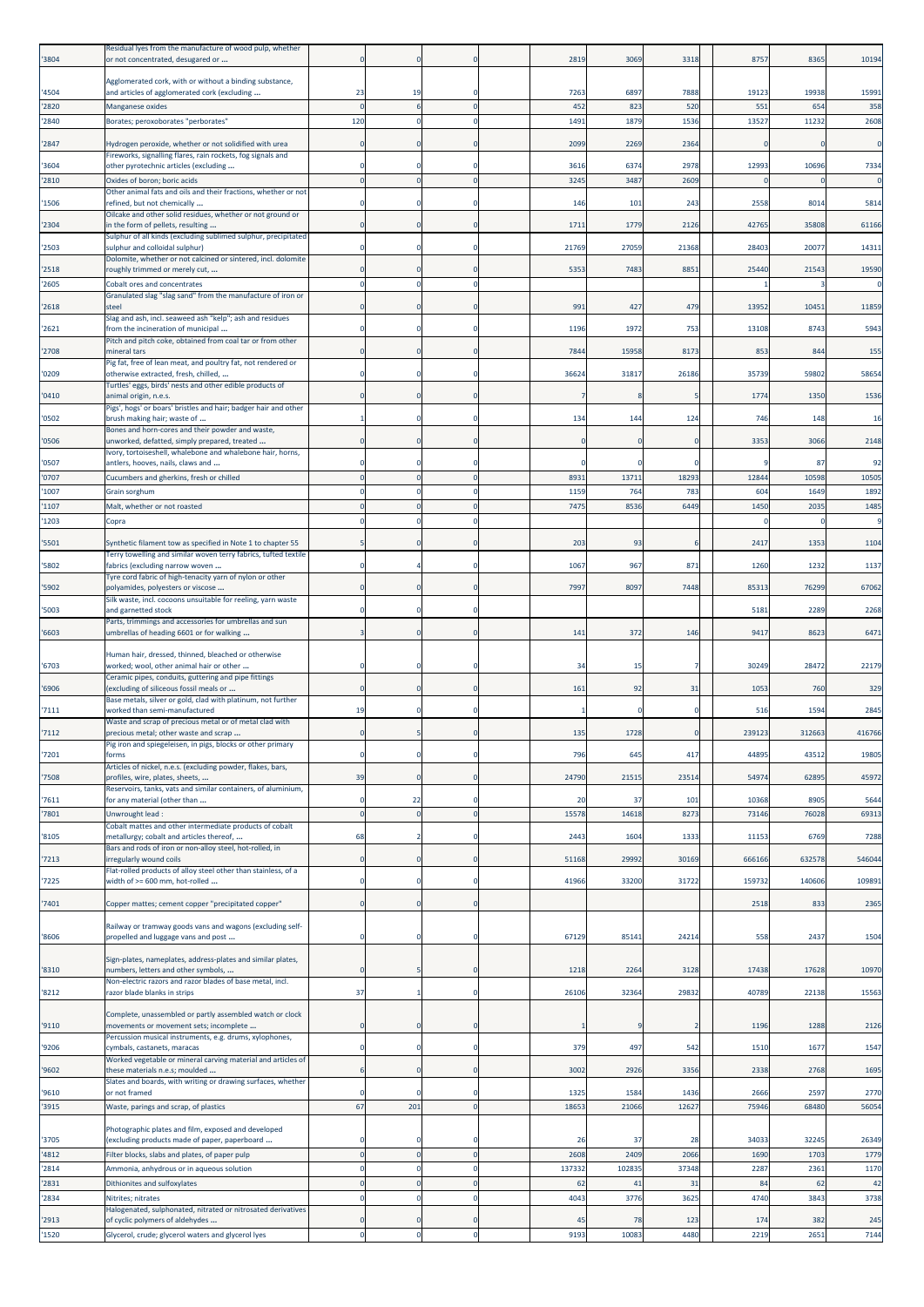| '3804          | Residual lyes from the manufacture of wood pulp, whether<br>or not concentrated, desugared or                                  |                |            |                             | 2819       | 3069       | 3318                 | 8757          | 8365          | 10194         |
|----------------|--------------------------------------------------------------------------------------------------------------------------------|----------------|------------|-----------------------------|------------|------------|----------------------|---------------|---------------|---------------|
| '4504          | Agglomerated cork, with or without a binding substance,<br>and articles of agglomerated cork (excluding                        | 23             | 19         |                             | 7263       | 6897       | 7888                 | 1912          | 19938         | 1599:         |
| '2820          | Manganese oxides                                                                                                               | $\Omega$       |            | $\mathbf{0}$                | 452        | 823        | 520                  | 551           | 654           | 358           |
| '2840          | Borates; peroxoborates "perborates"                                                                                            | 120            |            | $\mathbf{0}$                | 1491       | 1879       | 1536                 | 1352          | 11232         | 2608          |
| '2847          | Hydrogen peroxide, whether or not solidified with urea                                                                         |                |            |                             | 2099       | 2269       | 2364                 |               | C             | $\Omega$      |
| '3604          | Fireworks, signalling flares, rain rockets, fog signals and<br>other pyrotechnic articles (excluding                           |                |            | $\Omega$                    | 3616       | 6374       | 2978                 | 12993         | 10696         | 7334          |
| '2810          | Oxides of boron; boric acids                                                                                                   | $\Omega$       |            | $\mathbf{0}$                | 3245       | 3487       | 2609                 |               |               |               |
| '1506          | Other animal fats and oils and their fractions, whether or not<br>refined, but not chemically                                  |                |            | $\mathbf 0$                 | 146        | 101        | 243                  | 2558          | 8014          | 5814          |
| '2304          | Oilcake and other solid residues, whether or not ground or<br>in the form of pellets, resulting                                |                |            | $\mathbf 0$                 | 1711       | 1779       | 2126                 | 4276          | 35808         | 61166         |
| '2503          | Sulphur of all kinds (excluding sublimed sulphur, precipitated<br>sulphur and colloidal sulphur)                               |                |            | $\mathbf{0}$                | 21769      | 27059      | 21368                | 28403         | 20077         | 14311         |
|                | Dolomite, whether or not calcined or sintered, incl. dolomite                                                                  |                |            |                             |            |            |                      |               |               |               |
| '2518<br>'2605 | roughly trimmed or merely cut,<br>Cobalt ores and concentrates                                                                 |                |            | 0                           | 5353       | 7483       | 8851                 | 25440         | 21543         | 19590         |
| '2618          | Granulated slag "slag sand" from the manufacture of iron or<br>steel                                                           |                |            | $\Omega$                    | 991        | 427        | 479                  | 13952         | 10451         | 11859         |
|                | Slag and ash, incl. seaweed ash "kelp"; ash and residues                                                                       |                |            |                             |            |            |                      |               |               |               |
| '2621          | from the incineration of municipal<br>Pitch and pitch coke, obtained from coal tar or from other                               |                |            | $\mathbf 0$                 | 1196       | 1972       | 753                  | 13108         | 8743          | 5943          |
| '2708          | mineral tars<br>Pig fat, free of lean meat, and poultry fat, not rendered or                                                   |                |            | $\mathbf 0$                 | 7844       | 15958      | 8173                 | 853           | 844           | 155           |
| '0209          | otherwise extracted, fresh, chilled,                                                                                           |                |            | 0                           | 36624      | 31817      | 26186                | 35739         | 59802         | 58654         |
| '0410          | Turtles' eggs, birds' nests and other edible products of<br>animal origin, n.e.s.                                              |                |            |                             |            |            |                      | 1774          | 1350          | 1536          |
| '0502          | Pigs', hogs' or boars' bristles and hair; badger hair and other<br>brush making hair; waste of                                 |                |            | $\mathbf 0$                 | 134        | 144        | 124                  | 746           | 148           | 16            |
| '0506          | Bones and horn-cores and their powder and waste,<br>unworked, defatted, simply prepared, treated                               |                |            | $\mathbf 0$                 |            |            | $\mathbf 0$          | 3353          | 3066          | 2148          |
|                | Ivory, tortoiseshell, whalebone and whalebone hair, horns,                                                                     |                |            |                             |            |            |                      |               |               |               |
| '0507<br>'0707 | antlers, hooves, nails, claws and<br>Cucumbers and gherkins, fresh or chilled                                                  | $\Omega$       |            | $\mathbf 0$<br>$\mathbf 0$  | 8931       | 13711      | $\mathbf 0$<br>18293 | 12844         | 87<br>10598   | 92<br>10505   |
| '1007          | Grain sorghum                                                                                                                  |                |            | $\mathbf 0$                 | 1159       | 764        | 783                  | 604           | 1649          | 1892          |
| '1107<br>'1203 | Malt, whether or not roasted                                                                                                   | $\Omega$       |            | $\mathbf 0$<br>$\mathbf{0}$ | 7475       | 8536       | 6449                 | 1450          | 2035          | 1485          |
|                | Copra                                                                                                                          |                |            |                             |            |            |                      |               |               |               |
| '5501          | Synthetic filament tow as specified in Note 1 to chapter 55<br>Terry towelling and similar woven terry fabrics, tufted textile |                |            | $\mathbf 0$                 | 203        | 93         | -6                   | 2417          | 1353          | 1104          |
| '5802          | fabrics (excluding narrow woven<br>Tyre cord fabric of high-tenacity yarn of nylon or other                                    |                |            | $\mathbf 0$                 | 1067       | 967        | 871                  | 1260          | 1232          | 1137          |
| '5902          | polyamides, polyesters or viscose                                                                                              |                |            | $\mathbf{0}$                | 7997       | 8097       | 7448                 | 8531          | 76299         | 67062         |
| '5003          | Silk waste, incl. cocoons unsuitable for reeling, yarn waste<br>and garnetted stock                                            |                |            | $\Omega$                    |            |            |                      | 5181          | 2289          | 2268          |
| '6603          | Parts, trimmings and accessories for umbrellas and sun<br>umbrellas of heading 6601 or for walking                             |                |            | $\Omega$                    | 141        | 372        | 146                  | 9417          | 8623          | 6471          |
|                | Human hair, dressed, thinned, bleached or otherwise                                                                            |                |            |                             |            |            |                      |               |               |               |
| '6703          | worked; wool, other animal hair or other<br>Ceramic pipes, conduits, guttering and pipe fittings                               |                |            |                             | 34         | -15        | 7                    | 30249         | 28472         | 22179         |
| '6906          | (excluding of siliceous fossil meals or<br>Base metals, silver or gold, clad with platinum, not further                        | $\Omega$       |            | $\Omega$                    | 161        | 92         | 31                   | 1053          | 760           | 329           |
| '7111          | worked than semi-manufactured                                                                                                  | 19             |            |                             |            |            | $\mathbf 0$          | 516           | 1594          | 2845          |
| '7112          | Waste and scrap of precious metal or of metal clad with<br>precious metal; other waste and scrap                               |                |            | $\Omega$                    | 135        | 1728       | $\mathbf 0$          | 239123        | 312663        | 416766        |
| '7201          | Pig iron and spiegeleisen, in pigs, blocks or other primary<br>forms                                                           |                |            | $\mathbf 0$                 | 796        | 645        | 417                  | 4489          | 43512         | 19805         |
| '7508          | Articles of nickel, n.e.s. (excluding powder, flakes, bars,<br>profiles, wire, plates, sheets,                                 | 39             |            | $\mathbf 0$                 | 24790      | 21515      | 23514                | 54974         | 62895         | 45972         |
| '7611          | Reservoirs, tanks, vats and similar containers, of aluminium,<br>for any material (other than                                  | $\Omega$       | 22         | $\Omega$                    | 20         | 37         | 101                  | 10368         | 8905          | 5644          |
| '7801          | Unwrought lead :                                                                                                               | $\overline{0}$ | $\sqrt{2}$ | $\mathbf 0$                 | 15578      | 14618      | 8273                 | 73146         | 76028         | 69313         |
| '8105          | Cobalt mattes and other intermediate products of cobalt<br>metallurgy; cobalt and articles thereof,                            | 68             |            | $\Omega$                    | 2443       | 1604       | 1333                 | 11153         | 6769          | 7288          |
| '7213          | Bars and rods of iron or non-alloy steel, hot-rolled, in<br>irregularly wound coils                                            | 0              |            | $\mathbf 0$                 | 51168      | 29992      | 30169                | 666166        | 632578        | 546044        |
|                | Flat-rolled products of alloy steel other than stainless, of a                                                                 |                |            |                             |            |            |                      |               |               |               |
| '7225          | width of >= 600 mm, hot-rolled                                                                                                 | O              |            | $\mathbf 0$                 | 41966      | 33200      | 31722                | 159732        | 140606        | 109891        |
| '7401          | Copper mattes; cement copper "precipitated copper"                                                                             | O              |            | $\mathbf{0}$                |            |            |                      | 2518          | 833           | 2365          |
| '8606          | Railway or tramway goods vans and wagons (excluding self-<br>propelled and luggage vans and post                               | O              |            | $\mathbf 0$                 | 67129      | 85141      | 24214                | 558           | 2437          | 1504          |
|                |                                                                                                                                |                |            |                             |            |            |                      |               |               |               |
| '8310          | Sign-plates, nameplates, address-plates and similar plates,<br>numbers, letters and other symbols,                             | $\Omega$       |            | $\mathbf 0$                 | 1218       | 2264       | 3128                 | 17438         | 17628         | 10970         |
| '8212          | Non-electric razors and razor blades of base metal, incl.<br>razor blade blanks in strips                                      | 37             |            | $\mathbf 0$                 | 26106      | 32364      | 29832                | 40789         | 22138         | 15563         |
|                | Complete, unassembled or partly assembled watch or clock                                                                       |                |            |                             |            |            |                      |               |               |               |
| '9110'         | movements or movement sets; incomplete                                                                                         | $\Omega$       |            | $\mathbf{0}$                |            |            | $\overline{2}$       | 119           | 1288          | 2126          |
| '9206          | Percussion musical instruments, e.g. drums, xylophones,<br>cymbals, castanets, maracas                                         |                |            | $\mathbf 0$                 | 379        | 497        | 542                  | 1510          | 1677          | 1547          |
| '9602          | Worked vegetable or mineral carving material and articles of<br>these materials n.e.s; moulded                                 |                |            | $\mathbf 0$                 | 3002       | 2926       | 3356                 | 2338          | 2768          | 1695          |
| '9610          | Slates and boards, with writing or drawing surfaces, whether<br>or not framed                                                  |                |            | $\mathbf 0$                 | 1325       | 1584       | 1436                 | 2666          | 2597          | 2770          |
| '3915          | Waste, parings and scrap, of plastics                                                                                          | 67             | 201        | $\mathbf 0$                 | 18653      | 21066      | 12627                | 75946         | 68480         | 56054         |
|                | Photographic plates and film, exposed and developed                                                                            |                |            |                             |            |            |                      |               |               |               |
| '3705<br>'4812 | excluding products made of paper, paperboard<br>Filter blocks, slabs and plates, of paper pulp                                 | $\overline{0}$ |            | $\Omega$<br>$\mathbf{0}$    | 26<br>2608 | 37<br>2409 | 28<br>2066           | 34033<br>1690 | 32245<br>1703 | 26349<br>1779 |
| '2814          | Ammonia, anhydrous or in aqueous solution                                                                                      | $\Omega$       |            | $\mathbf 0$                 | 137332     | 102835     | 37348                | 2287          | 2361          | 1170          |
| '2831          | Dithionites and sulfoxylates                                                                                                   | $\Omega$       | $\Omega$   | $\mathbf 0$                 | 62         | 41         | 31                   | 84            | 62            | 42            |
| '2834          | Nitrites; nitrates<br>Halogenated, sulphonated, nitrated or nitrosated derivatives                                             | $\theta$       | C          | $\mathbf 0$                 | 4043       | 3776       | 3625                 | 4740          | 3843          | 3738          |
| '2913          | of cyclic polymers of aldehydes                                                                                                |                |            | $\mathbf 0$                 | 45         | 78         | 123                  | 174           | 382           | 245           |
| '1520          | Glycerol, crude; glycerol waters and glycerol lyes                                                                             | $\mathbf 0$    | $\Omega$   | $\pmb{0}$                   | 9193       | 10083      | 4480                 | 2219          | 2651          | 7144          |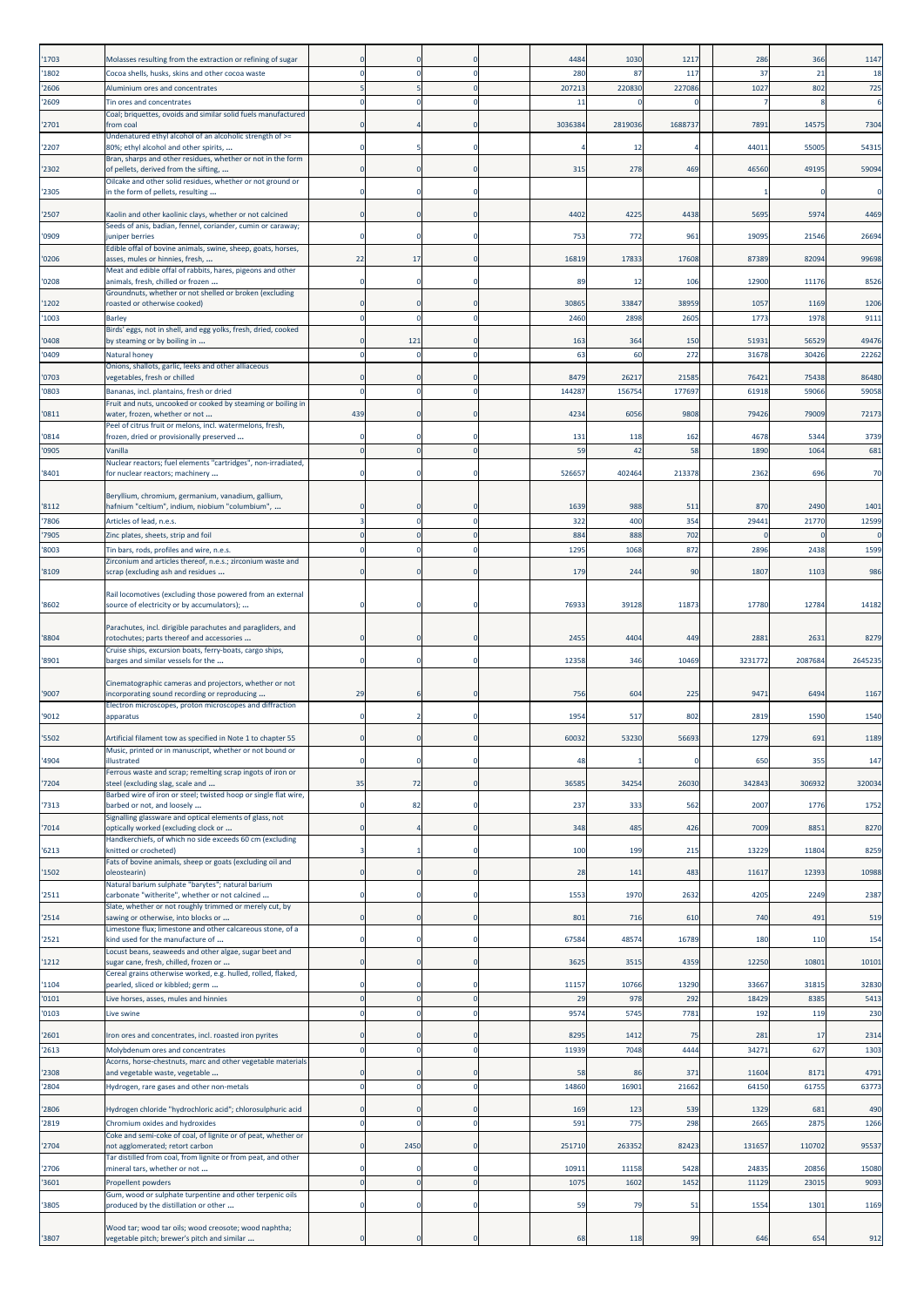| '1703          | Molasses resulting from the extraction or refining of sugar                                                             |                         |              |                         | 4484        | 1030        | 1217       | 286     | 366     | 1147    |
|----------------|-------------------------------------------------------------------------------------------------------------------------|-------------------------|--------------|-------------------------|-------------|-------------|------------|---------|---------|---------|
| '1802          | Cocoa shells, husks, skins and other cocoa waste                                                                        | $\Omega$                | C            | $\mathbf 0$             | 280         | 87          | 117        | 37      | 21      | 18      |
| '2606          | Aluminium ores and concentrates                                                                                         | 5                       |              | $\mathbf{0}$            | 207213      | 220830      | 227086     | 1027    | 802     | 725     |
| '2609          | Tin ores and concentrates<br>Coal; briquettes, ovoids and similar solid fuels manufactured                              | $\Omega$                |              | $\Omega$                | 11          |             |            |         |         |         |
| '2701          | from coal<br>Undenatured ethyl alcohol of an alcoholic strength of >=                                                   | $\Omega$                |              | $\mathbf 0$             | 3036384     | 2819036     | 168873     | 7891    | 1457    | 7304    |
| '2207          | 80%; ethyl alcohol and other spirits,                                                                                   | $\Omega$                |              | $\mathbf 0$             |             | 12          |            | 4401:   | 5500    | 54315   |
| '2302          | Bran, sharps and other residues, whether or not in the form<br>of pellets, derived from the sifting,                    | $\Omega$                |              | $\mathbf 0$             | 315         | 278         | 469        | 46560   | 49195   | 59094   |
| '2305          | Oilcake and other solid residues, whether or not ground or<br>in the form of pellets, resulting                         |                         |              |                         |             |             |            |         |         |         |
|                |                                                                                                                         |                         |              |                         |             |             |            |         |         |         |
| '2507          | Kaolin and other kaolinic clays, whether or not calcined<br>Seeds of anis, badian, fennel, coriander, cumin or caraway; | $\Omega$                |              | $\Omega$                | 4402        | 4225        | 4438       | 5695    | 5974    | 4469    |
| '0909          | iuniper berries<br>Edible offal of bovine animals, swine, sheep, goats, horses,                                         | 0                       |              | $\Omega$                | 753         | 772         | 961        | 19095   | 21546   | 26694   |
| '0206          | asses, mules or hinnies, fresh,                                                                                         | 22                      | 17           | $\mathbf 0$             | 16819       | 17833       | 17608      | 87389   | 8209    | 99698   |
| '0208          | Meat and edible offal of rabbits, hares, pigeons and other<br>animals, fresh, chilled or frozen                         | O                       |              | 0                       | 89          | 12          | 106        | 12900   | 11176   | 8526    |
| 1202           | Groundnuts, whether or not shelled or broken (excluding<br>roasted or otherwise cooked)                                 |                         |              |                         | 30865       | 33847       | 38959      | 1057    | 1169    | 1206    |
| 1003           | <b>Barley</b>                                                                                                           | $\Omega$                |              | $\mathbf 0$             | 2460        | 2898        | 2605       | 1773    | 1978    | 9111    |
| '0408          | Birds' eggs, not in shell, and egg yolks, fresh, dried, cooked<br>by steaming or by boiling in                          | n                       | 121          | $\Omega$                | 163         | 364         | 150        | 51931   | 56529   | 49476   |
| '0409          | Natural honey                                                                                                           | O                       | C            | $\mathbf 0$             | 63          | 60          | 272        | 31678   | 30426   | 22262   |
| '0703          | Onions, shallots, garlic, leeks and other alliaceous<br>vegetables, fresh or chilled                                    | $\Omega$                |              | $\Omega$                | 8479        | 26217       | 21585      | 76421   | 75438   | 86480   |
| '0803          | Bananas, incl. plantains, fresh or dried                                                                                | O                       |              | $\mathbf{0}$            | 14428       | 15675       | 17769      | 61918   | 5906    | 59058   |
| '0811          | Fruit and nuts, uncooked or cooked by steaming or boiling in<br>water, frozen, whether or not                           | 439                     |              | $\Omega$                | 4234        | 6056        | 9808       | 79426   | 79009   | 72173   |
| '0814          | eel of citrus fruit or melons, incl. watermelons, fresh,<br>frozen, dried or provisionally preserved                    | $\mathbf 0$             |              | $\mathbf 0$             | 131         | 118         | 162        | 4678    | 5344    | 3739    |
| '0905          | Vanilla                                                                                                                 | $\mathbf 0$             | $\Omega$     | $\mathbf 0$             | 59          | 42          | 58         | 1890    | 1064    | 681     |
| '8401          | Nuclear reactors; fuel elements "cartridges", non-irradiated,<br>for nuclear reactors; machinery                        | $\Omega$                |              | $\mathbf 0$             | 526657      | 402464      | 213378     | 2362    | 696     | 70      |
|                |                                                                                                                         |                         |              |                         |             |             |            |         |         |         |
| '8112          | Beryllium, chromium, germanium, vanadium, gallium,<br>hafnium "celtium", indium, niobium "columbium",                   | $\Omega$                |              | $\mathbf 0$             | 1639        | 988         | 511        | 87C     | 2490    | 1401    |
| '7806          | Articles of lead, n.e.s.                                                                                                | 3                       |              | $\mathbf 0$             | 322         | 400         | 354        | 29441   | 21770   | 12599   |
| '7905<br>'8003 | Zinc plates, sheets, strip and foil<br>Tin bars, rods, profiles and wire, n.e.s.                                        | $\mathbf 0$<br>$\Omega$ | $\Omega$     | $\mathbf 0$<br>$\Omega$ | 884<br>1295 | 888<br>1068 | 702<br>872 | 2896    | 2438    | 1599    |
|                | Zirconium and articles thereof, n.e.s.; zirconium waste and                                                             |                         |              |                         |             |             |            |         |         |         |
| '8109          | scrap (excluding ash and residues                                                                                       | $\Omega$                |              | $\Omega$                | 179         | 244         | 90         | 1807    | 1103    | 986     |
| '8602          | Rail locomotives (excluding those powered from an external<br>source of electricity or by accumulators);                | n                       |              | $\Omega$                | 76933       | 39128       | 11873      | 17780   | 1278    | 14182   |
|                |                                                                                                                         |                         |              |                         |             |             |            |         |         |         |
| '8804          | Parachutes, incl. dirigible parachutes and paragliders, and<br>rotochutes; parts thereof and accessories                | n                       |              | $\Omega$                | 2455        | 4404        | 449        | 2881    | 263     | 8279    |
| '8901          | Cruise ships, excursion boats, ferry-boats, cargo ships,<br>barges and similar vessels for the                          | $\Omega$                |              | $\mathbf 0$             | 12358       | 346         | 10469      | 3231772 | 2087684 | 2645235 |
|                | Cinematographic cameras and projectors, whether or not                                                                  |                         |              |                         |             |             |            |         |         |         |
| '9007          | ncorporating sound recording or reproducing                                                                             | 29                      |              | $\Omega$                | 756         | 604         | 225        | 9471    | 6494    | 1167    |
| '9012          | Electron microscopes, proton microscopes and diffraction<br>apparatus                                                   | $\Omega$                |              | $\Omega$                | 1954        | 517         | 802        | 2819    | 1590    | 1540    |
| '5502          | Artificial filament tow as specified in Note 1 to chapter 55                                                            | $\Omega$                |              | 0                       | 60032       | 53230       | 56693      | 1279    | 691     | 1189    |
|                | Music, printed or in manuscript, whether or not bound or                                                                |                         |              |                         |             |             |            | 650     |         |         |
| '4904          | illustrated<br>Ferrous waste and scrap; remelting scrap ingots of iron or                                               | $\mathbf 0$             |              | 0                       | 48          |             | 0          |         | 355     | 147     |
| '7204          | steel (excluding slag, scale and<br>Barbed wire of iron or steel; twisted hoop or single flat wire,                     | 35                      | 72           | 0                       | 36585       | 34254       | 26030      | 342843  | 306932  | 320034  |
| '7313          | barbed or not, and loosely<br>Signalling glassware and optical elements of glass, not                                   | $\Omega$                | 82           | $\Omega$                | 237         | 333         | 562        | 2007    | 1776    | 1752    |
| 7014           | optically worked (excluding clock or                                                                                    | $\Omega$                |              | $\mathbf{0}$            | 348         | 485         | 426        | 7009    | 8851    | 8270    |
| '6213          | Handkerchiefs, of which no side exceeds 60 cm (excluding<br>knitted or crocheted)                                       | 3                       |              | $\mathbf 0$             | 100         | 199         | 215        | 13229   | 11804   | 8259    |
| '1502          | Fats of bovine animals, sheep or goats (excluding oil and<br>oleostearin)                                               | $\mathbf 0$             | C            | $\mathbf 0$             | 28          | 141         | 483        | 11617   | 12393   | 10988   |
|                | Natural barium sulphate "barytes"; natural barium                                                                       |                         |              |                         |             |             |            |         |         |         |
| '2511          | carbonate "witherite", whether or not calcined<br>Slate, whether or not roughly trimmed or merely cut, by               | 0                       |              | 0                       | 1553        | 1970        | 2632       | 4205    | 2249    | 2387    |
| '2514          | sawing or otherwise, into blocks or<br>Limestone flux; limestone and other calcareous stone, of a                       | $\Omega$                |              | $\Omega$                | 801         | 716         | 610        | 740     | 491     | 519     |
| '2521          | kind used for the manufacture of                                                                                        | $\Omega$                |              | $\mathbf 0$             | 67584       | 48574       | 16789      | 180     | 110     | 154     |
| '1212          | Locust beans, seaweeds and other algae, sugar beet and<br>sugar cane, fresh, chilled, frozen or                         | $\mathbf{0}$            | C            | $\mathbf 0$             | 3625        | 3515        | 4359       | 12250   | 10801   | 10101   |
| '1104          | Cereal grains otherwise worked, e.g. hulled, rolled, flaked,<br>pearled, sliced or kibbled; germ                        | $\Omega$                |              | $\mathbf{0}$            | 11157       | 10766       | 13290      | 33667   | 31815   | 32830   |
| '0101          | Live horses, asses, mules and hinnies                                                                                   | $\mathbf 0$             | $\Omega$     | $\mathbf 0$             | 29          | 978         | 292        | 18429   | 8385    | 5413    |
| '0103          | Live swine                                                                                                              | $\mathbf 0$             | C            | $\pmb{0}$               | 9574        | 5745        | 7781       | 192     | 119     | 230     |
| '2601          | Iron ores and concentrates, incl. roasted iron pyrites                                                                  | $\Omega$                | C            | $\mathbf{0}$            | 8295        | 1412        | 75         | 281     | 17      | 2314    |
| '2613          | Molybdenum ores and concentrates<br>Acorns, horse-chestnuts, marc and other vegetable materials                         | $\mathbf 0$             | $\mathbf{C}$ | $\mathbf 0$             | 11939       | 7048        | 4444       | 34271   | 627     | 1303    |
| '2308          | and vegetable waste, vegetable                                                                                          | $\Omega$                |              | $\mathbf 0$             | 58          | 86          | 371        | 11604   | 8171    | 4791    |
| 2804           | Hydrogen, rare gases and other non-metals                                                                               | $\Omega$                | C            | $\mathbf 0$             | 14860       | 16901       | 21662      | 64150   | 61755   | 63773   |
| '2806          | Hydrogen chloride "hydrochloric acid"; chlorosulphuric acid                                                             | 0                       |              | 0                       | 169         | 123         | 539        | 1329    | 681     | 490     |
| '2819          | Chromium oxides and hydroxides<br>Coke and semi-coke of coal, of lignite or of peat, whether or                         | $\Omega$                |              | $\mathbf{0}$            | 591         | 775         | 298        | 2665    | 2875    | 1266    |
| '2704          | not agglomerated; retort carbon                                                                                         | 0                       | 2450         | $\mathbf{0}$            | 251710      | 263352      | 82423      | 131657  | 110702  | 95537   |
| '2706          | Tar distilled from coal, from lignite or from peat, and other<br>mineral tars, whether or not                           | $\Omega$                |              | $\Omega$                | 10911       | 11158       | 5428       | 24835   | 20856   | 15080   |
| '3601          | Propellent powders<br>Gum, wood or sulphate turpentine and other terpenic oils                                          | $\Omega$                | C            | $\mathbf 0$             | 1075        | 1602        | 1452       | 11129   | 23015   | 9093    |
| '3805          | produced by the distillation or other                                                                                   | 0                       |              | $\mathbf 0$             | 59          | 79          | 51         | 1554    | 1301    | 1169    |
|                | Wood tar; wood tar oils; wood creosote; wood naphtha;                                                                   |                         |              |                         |             |             |            |         |         |         |
| '3807          | vegetable pitch; brewer's pitch and similar                                                                             | $\Omega$                | $\Omega$     | $\mathbf{0}$            | 68          | 118         | 99         | 646     | 654     | 912     |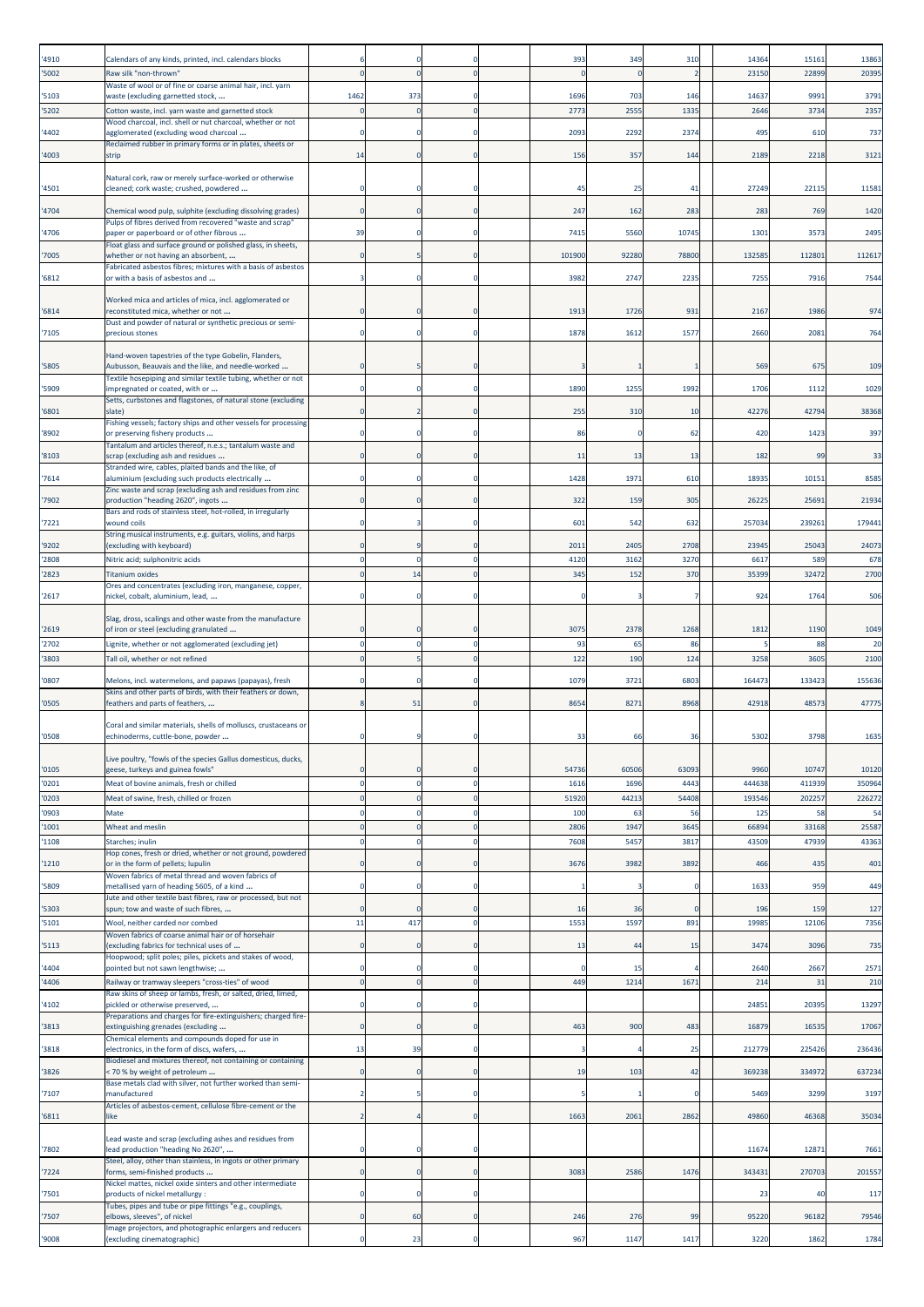|                |                                                                                                                     |                          |          |                         |               |               |                 | 14364          | 15161           |                  |
|----------------|---------------------------------------------------------------------------------------------------------------------|--------------------------|----------|-------------------------|---------------|---------------|-----------------|----------------|-----------------|------------------|
| '4910<br>'5002 | Calendars of any kinds, printed, incl. calendars blocks<br>Raw silk "non-thrown"                                    |                          |          |                         | 393           | 349           | 310             | 2315           | 22899           | 13863<br>20395   |
|                | Waste of wool or of fine or coarse animal hair, incl. yarn                                                          |                          |          |                         |               |               |                 |                |                 |                  |
| '5103          | waste (excluding garnetted stock,                                                                                   | 1462                     | 373      |                         | 1696          | 703           | 146             | 14637          | 9991            | 3791             |
| 5202           | Cotton waste, incl. yarn waste and garnetted stock<br>Wood charcoal, incl. shell or nut charcoal, whether or not    |                          |          | $\Omega$                | 2773          | 2555          | 1335            | 264            | 3734            | 2357             |
| 4402           | agglomerated (excluding wood charcoal                                                                               | 0                        |          |                         | 2093          | 2292          | 2374            | 495            | 610             | 737              |
| '4003          | Reclaimed rubber in primary forms or in plates, sheets or<br>strip                                                  | 14                       | O        |                         | 156           | 357           | 144             | 2189           | 2218            | 3121             |
|                |                                                                                                                     |                          |          |                         |               |               |                 |                |                 |                  |
| '4501          | Natural cork, raw or merely surface-worked or otherwise<br>cleaned; cork waste; crushed, powdered                   |                          |          |                         | 45            | 25            | 41              | 27249          | 22115           | 11581            |
| 4704           | Chemical wood pulp, sulphite (excluding dissolving grades)                                                          | $\Omega$                 |          | $\Omega$                | 247           | 162           | 283             | 283            | 769             | 1420             |
| 4706           | Pulps of fibres derived from recovered "waste and scrap"<br>paper or paperboard or of other fibrous                 | 39                       |          |                         | 7415          | 5560          | 10745           | 1301           | 3573            | 2495             |
|                | Float glass and surface ground or polished glass, in sheets,                                                        |                          |          |                         |               |               |                 |                |                 |                  |
| '7005          | whether or not having an absorbent,<br>Fabricated asbestos fibres; mixtures with a basis of asbestos                |                          |          |                         | 101900        | 92280         | 78800           | 132585         | 112801          | 112617           |
| '6812          | or with a basis of asbestos and                                                                                     |                          |          |                         | 3982          | 2747          | 2235            | 7255           | 7916            | 7544             |
| '6814          | Worked mica and articles of mica, incl. agglomerated or                                                             |                          |          |                         | 1913          | 1726          | 931             | 2167           | 1986            | 974              |
|                | reconstituted mica, whether or not<br>Dust and powder of natural or synthetic precious or semi-                     |                          |          |                         |               |               |                 |                |                 |                  |
| '7105          | precious stones                                                                                                     | $\Omega$                 |          |                         | 1878          | 1612          | 1577            | 2660           | 2081            | 764              |
|                | Hand-woven tapestries of the type Gobelin, Flanders,                                                                |                          |          |                         |               |               |                 |                |                 |                  |
| '5805          | Aubusson, Beauvais and the like, and needle-worked<br>Textile hosepiping and similar textile tubing, whether or not |                          |          |                         |               |               |                 | 569            | 675             | 109              |
| '5909          | impregnated or coated, with or<br>Setts, curbstones and flagstones, of natural stone (excluding                     | $\Omega$                 |          |                         | 1890          | 1255          | 1992            | 1706           | 1112            | 1029             |
| '6801          | slate)                                                                                                              |                          |          | O                       | 255           | 310           | 10              | 42276          | 42794           | 38368            |
| '8902          | Fishing vessels; factory ships and other vessels for processing<br>or preserving fishery products                   |                          |          |                         | 86            |               | 62              | 420            | 1423            | 397              |
| '8103          | Tantalum and articles thereof, n.e.s.; tantalum waste and<br>scrap (excluding ash and residues                      |                          |          |                         | 11            | 13            | 13              | 182            | 99              | 33               |
|                | Stranded wire, cables, plaited bands and the like, of                                                               |                          |          |                         |               |               |                 |                |                 |                  |
| '7614          | aluminium (excluding such products electrically<br>Zinc waste and scrap (excluding ash and residues from zinc       |                          |          |                         | 1428          | 1971          | 610             | 18935          | 10151           | 8585             |
| '7902          | production "heading 2620", ingots<br>Bars and rods of stainless steel, hot-rolled, in irregularly                   |                          |          |                         | 322           | 159           | 305             | 2622           | 25691           | 21934            |
| 7221           | wound coils                                                                                                         |                          |          |                         | 601           | 542           | 632             | 257034         | 239261          | 179441           |
| '9202          | String musical instruments, e.g. guitars, violins, and harps<br>(excluding with keyboard)                           |                          |          |                         | 2011          | 2405          | 2708            | 23945          | 25043           | 24073            |
| 2808           | Nitric acid; sulphonitric acids                                                                                     | $\Omega$                 | $\Omega$ | $\Omega$                | 4120          | 3162          | 3270            | 6617           | 589             | 678              |
| 2823           | <b>Titanium oxides</b>                                                                                              | $\Omega$                 | 14       | $\Omega$                | 345           | 152           | 370             | 35399          | 32472           | 2700             |
| '2617          | Ores and concentrates (excluding iron, manganese, copper,<br>nickel, cobalt, aluminium, lead,                       |                          |          |                         |               |               |                 | 924            | 1764            | 506              |
|                | Slag, dross, scalings and other waste from the manufacture                                                          |                          |          |                         |               |               |                 |                |                 |                  |
| '2619          | of iron or steel (excluding granulated                                                                              |                          |          |                         | 3075          | 2378          | 1268            | 1812           | 1190            | 1049             |
| '2702          | Lignite, whether or not agglomerated (excluding jet)                                                                | $\Omega$                 | $\Omega$ | $\Omega$                | 93            | 65            | 86              |                | 88              | 20               |
| '3803          | Tall oil, whether or not refined                                                                                    | $\Omega$                 |          | $\mathbf 0$             | 122           | 190           | 124             | 3258           | 3605            | 2100             |
| '0807          | Melons, incl. watermelons, and papaws (papayas), fresh                                                              |                          |          |                         | 1079          | 3721          | 6803            | 164473         | 133423          | 155636           |
| '0505          | Skins and other parts of birds, with their feathers or down,<br>feathers and parts of feathers,                     |                          | 51       |                         | 8654          | 8271          | 8968            | 42918          | 4857            | 47775            |
|                | Coral and similar materials, shells of molluscs, crustaceans or                                                     |                          |          |                         |               |               |                 |                |                 |                  |
| '0508          | echinoderms, cuttle-bone, powder                                                                                    |                          |          |                         | 33            | 66            | 36              | 5302           | 3798            | 1635             |
|                | Live poultry, "fowls of the species Gallus domesticus, ducks,                                                       |                          |          |                         |               |               |                 |                |                 |                  |
| '0105          | geese, turkeys and guinea fowls"<br>Meat of bovine animals, fresh or chilled                                        | $\Omega$<br>$\mathbf{0}$ |          | O<br>$\mathbf 0$        | 54736         | 60506         | 63093<br>4443   | 9960<br>444638 | 10747<br>411939 | 10120            |
| '0201<br>'0203 | Meat of swine, fresh, chilled or frozen                                                                             | $\mathbf 0$              | $\Omega$ | $\mathbf{0}$            | 1616<br>51920 | 1696<br>44213 | 54408           | 193546         | 202257          | 350964<br>226272 |
| '0903          | Mate                                                                                                                | $\Omega$                 |          | $\Omega$                | 100           | 63            | 56              | 125            | 58              | 54               |
| 1001           | Wheat and meslin                                                                                                    | $\Omega$                 |          | $\Omega$                | 2806          | 1947          | 3645            | 66894          | 33168           | 25587            |
| 1108           | Starches; inulin                                                                                                    | $\Omega$                 |          | $\Omega$                | 7608          | 5457          | 3817            | 43509          | 47939           | 43363            |
| '1210          | Hop cones, fresh or dried, whether or not ground, powdered<br>or in the form of pellets; lupulin                    | $\Omega$                 |          |                         | 3676          | 3982          | 3892            | 466            | 435             | 401              |
| '5809          | Woven fabrics of metal thread and woven fabrics of<br>metallised yarn of heading 5605, of a kind                    | O                        |          | O                       |               |               | 0               | 1633           | 959             | 449              |
|                | Jute and other textile bast fibres, raw or processed, but not                                                       |                          |          |                         |               |               |                 |                |                 |                  |
| 5303<br>5101   | spun; tow and waste of such fibres,<br>Wool, neither carded nor combed                                              | $\Omega$<br>11           | 417      | $\Omega$<br>$\mathbf 0$ | 16<br>1553    | 36<br>1597    | $\Omega$<br>891 | 196<br>19985   | 159<br>12106    | 127<br>7356      |
|                | Woven fabrics of coarse animal hair or of horsehair                                                                 |                          |          |                         |               |               |                 |                |                 |                  |
| 5113           | (excluding fabrics for technical uses of<br>Hoopwood; split poles; piles, pickets and stakes of wood,               |                          |          | C                       | 13            | 44            | 15              | 3474           | 3096            | 735              |
| 4404           | pointed but not sawn lengthwise;                                                                                    |                          |          |                         | $\Omega$      | 15            |                 | 2640           | 2667            | 2571             |
| 4406           | Railway or tramway sleepers "cross-ties" of wood<br>Raw skins of sheep or lambs, fresh, or salted, dried, limed,    | $\Omega$                 |          | $\Omega$                | 449           | 1214          | 1671            | 214            | 31              | 210              |
| '4102          | pickled or otherwise preserved,                                                                                     |                          |          |                         |               |               |                 | 24851          | 20395           | 13297            |
| '3813          | Preparations and charges for fire-extinguishers; charged fire-<br>extinguishing grenades (excluding                 | $\Omega$                 |          |                         | 463           | 900           | 483             | 16879          | 16535           | 17067            |
| '3818          | Chemical elements and compounds doped for use in<br>electronics, in the form of discs, wafers,                      | 13                       | 39       | O                       |               |               | 25              | 21277          | 225426          | 236436           |
|                | Biodiesel and mixtures thereof, not containing or containing                                                        |                          |          |                         |               |               |                 |                |                 |                  |
| 3826           | < 70 % by weight of petroleum<br>Base metals clad with silver, not further worked than semi-                        | 0                        |          | $\Omega$                | 19            | 103           | 42              | 36923          | 334972          | 637234           |
| '7107          | manufactured<br>Articles of asbestos-cement, cellulose fibre-cement or the                                          |                          |          |                         |               |               |                 | 5469           | 3299            | 3197             |
| '6811          | like                                                                                                                |                          |          | $\Omega$                | 1663          | 2061          | 2862            | 49860          | 46368           | 35034            |
|                | Lead waste and scrap (excluding ashes and residues from                                                             |                          |          |                         |               |               |                 |                |                 |                  |
| '7802          | lead production "heading No 2620",                                                                                  |                          |          |                         |               |               |                 | 11674          | 12871           | 7661             |
| '7224          | Steel, alloy, other than stainless, in ingots or other primary<br>forms, semi-finished products                     | $\Omega$                 |          | $\Omega$                | 3083          | 2586          | 1476            | 343431         | 270703          | 201557           |
| '7501          | Nickel mattes, nickel oxide sinters and other intermediate<br>products of nickel metallurgy:                        | 0                        |          |                         |               |               |                 | 23             | 40              | 117              |
|                | Tubes, pipes and tube or pipe fittings "e.g., couplings,                                                            |                          |          |                         |               |               |                 |                |                 |                  |
| '7507          | elbows, sleeves", of nickel<br>Image projectors, and photographic enlargers and reducers                            | $\Omega$                 | 60       | 0                       | 246           | 276           | 99              | 95220          | 96182           | 79546            |
| '9008          | (excluding cinematographic)                                                                                         |                          | 23       | 0                       | 967           | 1147          | 1417            | 3220           | 1862            | 1784             |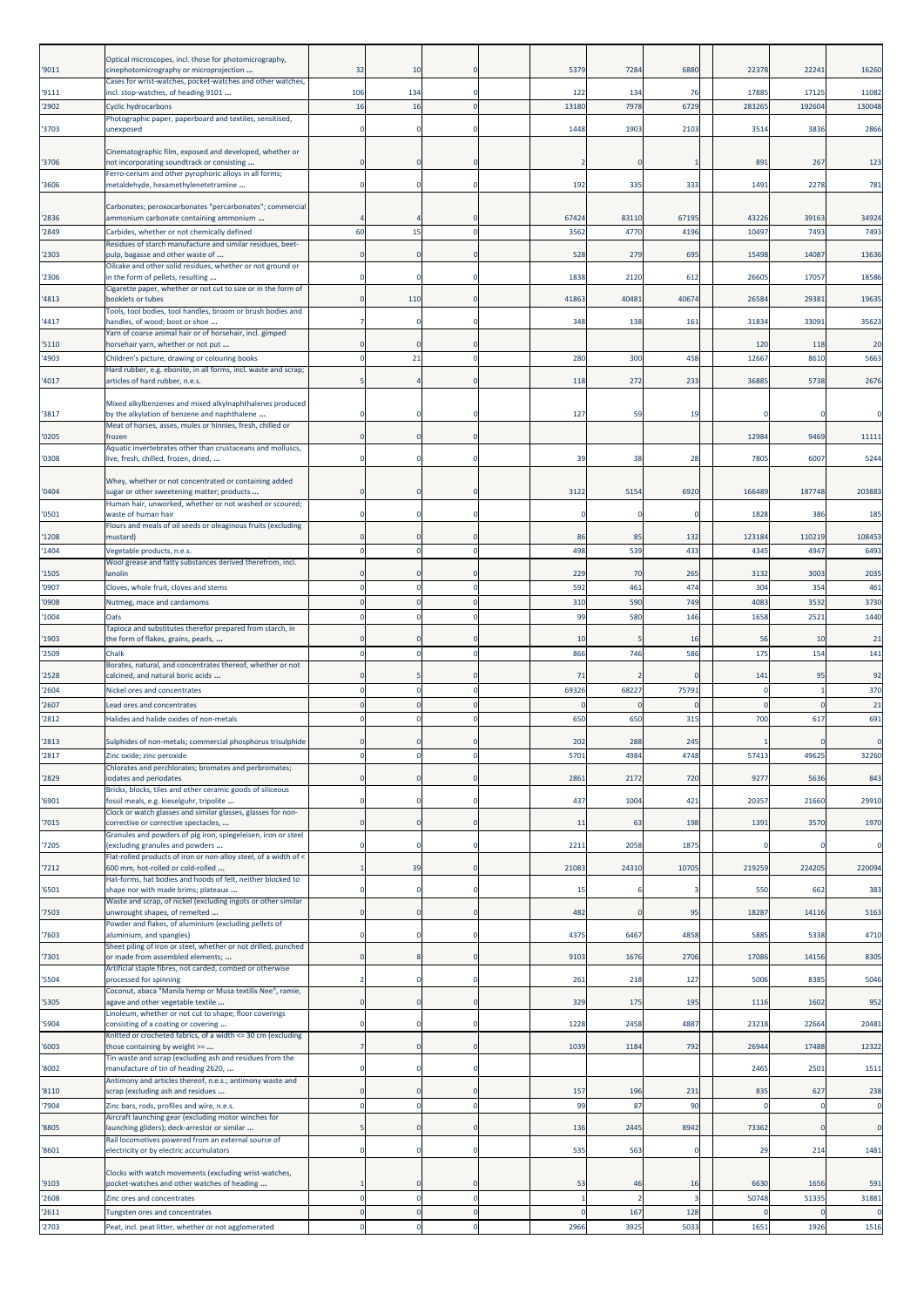| '9011          | Optical microscopes, incl. those for photomicrography,<br>cinephotomicrography or microprojection        | 32                      | 10             | $\Omega$                   | 5379          | 7284          | 6880          | 22378          | 2224          | 16260         |
|----------------|----------------------------------------------------------------------------------------------------------|-------------------------|----------------|----------------------------|---------------|---------------|---------------|----------------|---------------|---------------|
| '9111          | Cases for wrist-watches, pocket-watches and other watches,<br>incl. stop-watches, of heading 9101        | 106                     | 134            | $\Omega$                   | 122           | 134           | 76            | 17885          | 17125         | 11082         |
| '2902          | Cyclic hydrocarbons                                                                                      | 16                      | 16             | $\mathbf{0}$               | 1318          | 7978          | 6729          | 28326          | 19260         | 130048        |
|                | Photographic paper, paperboard and textiles, sensitised,                                                 |                         |                |                            |               |               |               |                |               |               |
| '3703          | unexposed<br>Cinematographic film, exposed and developed, whether or                                     | $\mathbf 0$             |                | $\Omega$                   | 1448          | 1903          | 2103          | 3514           | 3836          | 2866          |
| '3706          | not incorporating soundtrack or consisting                                                               | n                       |                | $\Omega$                   |               |               |               | 891            | 267           | 123           |
| '3606          | Ferro-cerium and other pyrophoric alloys in all forms;<br>metaldehyde, hexamethylenetetramine            | $\mathbf 0$             |                | $\mathbf 0$                | 192           | 335           | 333           | 1491           | 2278          | 781           |
|                | Carbonates; peroxocarbonates "percarbonates"; commercial                                                 |                         |                |                            |               |               |               |                |               |               |
| '2836<br>'2849 | ammonium carbonate containing ammonium<br>Carbides, whether or not chemically defined                    | 60                      | 15             | $\Omega$<br>$\Omega$       | 67424<br>3562 | 83110<br>4770 | 67195<br>4196 | 43226<br>10497 | 39163<br>7493 | 34924<br>7493 |
|                | Residues of starch manufacture and similar residues, beet-                                               |                         |                |                            |               |               |               |                |               |               |
| '2303          | pulp, bagasse and other waste of<br>Oilcake and other solid residues, whether or not ground or           | $\Omega$                |                | $\Omega$                   | 528           | 279           | 695           | 15498          | 14087         | 13636         |
| '2306          | in the form of pellets, resulting<br>Cigarette paper, whether or not cut to size or in the form of       | 0                       |                | $\mathbf 0$                | 1838          | 2120          | 612           | 26605          | 17057         | 18586         |
| 4813           | booklets or tubes                                                                                        | O                       | 110            | $\mathbf 0$                | 41863         | 40481         | 40674         | 26584          | 2938          | 19635         |
| 4417           | Tools, tool bodies, tool handles, broom or brush bodies and<br>nandles, of wood; boot or shoe            |                         |                |                            | 348           | 138           | 161           | 31834          | 3309:         | 35623         |
| '5110          | Yarn of coarse animal hair or of horsehair, incl. gimped<br>horsehair yarn, whether or not put           | $\Omega$                |                | $\Omega$                   |               |               |               | 120            | 118           | 20            |
| 4903           | Children's picture, drawing or colouring books                                                           | $\mathbf 0$             | 21             | $\mathbf{0}$               | 280           | 300           | 458           | 12667          | 8610          | 5663          |
| 4017           | Hard rubber, e.g. ebonite, in all forms, incl. waste and scrap;<br>articles of hard rubber, n.e.s.       | 5                       |                | $\mathbf{0}$               | 118           | 272           | 233           | 3688           | 5738          | 2676          |
|                |                                                                                                          |                         |                |                            |               |               |               |                |               |               |
| '3817          | Mixed alkylbenzenes and mixed alkylnaphthalenes produced<br>by the alkylation of benzene and naphthalene | n                       |                | $\Omega$                   | 127           | 59            | 19            |                |               |               |
| '0205          | Meat of horses, asses, mules or hinnies, fresh, chilled or<br>frozen                                     | $\Omega$                |                | $\Omega$                   |               |               |               | 12984          | 9469          | 11111         |
| '0308          | Aquatic invertebrates other than crustaceans and molluscs,<br>live, fresh, chilled, frozen, dried,       | $\Omega$                |                | $\mathbf 0$                | 39            | 38            | 28            | 7805           | 6007          | 5244          |
|                | Whey, whether or not concentrated or containing added                                                    |                         |                |                            |               |               |               |                |               |               |
| '0404          | sugar or other sweetening matter; products                                                               | 0                       |                | $\mathbf 0$                | 3122          | 5154          | 6920          | 166489         | 187748        | 203883        |
| '0501          | Human hair, unworked, whether or not washed or scoured;<br>waste of human hair                           | $\Omega$                |                | $\mathbf 0$                | C             |               | $^{\circ}$    | 1828           | 386           | 185           |
| 1208           | Flours and meals of oil seeds or oleaginous fruits (excluding<br>mustard)                                | $\Omega$                |                | $\Omega$                   | 86            | 85            | 132           | 123184         | 110219        | 108453        |
| 1404           | Vegetable products, n.e.s.                                                                               | $\Omega$                | C              | $\mathbf 0$                | 498           | 539           | 433           | 4345           | 494           | 6493          |
| 1505           | Wool grease and fatty substances derived therefrom, incl.<br>anolin                                      |                         |                |                            | 229           | 70            | 265           | 3132           | 300           | 2035          |
| 0907           | Cloves, whole fruit, cloves and stems                                                                    | $\Omega$                |                | $\mathbf 0$                | 592           | 461           | 474           | 304            | 354           | 461           |
| 0908           | Nutmeg, mace and cardamoms                                                                               | $\Omega$                |                | $\mathbf 0$                | 310           | 590           | 749           | 4083           | 3532          | 3730          |
| 1004           | Oats<br>Tapioca and substitutes therefor prepared from starch, in                                        | $\Omega$                | C              | $\mathbf 0$                | 99            | 580           | 146           | 1658           | 2521          | 1440          |
| 1903           | the form of flakes, grains, pearls,                                                                      |                         |                | C                          | 10            |               | 16            |                | 56<br>10      | 21            |
| '2509          | Chalk<br>Borates, natural, and concentrates thereof, whether or not                                      | $\Omega$                | $\Omega$       | $\mathbf 0$                | 866           | 746           | 586           | 175            | 154           | 141           |
| '2528          | calcined, and natural boric acids                                                                        |                         |                | C                          | 71            |               |               | 141            | 95            | 92            |
| '2604<br>'2607 | Nickel ores and concentrates<br>Lead ores and concentrates                                               | O<br>$\Omega$           | $\Omega$       | $\mathbf 0$<br>$\mathbf 0$ | 69326         | 68227         | 75791         |                |               | 370<br>21     |
| '2812          | Halides and halide oxides of non-metals                                                                  | $\Omega$                | C              | $\mathbf 0$                | 650           | 650           | 315           | 700            | 617           | 691           |
| 2813           | Sulphides of non-metals; commercial phosphorus trisulphide                                               |                         |                |                            | 202           | 288           | 245           |                |               |               |
| '2817          | Zinc oxide; zinc peroxide                                                                                | $\Omega$                |                | 0                          | 5701          | 4984          | 4748          | 57413          | 49625         | 32260         |
| '2829          | Chlorates and perchlorates; bromates and perbromates;<br>odates and periodates                           |                         |                |                            | 2861          | 2172          | 720           | 9277           | 5636          | 843           |
|                | Bricks, blocks, tiles and other ceramic goods of siliceous<br>fossil meals, e.g. kieselguhr, tripolite   | 0                       |                | $\mathbf 0$                | 437           | 1004          | 421           | 20357          |               | 29910         |
| '6901          | Clock or watch glasses and similar glasses, glasses for non-                                             |                         |                |                            |               |               |               |                | 21660         |               |
| '7015          | corrective or corrective spectacles,<br>Granules and powders of pig iron, spiegeleisen, iron or steel    | $\mathbf 0$             |                | $\mathbf{0}$               | 11            | 63            | 198           | 1391           | 3570          | 1970          |
| '7205          | (excluding granules and powders<br>Flat-rolled products of iron or non-alloy steel, of a width of <      | $\mathbf 0$             |                | $\mathbf 0$                | 2211          | 2058          | 1875          |                |               | C             |
| 7212           | 600 mm, hot-rolled or cold-rolled                                                                        | -1                      | 39             | $\mathbf{0}$               | 21083         | 24310         | 10705         | 219259         | 224205        | 220094        |
| '6501          | Hat-forms, hat bodies and hoods of felt, neither blocked to<br>shape nor with made brims; plateaux       | 0                       |                | 0                          | 15            |               |               | 550            | 662           | 383           |
| '7503          | Waste and scrap, of nickel (excluding ingots or other similar<br>unwrought shapes, of remelted           | $\Omega$                |                | $\mathbf 0$                | 482           |               | 95            | 18287          | 14116         | 5163          |
| '7603          | Powder and flakes, of aluminium (excluding pellets of<br>aluminium, and spangles)                        | 0                       |                | $\mathbf 0$                | 4375          | 6467          | 4858          | 5885           | 5338          | 4710          |
| '7301          | Sheet piling of iron or steel, whether or not drilled, punched<br>or made from assembled elements;       | $\mathbf 0$             |                | $\mathbf{0}$               | 9103          | 1676          | 2706          | 17086          | 14156         | 8305          |
| '5504          | Artificial staple fibres, not carded, combed or otherwise<br>processed for spinning                      | $\overline{\mathbf{2}}$ |                | 0                          | 261           | 218           | 127           | 5006           | 8385          | 5046          |
| '5305          | Coconut, abaca "Manila hemp or Musa textilis Nee", ramie,<br>agave and other vegetable textile           | 0                       |                | $\mathbf 0$                | 329           | 175           | 195           | 1116           | 1602          | 952           |
| '5904          | Linoleum, whether or not cut to shape; floor coverings                                                   | $\Omega$                |                | $\mathbf 0$                | 1228          | 2458          | 4887          | 23218          | 22664         | 20481         |
|                | consisting of a coating or covering<br>Knitted or crocheted fabrics, of a width <= 30 cm (excluding      |                         |                |                            |               |               |               |                |               |               |
| '6003          | those containing by weight >=<br>Tin waste and scrap (excluding ash and residues from the                | $\overline{7}$          |                | $\mathbf{0}$               | 1039          | 1184          | 792           | 26944          | 17488         | 12322         |
| '8002          | manufacture of tin of heading 2620,<br>Antimony and articles thereof, n.e.s.; antimony waste and         | $\mathbf 0$             |                | $\mathbf 0$                |               |               |               | 2465           | 2501          | 1511          |
| '8110          | scrap (excluding ash and residues                                                                        | $\Omega$                |                | $\mathbf{0}$               | 157           | 196           | 231           | 835            | 627           | 238           |
| '7904          | Zinc bars, rods, profiles and wire, n.e.s.<br>Aircraft launching gear (excluding motor winches for       | $\mathbf 0$             | C              | $\mathbf 0$                | 99            | 87            | 90            |                | -C            | $\epsilon$    |
| '8805          | launching gliders); deck-arrestor or similar                                                             |                         |                | $\mathbf 0$                | 136           | 2445          | 8942          | 73362          |               | $\epsilon$    |
| '8601          | Rail locomotives powered from an external source of<br>electricity or by electric accumulators           | 0                       |                | 0                          | 535           | 563           |               |                | 29<br>214     | 1481          |
|                | Clocks with watch movements (excluding wrist-watches,                                                    |                         |                |                            |               |               |               |                |               |               |
| '9103<br>'2608 | pocket-watches and other watches of heading<br>Zinc ores and concentrates                                | $\mathbf 0$             | C              | $\mathbf 0$<br>$\mathbf 0$ | 53            | 46            | 16            | 6630<br>50748  | 1656<br>51335 | 591<br>31881  |
| '2611          | Tungsten ores and concentrates                                                                           | $\mathbf 0$             | $\mathbf 0$    | $\mathbf 0$                | 0             | 167           | 128           |                | C             | $\Omega$      |
| '2703          | Peat, incl. peat litter, whether or not agglomerated                                                     | $\mathbf 0$             | $\overline{0}$ | $\pmb{0}$                  | 2966          | 3925          | 5033          | 1651           | 1926          | 1516          |